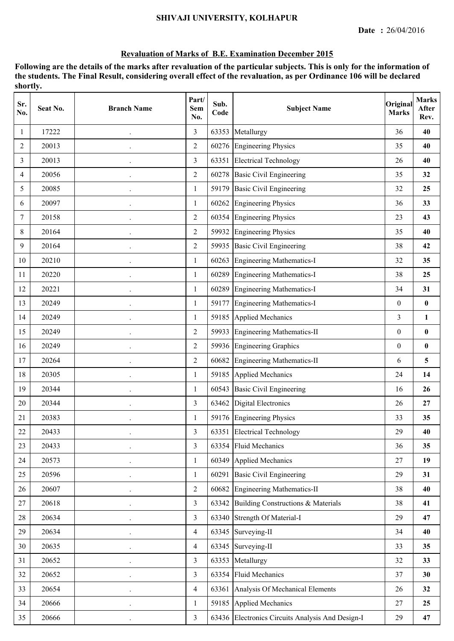#### **SHIVAJI UNIVERSITY, KOLHAPUR**

#### **Revaluation of Marks of B.E. Examination December 2015**

| Sr.<br>No. | Seat No. | <b>Branch Name</b>   | Part/<br>Sem<br>No. | Sub.<br>Code | <b>Subject Name</b>                              | Original<br><b>Marks</b> | <b>Marks</b><br><b>After</b><br>Rev. |
|------------|----------|----------------------|---------------------|--------------|--------------------------------------------------|--------------------------|--------------------------------------|
| 1          | 17222    |                      | $\overline{3}$      | 63353        | Metallurgy                                       | 36                       | 40                                   |
| 2          | 20013    | $\bullet$            | $\overline{2}$      | 60276        | <b>Engineering Physics</b>                       | 35                       | 40                                   |
| 3          | 20013    | $\ddot{\phantom{0}}$ | 3                   | 63351        | <b>Electrical Technology</b>                     | 26                       | 40                                   |
| 4          | 20056    | $\ddot{\phantom{0}}$ | $\overline{2}$      | 60278        | <b>Basic Civil Engineering</b>                   | 35                       | 32                                   |
| 5          | 20085    |                      | 1                   | 59179        | <b>Basic Civil Engineering</b>                   | 32                       | 25                                   |
| 6          | 20097    | $\ddot{\phantom{0}}$ | 1                   | 60262        | <b>Engineering Physics</b>                       | 36                       | 33                                   |
| 7          | 20158    | $\cdot$              | $\overline{2}$      | 60354        | <b>Engineering Physics</b>                       | 23                       | 43                                   |
| 8          | 20164    | $\ddot{\phantom{a}}$ | $\overline{2}$      | 59932        | <b>Engineering Physics</b>                       | 35                       | 40                                   |
| 9          | 20164    |                      | $\overline{2}$      | 59935        | <b>Basic Civil Engineering</b>                   | 38                       | 42                                   |
| 10         | 20210    | $\ddot{\phantom{0}}$ | $\mathbf{1}$        | 60263        | <b>Engineering Mathematics-I</b>                 | 32                       | 35                                   |
| 11         | 20220    | $\ddot{\phantom{0}}$ | $\mathbf{1}$        | 60289        | Engineering Mathematics-I                        | 38                       | 25                                   |
| 12         | 20221    | $\ddot{\phantom{0}}$ | 1                   | 60289        | <b>Engineering Mathematics-I</b>                 | 34                       | 31                                   |
| 13         | 20249    |                      | 1                   | 59177        | <b>Engineering Mathematics-I</b>                 | $\boldsymbol{0}$         | $\pmb{0}$                            |
| 14         | 20249    | $\bullet$            | 1                   | 59185        | <b>Applied Mechanics</b>                         | $\mathfrak{Z}$           | $\mathbf{1}$                         |
| 15         | 20249    | $\ddot{\phantom{0}}$ | 2                   | 59933        | <b>Engineering Mathematics-II</b>                | $\boldsymbol{0}$         | $\pmb{0}$                            |
| 16         | 20249    |                      | $\overline{2}$      |              | 59936 Engineering Graphics                       | $\boldsymbol{0}$         | $\pmb{0}$                            |
| 17         | 20264    |                      | $\overline{2}$      | 60682        | <b>Engineering Mathematics-II</b>                | 6                        | 5                                    |
| 18         | 20305    | $\bullet$            | $\mathbf{1}$        | 59185        | <b>Applied Mechanics</b>                         | 24                       | 14                                   |
| 19         | 20344    | $\ddot{\phantom{0}}$ | $\mathbf{1}$        | 60543        | <b>Basic Civil Engineering</b>                   | 16                       | 26                                   |
| 20         | 20344    | $\ddot{\phantom{0}}$ | 3                   | 63462        | <b>Digital Electronics</b>                       | 26                       | 27                                   |
| 21         | 20383    |                      | 1                   |              | 59176 Engineering Physics                        | 33                       | 35                                   |
| 22         | 20433    |                      | 3                   |              | 63351 Electrical Technology                      | 29                       | 40                                   |
| 23         | 20433    | $\hat{\phantom{a}}$  | 3                   |              | 63354 Fluid Mechanics                            | 36                       | 35                                   |
| 24         | 20573    |                      | 1                   |              | 60349 Applied Mechanics                          | 27                       | 19                                   |
| 25         | 20596    |                      | $\mathbf{1}$        | 60291        | <b>Basic Civil Engineering</b>                   | 29                       | 31                                   |
| 26         | 20607    | $\bullet$            | $\overline{2}$      |              | 60682 Engineering Mathematics-II                 | 38                       | 40                                   |
| 27         | 20618    | $\ddot{\phantom{0}}$ | $\overline{3}$      |              | 63342 Building Constructions & Materials         | 38                       | 41                                   |
| 28         | 20634    | $\ddot{\phantom{a}}$ | $\overline{3}$      |              | 63340 Strength Of Material-I                     | 29                       | 47                                   |
| 29         | 20634    |                      | $\overline{4}$      |              | 63345 Surveying-II                               | 34                       | 40                                   |
| 30         | 20635    | $\ddot{\phantom{0}}$ | $\overline{4}$      |              | 63345 Surveying-II                               | 33                       | 35                                   |
| 31         | 20652    | $\ddot{\phantom{0}}$ | 3                   |              | 63353 Metallurgy                                 | 32                       | 33                                   |
| 32         | 20652    | $\ddot{\phantom{a}}$ | $\overline{3}$      | 63354        | <b>Fluid Mechanics</b>                           | 37                       | 30                                   |
| 33         | 20654    |                      | $\overline{4}$      |              | 63361 Analysis Of Mechanical Elements            | 26                       | 32                                   |
| 34         | 20666    | $\bullet$            | $\mathbf{1}$        |              | 59185 Applied Mechanics                          | 27                       | 25                                   |
| 35         | 20666    | $\cdot$              | $\overline{3}$      |              | 63436 Electronics Circuits Analysis And Design-I | 29                       | 47                                   |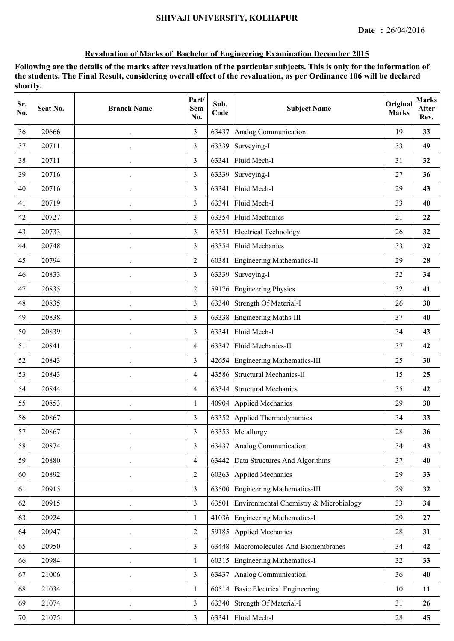| Sr.<br>No. | Seat No. | <b>Branch Name</b>   | Part/<br><b>Sem</b><br>No. | Sub.<br>Code | <b>Subject Name</b>                          | Original<br><b>Marks</b> | <b>Marks</b><br>After<br>Rev. |
|------------|----------|----------------------|----------------------------|--------------|----------------------------------------------|--------------------------|-------------------------------|
| 36         | 20666    |                      | 3                          | 63437        | Analog Communication                         | 19                       | 33                            |
| 37         | 20711    |                      | $\overline{3}$             | 63339        | Surveying-I                                  | 33                       | 49                            |
| 38         | 20711    |                      | 3                          | 63341        | Fluid Mech-I                                 | 31                       | 32                            |
| 39         | 20716    |                      | 3                          | 63339        | Surveying-I                                  | 27                       | 36                            |
| 40         | 20716    |                      | 3                          | 63341        | Fluid Mech-I                                 | 29                       | 43                            |
| 41         | 20719    |                      | $\overline{3}$             | 63341        | Fluid Mech-I                                 | 33                       | 40                            |
| 42         | 20727    |                      | 3                          | 63354        | <b>Fluid Mechanics</b>                       | 21                       | 22                            |
| 43         | 20733    |                      | 3                          | 63351        | <b>Electrical Technology</b>                 | 26                       | 32                            |
| 44         | 20748    |                      | 3                          | 63354        | <b>Fluid Mechanics</b>                       | 33                       | 32                            |
| 45         | 20794    |                      | $\overline{2}$             | 60381        | Engineering Mathematics-II                   | 29                       | 28                            |
| 46         | 20833    |                      | 3                          | 63339        | Surveying-I                                  | 32                       | 34                            |
| 47         | 20835    |                      | $\overline{2}$             |              | 59176 Engineering Physics                    | 32                       | 41                            |
| 48         | 20835    |                      | 3                          |              | 63340 Strength Of Material-I                 | 26                       | 30                            |
| 49         | 20838    |                      | 3                          | 63338        | <b>Engineering Maths-III</b>                 | 37                       | 40                            |
| 50         | 20839    |                      | 3                          | 63341        | Fluid Mech-I                                 | 34                       | 43                            |
| 51         | 20841    |                      | $\overline{4}$             | 63347        | Fluid Mechanics-II                           | 37                       | 42                            |
| 52         | 20843    |                      | 3                          | 42654        | <b>Engineering Mathematics-III</b>           | 25                       | 30                            |
| 53         | 20843    |                      | $\overline{4}$             |              | 43586 Structural Mechanics-II                | 15                       | 25                            |
| 54         | 20844    | $\ddot{\phantom{a}}$ | $\overline{4}$             | 63344        | <b>Structural Mechanics</b>                  | 35                       | 42                            |
| 55         | 20853    |                      | 1                          |              | 40904 Applied Mechanics                      | 29                       | 30                            |
| 56         | 20867    |                      | 3                          |              | 63352 Applied Thermodynamics                 | 34                       | 33                            |
| 57         | 20867    |                      | 3                          |              | 63353 Metallurgy                             | 28                       | 36                            |
| 58         | 20874    |                      | 3                          | 63437        | Analog Communication                         | 34                       | 43                            |
| 59         | 20880    |                      | $\overline{4}$             |              | 63442 Data Structures And Algorithms         | 37                       | 40                            |
| 60         | 20892    |                      | $\overline{2}$             | 60363        | <b>Applied Mechanics</b>                     | 29                       | 33                            |
| 61         | 20915    |                      | $\overline{3}$             |              | 63500 Engineering Mathematics-III            | 29                       | 32                            |
| 62         | 20915    |                      | $\overline{3}$             |              | 63501 Environmental Chemistry & Microbiology | 33                       | 34                            |
| 63         | 20924    |                      | $\mathbf{1}$               |              | 41036 Engineering Mathematics-I              | 29                       | 27                            |
| 64         | 20947    |                      | $\overline{2}$             |              | 59185 Applied Mechanics                      | 28                       | 31                            |
| 65         | 20950    |                      | $\overline{3}$             |              | 63448 Macromolecules And Biomembranes        | 34                       | 42                            |
| 66         | 20984    |                      | $\mathbf{1}$               |              | 60315 Engineering Mathematics-I              | 32                       | 33                            |
| 67         | 21006    |                      | $\overline{3}$             |              | 63437 Analog Communication                   | 36                       | 40                            |
| 68         | 21034    |                      | $\mathbf{1}$               |              | 60514 Basic Electrical Engineering           | $10\,$                   | 11                            |
| 69         | 21074    |                      | $\overline{3}$             |              | 63340 Strength Of Material-I                 | 31                       | 26                            |
| $70\,$     | 21075    |                      | $\overline{3}$             |              | 63341 Fluid Mech-I                           | 28                       | 45                            |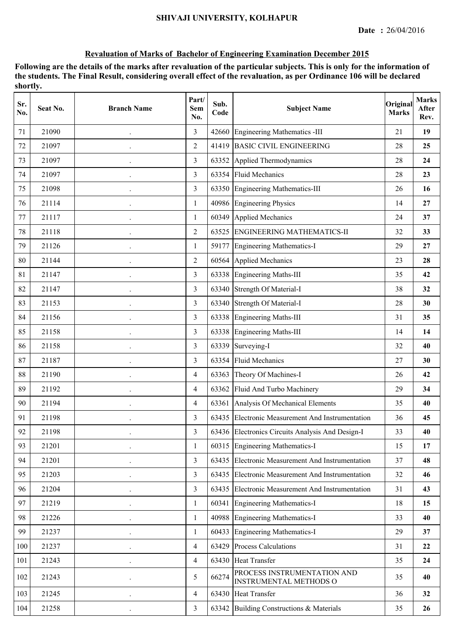| Sr.<br>No. | Seat No. | <b>Branch Name</b>   | Part/<br>Sem<br>No. | Sub.<br>Code | <b>Subject Name</b>                                          | Original<br><b>Marks</b> | <b>Marks</b><br>After<br>Rev. |
|------------|----------|----------------------|---------------------|--------------|--------------------------------------------------------------|--------------------------|-------------------------------|
| 71         | 21090    |                      | 3                   | 42660        | <b>Engineering Mathematics -III</b>                          | 21                       | 19                            |
| 72         | 21097    |                      | $\overline{2}$      | 41419        | <b>BASIC CIVIL ENGINEERING</b>                               | 28                       | 25                            |
| 73         | 21097    | $\hat{\phantom{a}}$  | 3                   |              | 63352 Applied Thermodynamics                                 | 28                       | 24                            |
| 74         | 21097    |                      | $\overline{3}$      |              | 63354 Fluid Mechanics                                        | 28                       | 23                            |
| 75         | 21098    |                      | 3                   |              | 63350 Engineering Mathematics-III                            | 26                       | 16                            |
| 76         | 21114    |                      | $\mathbf{1}$        | 40986        | <b>Engineering Physics</b>                                   | 14                       | 27                            |
| 77         | 21117    |                      | 1                   | 60349        | <b>Applied Mechanics</b>                                     | 24                       | 37                            |
| 78         | 21118    |                      | $\overline{2}$      | 63525        | <b>ENGINEERING MATHEMATICS-II</b>                            | 32                       | 33                            |
| 79         | 21126    |                      | 1                   | 59177        | <b>Engineering Mathematics-I</b>                             | 29                       | 27                            |
| 80         | 21144    |                      | $\overline{2}$      | 60564        | <b>Applied Mechanics</b>                                     | 23                       | 28                            |
| 81         | 21147    |                      | 3                   |              | 63338 Engineering Maths-III                                  | 35                       | 42                            |
| 82         | 21147    | $\ddot{\phantom{0}}$ | 3                   |              | 63340 Strength Of Material-I                                 | 38                       | 32                            |
| 83         | 21153    |                      | 3                   |              | 63340 Strength Of Material-I                                 | 28                       | 30                            |
| 84         | 21156    |                      | $\overline{3}$      |              | 63338 Engineering Maths-III                                  | 31                       | 35                            |
| 85         | 21158    |                      | 3                   | 63338        | <b>Engineering Maths-III</b>                                 | 14                       | 14                            |
| 86         | 21158    |                      | 3                   | 63339        | Surveying-I                                                  | 32                       | 40                            |
| 87         | 21187    |                      | 3                   | 63354        | <b>Fluid Mechanics</b>                                       | 27                       | 30                            |
| 88         | 21190    |                      | $\overline{4}$      | 63363        | Theory Of Machines-I                                         | 26                       | 42                            |
| 89         | 21192    | $\hat{\phantom{a}}$  | $\overline{4}$      |              | 63362 Fluid And Turbo Machinery                              | 29                       | 34                            |
| 90         | 21194    | $\ddot{\phantom{0}}$ | $\overline{4}$      |              | 63361 Analysis Of Mechanical Elements                        | 35                       | 40                            |
| 91         | 21198    |                      | 3                   | 63435        | Electronic Measurement And Instrumentation                   | 36                       | 45                            |
| 92         | 21198    |                      | 3                   |              | 63436 Electronics Circuits Analysis And Design-I             | 33                       | 40                            |
| 93         | 21201    |                      | $\mathbf{1}$        | 60315        | <b>Engineering Mathematics-I</b>                             | 15                       | 17                            |
| 94         | 21201    |                      | 3                   | 63435        | Electronic Measurement And Instrumentation                   | 37                       | 48                            |
| 95         | 21203    |                      | $\overline{3}$      |              | 63435 Electronic Measurement And Instrumentation             | 32                       | 46                            |
| 96         | 21204    |                      | $\overline{3}$      |              | 63435 Electronic Measurement And Instrumentation             | 31                       | 43                            |
| 97         | 21219    | $\hat{\phantom{a}}$  | 1                   | 60341        | <b>Engineering Mathematics-I</b>                             | 18                       | 15                            |
| 98         | 21226    |                      | $\mathbf{1}$        |              | 40988 Engineering Mathematics-I                              | 33                       | 40                            |
| 99         | 21237    |                      | 1                   |              | 60433 Engineering Mathematics-I                              | 29                       | 37                            |
| 100        | 21237    |                      | $\overline{4}$      | 63429        | <b>Process Calculations</b>                                  | 31                       | 22                            |
| 101        | 21243    |                      | 4                   |              | 63430 Heat Transfer                                          | 35                       | 24                            |
| 102        | 21243    |                      | 5                   | 66274        | PROCESS INSTRUMENTATION AND<br><b>INSTRUMENTAL METHODS O</b> | 35                       | 40                            |
| 103        | 21245    |                      | $\overline{4}$      | 63430        | <b>Heat Transfer</b>                                         | 36                       | 32                            |
| 104        | 21258    | $\ddot{\phantom{0}}$ | $\mathfrak{Z}$      |              | 63342 Building Constructions & Materials                     | 35                       | 26                            |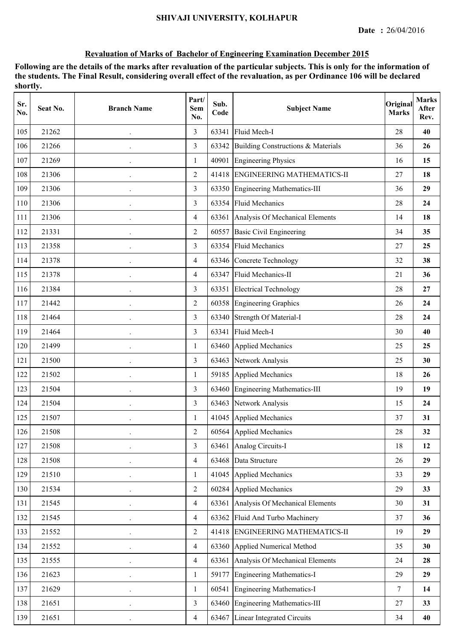| Sr.<br>No. | Seat No. | <b>Branch Name</b>   | Part/<br><b>Sem</b><br>No. | Sub.<br>Code | <b>Subject Name</b>                   | Original<br><b>Marks</b> | <b>Marks</b><br>After<br>Rev. |
|------------|----------|----------------------|----------------------------|--------------|---------------------------------------|--------------------------|-------------------------------|
| 105        | 21262    |                      | 3                          | 63341        | Fluid Mech-I                          | 28                       | 40                            |
| 106        | 21266    |                      | $\overline{3}$             | 63342        | Building Constructions & Materials    | 36                       | 26                            |
| 107        | 21269    |                      | $\mathbf{1}$               | 40901        | <b>Engineering Physics</b>            | 16                       | 15                            |
| 108        | 21306    |                      | $\overline{2}$             |              | 41418 ENGINEERING MATHEMATICS-II      | 27                       | 18                            |
| 109        | 21306    |                      | 3                          |              | 63350 Engineering Mathematics-III     | 36                       | 29                            |
| 110        | 21306    |                      | $\overline{3}$             | 63354        | <b>Fluid Mechanics</b>                | 28                       | 24                            |
| 111        | 21306    |                      | $\overline{4}$             |              | 63361 Analysis Of Mechanical Elements | 14                       | 18                            |
| 112        | 21331    |                      | $\overline{2}$             | 60557        | <b>Basic Civil Engineering</b>        | 34                       | 35                            |
| 113        | 21358    |                      | 3                          | 63354        | <b>Fluid Mechanics</b>                | 27                       | 25                            |
| 114        | 21378    |                      | $\overline{4}$             |              | 63346 Concrete Technology             | 32                       | 38                            |
| 115        | 21378    |                      | $\overline{4}$             |              | 63347 Fluid Mechanics-II              | 21                       | 36                            |
| 116        | 21384    |                      | 3                          |              | 63351 Electrical Technology           | 28                       | 27                            |
| 117        | 21442    |                      | $\overline{2}$             |              | 60358 Engineering Graphics            | 26                       | 24                            |
| 118        | 21464    |                      | $\overline{3}$             | 63340        | Strength Of Material-I                | 28                       | 24                            |
| 119        | 21464    |                      | 3                          | 63341        | Fluid Mech-I                          | 30                       | 40                            |
| 120        | 21499    |                      | $\mathbf{1}$               |              | 63460 Applied Mechanics               | 25                       | 25                            |
| 121        | 21500    |                      | 3                          | 63463        | Network Analysis                      | 25                       | 30                            |
| 122        | 21502    |                      | $\mathbf{1}$               |              | 59185 Applied Mechanics               | 18                       | 26                            |
| 123        | 21504    | $\ddot{\phantom{0}}$ | 3                          |              | 63460 Engineering Mathematics-III     | 19                       | 19                            |
| 124        | 21504    |                      | 3                          |              | 63463 Network Analysis                | 15                       | 24                            |
| 125        | 21507    |                      | 1                          |              | 41045 Applied Mechanics               | 37                       | 31                            |
| 126        | 21508    |                      | $\mathfrak{2}$             |              | 60564 Applied Mechanics               | 28                       | 32                            |
| 127        | 21508    |                      | 3                          | 63461        | Analog Circuits-I                     | 18                       | 12                            |
| 128        | 21508    |                      | $\overline{4}$             |              | 63468 Data Structure                  | 26                       | 29                            |
| 129        | 21510    |                      | 1                          | 41045        | <b>Applied Mechanics</b>              | 33                       | 29                            |
| 130        | 21534    |                      | $\overline{2}$             |              | 60284 Applied Mechanics               | 29                       | 33                            |
| 131        | 21545    | $\ddot{\phantom{0}}$ | $\overline{4}$             |              | 63361 Analysis Of Mechanical Elements | 30                       | 31                            |
| 132        | 21545    |                      | $\overline{4}$             |              | 63362 Fluid And Turbo Machinery       | 37                       | 36                            |
| 133        | 21552    |                      | $\overline{2}$             |              | 41418 ENGINEERING MATHEMATICS-II      | 19                       | 29                            |
| 134        | 21552    |                      | $\overline{4}$             |              | 63360 Applied Numerical Method        | 35                       | 30                            |
| 135        | 21555    |                      | $\overline{4}$             |              | 63361 Analysis Of Mechanical Elements | 24                       | 28                            |
| 136        | 21623    |                      | 1                          | 59177        | Engineering Mathematics-I             | 29                       | 29                            |
| 137        | 21629    |                      | $\mathbf{1}$               | 60541        | <b>Engineering Mathematics-I</b>      | $\tau$                   | 14                            |
| 138        | 21651    |                      | $\overline{3}$             | 63460        | Engineering Mathematics-III           | $27\,$                   | 33                            |
| 139        | 21651    |                      | $\overline{4}$             |              | 63467 Linear Integrated Circuits      | 34                       | 40                            |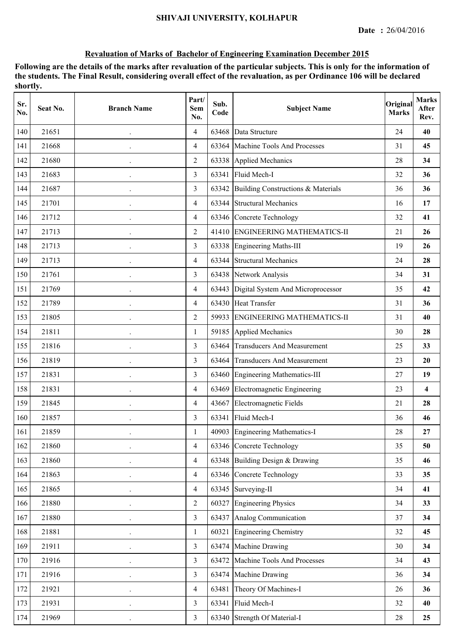| Sr.<br>No. | Seat No. | <b>Branch Name</b>   | Part/<br>Sem<br>No. | Sub.<br>Code | <b>Subject Name</b>                     | Original<br><b>Marks</b> | <b>Marks</b><br>After<br>Rev. |
|------------|----------|----------------------|---------------------|--------------|-----------------------------------------|--------------------------|-------------------------------|
| 140        | 21651    |                      | $\overline{4}$      | 63468        | Data Structure                          | 24                       | 40                            |
| 141        | 21668    |                      | $\overline{4}$      | 63364        | Machine Tools And Processes             | 31                       | 45                            |
| 142        | 21680    |                      | $\overline{2}$      |              | 63338 Applied Mechanics                 | 28                       | 34                            |
| 143        | 21683    | $\ddot{\phantom{0}}$ | 3                   |              | 63341 Fluid Mech-I                      | 32                       | 36                            |
| 144        | 21687    |                      | 3                   | 63342        | Building Constructions & Materials      | 36                       | 36                            |
| 145        | 21701    |                      | $\overline{4}$      |              | 63344 Structural Mechanics              | 16                       | 17                            |
| 146        | 21712    |                      | $\overline{4}$      |              | 63346 Concrete Technology               | 32                       | 41                            |
| 147        | 21713    |                      | $\overline{2}$      |              | 41410 ENGINEERING MATHEMATICS-II        | 21                       | 26                            |
| 148        | 21713    |                      | 3                   | 63338        | Engineering Maths-III                   | 19                       | 26                            |
| 149        | 21713    |                      | $\overline{4}$      | 63344        | <b>Structural Mechanics</b>             | 24                       | 28                            |
| 150        | 21761    |                      | $\overline{3}$      |              | 63438 Network Analysis                  | 34                       | 31                            |
| 151        | 21769    | $\cdot$              | $\overline{4}$      |              | 63443 Digital System And Microprocessor | 35                       | 42                            |
| 152        | 21789    |                      | $\overline{4}$      |              | 63430 Heat Transfer                     | 31                       | 36                            |
| 153        | 21805    |                      | $\overline{2}$      | 59933        | <b>ENGINEERING MATHEMATICS-II</b>       | 31                       | 40                            |
| 154        | 21811    |                      | $\mathbf{1}$        | 59185        | Applied Mechanics                       | 30                       | 28                            |
| 155        | 21816    |                      | 3                   | 63464        | <b>Transducers And Measurement</b>      | 25                       | 33                            |
| 156        | 21819    |                      | 3                   | 63464        | <b>Transducers And Measurement</b>      | 23                       | 20                            |
| 157        | 21831    |                      | 3                   | 63460        | Engineering Mathematics-III             | 27                       | 19                            |
| 158        | 21831    |                      | $\overline{4}$      | 63469        | Electromagnetic Engineering             | 23                       | $\overline{\mathbf{4}}$       |
| 159        | 21845    | $\bullet$            | $\overline{4}$      |              | 43667 Electromagnetic Fields            | 21                       | 28                            |
| 160        | 21857    |                      | 3                   | 63341        | Fluid Mech-I                            | 36                       | 46                            |
| 161        | 21859    |                      |                     |              | 40903 Engineering Mathematics-I         | 28                       | $\bf{27}$                     |
| 162        | 21860    |                      | $\overline{4}$      |              | 63346 Concrete Technology               | 35                       | 50                            |
| 163        | 21860    | $\cdot$              | $\overline{4}$      |              | 63348 Building Design & Drawing         | 35                       | 46                            |
| 164        | 21863    |                      | $\overline{4}$      |              | 63346 Concrete Technology               | 33                       | 35                            |
| 165        | 21865    |                      | $\overline{4}$      |              | 63345 Surveying-II                      | 34                       | 41                            |
| 166        | 21880    |                      | $\overline{2}$      |              | 60327 Engineering Physics               | 34                       | 33                            |
| 167        | 21880    | $\cdot$              | $\overline{3}$      |              | 63437 Analog Communication              | 37                       | 34                            |
| 168        | 21881    |                      | 1                   |              | 60321 Engineering Chemistry             | 32                       | 45                            |
| 169        | 21911    |                      | $\overline{3}$      |              | 63474 Machine Drawing                   | 30                       | 34                            |
| 170        | 21916    |                      | $\overline{3}$      | 63472        | Machine Tools And Processes             | 34                       | 43                            |
| 171        | 21916    | $\ddot{\phantom{1}}$ | $\overline{3}$      | 63474        | Machine Drawing                         | 36                       | 34                            |
| 172        | 21921    |                      | $\overline{4}$      | 63481        | Theory Of Machines-I                    | 26                       | 36                            |
| 173        | 21931    |                      | $\overline{3}$      | 63341        | Fluid Mech-I                            | 32                       | 40                            |
| 174        | 21969    | $\cdot$              | $\overline{3}$      |              | 63340 Strength Of Material-I            | $28\,$                   | 25                            |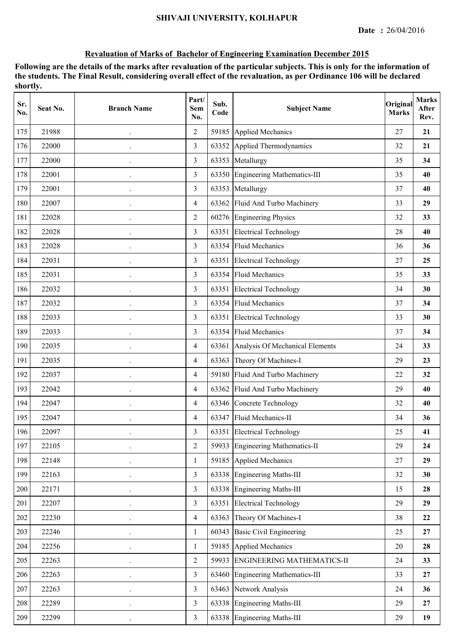| Sr.<br>No. | Seat No. | <b>Branch Name</b> | Part/<br>Sem<br>No. | Sub.<br>Code | <b>Subject Name</b>                   | Original<br><b>Marks</b> | <b>Marks</b><br>After<br>Rev. |
|------------|----------|--------------------|---------------------|--------------|---------------------------------------|--------------------------|-------------------------------|
| 175        | 21988    |                    | $\overline{2}$      | 59185        | Applied Mechanics                     | 27                       | 21                            |
| 176        | 22000    |                    | $\overline{3}$      | 63352        | Applied Thermodynamics                | 32                       | 21                            |
| 177        | 22000    |                    | 3                   | 63353        | Metallurgy                            | 35                       | 34                            |
| 178        | 22001    |                    | 3                   |              | 63350 Engineering Mathematics-III     | 35                       | 40                            |
| 179        | 22001    |                    | 3                   |              | 63353 Metallurgy                      | 37                       | 40                            |
| 180        | 22007    |                    | $\overline{4}$      | 63362        | Fluid And Turbo Machinery             | 33                       | 29                            |
| 181        | 22028    |                    | $\overline{2}$      |              | 60276 Engineering Physics             | 32                       | 33                            |
| 182        | 22028    |                    | 3                   | 63351        | <b>Electrical Technology</b>          | 28                       | 40                            |
| 183        | 22028    |                    | 3                   | 63354        | <b>Fluid Mechanics</b>                | 36                       | 36                            |
| 184        | 22031    |                    | 3                   | 63351        | <b>Electrical Technology</b>          | 27                       | 25                            |
| 185        | 22031    |                    | 3                   |              | 63354 Fluid Mechanics                 | 35                       | 33                            |
| 186        | 22032    | $\cdot$            | 3                   |              | 63351 Electrical Technology           | 34                       | 30                            |
| 187        | 22032    |                    | 3                   |              | 63354 Fluid Mechanics                 | 37                       | 34                            |
| 188        | 22033    |                    | 3                   | 63351        | <b>Electrical Technology</b>          | 33                       | 30                            |
| 189        | 22033    |                    | 3                   | 63354        | <b>Fluid Mechanics</b>                | 37                       | 34                            |
| 190        | 22035    |                    | $\overline{4}$      |              | 63361 Analysis Of Mechanical Elements | 24                       | 33                            |
| 191        | 22035    |                    | $\overline{4}$      | 63363        | Theory Of Machines-I                  | 29                       | 23                            |
| 192        | 22037    |                    | $\overline{4}$      | 59180        | Fluid And Turbo Machinery             | 22                       | 32                            |
| 193        | 22042    |                    | $\overline{4}$      |              | 63362 Fluid And Turbo Machinery       | 29                       | 40                            |
| 194        | 22047    |                    | $\overline{4}$      |              | 63346 Concrete Technology             | 32                       | 40                            |
| 195        | 22047    |                    | $\overline{4}$      |              | 63347 Fluid Mechanics-II              | 34                       | 36                            |
| 196        | 22097    |                    | 3                   |              | 63351 Electrical Technology           | 25                       | 41                            |
| 197        | 22105    |                    | $\overline{2}$      | 59933        | Engineering Mathematics-II            | 29                       | 24                            |
| 198        | 22148    |                    | 1                   |              | 59185 Applied Mechanics               | 27                       | 29                            |
| 199        | 22163    |                    | $\overline{3}$      | 63338        | Engineering Maths-III                 | 32                       | 30                            |
| 200        | 22171    |                    | $\overline{3}$      |              | 63338 Engineering Maths-III           | 15                       | 28                            |
| 201        | 22207    |                    | $\overline{3}$      | 63351        | <b>Electrical Technology</b>          | 29                       | 29                            |
| 202        | 22230    |                    | $\overline{4}$      |              | 63363 Theory Of Machines-I            | 38                       | 22                            |
| 203        | 22246    |                    | 1                   | 60343        | <b>Basic Civil Engineering</b>        | 25                       | 27                            |
| 204        | 22256    |                    | $\mathbf{1}$        | 59185        | Applied Mechanics                     | 20                       | 28                            |
| 205        | 22263    |                    | $\overline{2}$      | 59933        | <b>ENGINEERING MATHEMATICS-II</b>     | 24                       | 33                            |
| 206        | 22263    |                    | 3                   | 63460        | Engineering Mathematics-III           | 33                       | 27                            |
| 207        | 22263    |                    | $\overline{3}$      | 63463        | Network Analysis                      | 24                       | 36                            |
| 208        | 22289    |                    | $\overline{3}$      |              | 63338 Engineering Maths-III           | 29                       | 27                            |
| 209        | 22299    |                    | $\overline{3}$      |              | 63338 Engineering Maths-III           | 29                       | 19                            |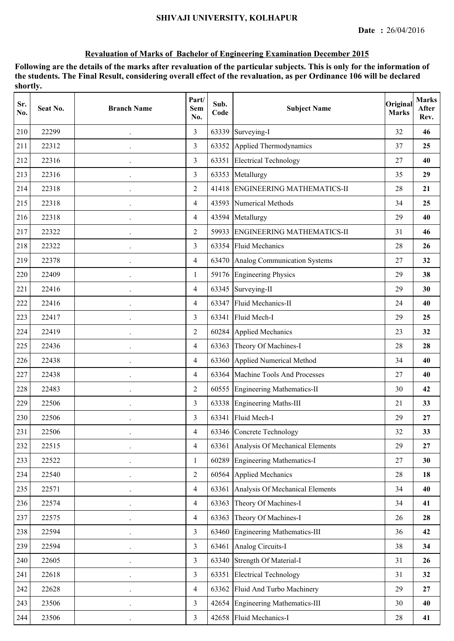| Sr.<br>No. | Seat No. | <b>Branch Name</b>   | Part/<br>Sem<br>No. | Sub.<br>Code | <b>Subject Name</b>                | Original<br><b>Marks</b> | <b>Marks</b><br>After<br>Rev. |
|------------|----------|----------------------|---------------------|--------------|------------------------------------|--------------------------|-------------------------------|
| 210        | 22299    |                      | 3                   | 63339        | Surveying-I                        | 32                       | 46                            |
| 211        | 22312    |                      | $\overline{3}$      | 63352        | Applied Thermodynamics             | 37                       | 25                            |
| 212        | 22316    |                      | 3                   | 63351        | <b>Electrical Technology</b>       | 27                       | 40                            |
| 213        | 22316    |                      | 3                   |              | 63353 Metallurgy                   | 35                       | 29                            |
| 214        | 22318    |                      | $\overline{2}$      | 41418        | <b>ENGINEERING MATHEMATICS-II</b>  | 28                       | 21                            |
| 215        | 22318    |                      | $\overline{4}$      | 43593        | Numerical Methods                  | 34                       | 25                            |
| 216        | 22318    |                      | $\overline{4}$      |              | 43594 Metallurgy                   | 29                       | 40                            |
| 217        | 22322    |                      | $\overline{2}$      | 59933        | <b>ENGINEERING MATHEMATICS-II</b>  | 31                       | 46                            |
| 218        | 22322    |                      | 3                   |              | 63354 Fluid Mechanics              | 28                       | 26                            |
| 219        | 22378    |                      | $\overline{4}$      |              | 63470 Analog Communication Systems | 27                       | 32                            |
| 220        | 22409    |                      | $\mathbf{1}$        |              | 59176 Engineering Physics          | 29                       | 38                            |
| 221        | 22416    | $\ddot{\phantom{0}}$ | $\overline{4}$      |              | 63345 Surveying-II                 | 29                       | 30                            |
| 222        | 22416    |                      | $\overline{4}$      | 63347        | Fluid Mechanics-II                 | 24                       | 40                            |
| 223        | 22417    |                      | 3                   | 63341        | Fluid Mech-I                       | 29                       | 25                            |
| 224        | 22419    | $\ddot{\phantom{0}}$ | $\overline{2}$      | 60284        | <b>Applied Mechanics</b>           | 23                       | 32                            |
| 225        | 22436    |                      | $\overline{4}$      | 63363        | Theory Of Machines-I               | 28                       | 28                            |
| 226        | 22438    |                      | $\overline{4}$      | 63360        | Applied Numerical Method           | 34                       | 40                            |
| 227        | 22438    |                      | $\overline{4}$      | 63364        | Machine Tools And Processes        | 27                       | 40                            |
| 228        | 22483    | $\cdot$              | $\overline{2}$      |              | 60555 Engineering Mathematics-II   | 30                       | 42                            |
| 229        | 22506    | $\ddot{\phantom{0}}$ | 3                   |              | 63338 Engineering Maths-III        | 21                       | 33                            |
| 230        | 22506    |                      | 3                   | 63341        | Fluid Mech-I                       | 29                       | 27                            |
| 231        | 22506    |                      | 4                   |              | 63346 Concrete Technology          | 32                       | 33                            |
| 232        | 22515    |                      | $\overline{4}$      | 63361        | Analysis Of Mechanical Elements    | 29                       | 27                            |
| 233        | 22522    |                      | 1                   | 60289        | <b>Engineering Mathematics-I</b>   | 27                       | 30                            |
| 234        | 22540    |                      | $\overline{2}$      | 60564        | Applied Mechanics                  | 28                       | 18                            |
| 235        | 22571    |                      | $\overline{4}$      | 63361        | Analysis Of Mechanical Elements    | 34                       | 40                            |
| 236        | 22574    | $\cdot$              | $\overline{4}$      | 63363        | Theory Of Machines-I               | 34                       | 41                            |
| 237        | 22575    |                      | $\overline{4}$      |              | 63363 Theory Of Machines-I         | 26                       | 28                            |
| 238        | 22594    |                      | $\overline{3}$      |              | 63460 Engineering Mathematics-III  | 36                       | 42                            |
| 239        | 22594    |                      | $\overline{3}$      |              | 63461 Analog Circuits-I            | 38                       | 34                            |
| 240        | 22605    |                      | $\overline{3}$      |              | 63340 Strength Of Material-I       | 31                       | 26                            |
| 241        | 22618    |                      | $\overline{3}$      | 63351        | <b>Electrical Technology</b>       | 31                       | 32                            |
| 242        | 22628    |                      | $\overline{4}$      |              | 63362 Fluid And Turbo Machinery    | 29                       | 27                            |
| 243        | 23506    |                      | $\overline{3}$      |              | 42654 Engineering Mathematics-III  | 30                       | 40                            |
| 244        | 23506    | $\cdot$              | $\overline{3}$      |              | 42658 Fluid Mechanics-I            | 28                       | 41                            |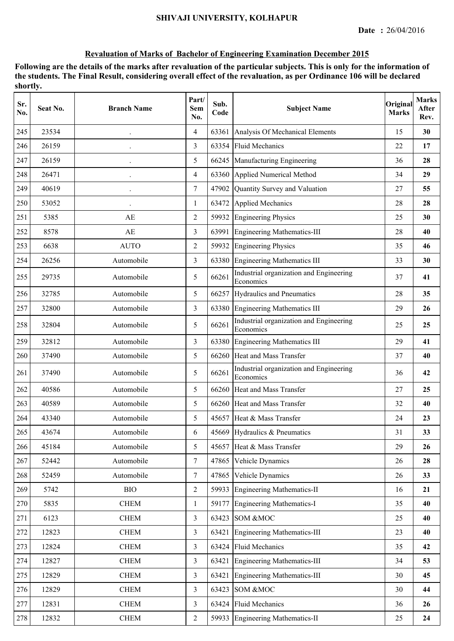| Sr.<br>No. | Seat No. | <b>Branch Name</b>   | Part/<br>Sem<br>No. | Sub.<br>Code | <b>Subject Name</b>                                  | Original<br><b>Marks</b> | <b>Marks</b><br>After<br>Rev. |
|------------|----------|----------------------|---------------------|--------------|------------------------------------------------------|--------------------------|-------------------------------|
| 245        | 23534    |                      | $\overline{4}$      | 63361        | Analysis Of Mechanical Elements                      | 15                       | 30                            |
| 246        | 26159    |                      | 3                   | 63354        | <b>Fluid Mechanics</b>                               | 22                       | 17                            |
| 247        | 26159    |                      | 5                   | 66245        | Manufacturing Engineering                            | 36                       | 28                            |
| 248        | 26471    | $\ddot{\phantom{0}}$ | $\overline{4}$      |              | 63360 Applied Numerical Method                       | 34                       | 29                            |
| 249        | 40619    | $\ddot{\phantom{0}}$ | $\tau$              | 47902        | Quantity Survey and Valuation                        | 27                       | 55                            |
| 250        | 53052    |                      | 1                   | 63472        | <b>Applied Mechanics</b>                             | 28                       | 28                            |
| 251        | 5385     | AE                   | $\overline{2}$      | 59932        | <b>Engineering Physics</b>                           | 25                       | 30                            |
| 252        | 8578     | AE                   | 3                   | 63991        | <b>Engineering Mathematics-III</b>                   | 28                       | 40                            |
| 253        | 6638     | <b>AUTO</b>          | 2                   | 59932        | <b>Engineering Physics</b>                           | 35                       | 46                            |
| 254        | 26256    | Automobile           | 3                   | 63380        | <b>Engineering Mathematics III</b>                   | 33                       | 30                            |
| 255        | 29735    | Automobile           | 5                   | 66261        | Industrial organization and Engineering<br>Economics | 37                       | 41                            |
| 256        | 32785    | Automobile           | 5                   |              | 66257 Hydraulics and Pneumatics                      | 28                       | 35                            |
| 257        | 32800    | Automobile           | 3                   | 63380        | <b>Engineering Mathematics III</b>                   | 29                       | 26                            |
| 258        | 32804    | Automobile           | 5                   | 66261        | Industrial organization and Engineering<br>Economics | 25                       | 25                            |
| 259        | 32812    | Automobile           | 3                   | 63380        | <b>Engineering Mathematics III</b>                   | 29                       | 41                            |
| 260        | 37490    | Automobile           | 5                   |              | 66260 Heat and Mass Transfer                         | 37                       | 40                            |
| 261        | 37490    | Automobile           | 5                   | 66261        | Industrial organization and Engineering<br>Economics | 36                       | 42                            |
| 262        | 40586    | Automobile           | 5                   |              | 66260 Heat and Mass Transfer                         | 27                       | 25                            |
| 263        | 40589    | Automobile           | 5                   |              | 66260 Heat and Mass Transfer                         | 32                       | 40                            |
| 264        | 43340    | Automobile           | 5                   | 45657        | Heat & Mass Transfer                                 | 24                       | 23                            |
| 265        | 43674    | Automobile           | 6                   |              | 45669 Hydraulics & Pneumatics                        | 31                       | 33                            |
| 266        | 45184    | Automobile           | 5                   | 45657        | Heat & Mass Transfer                                 | 29                       | 26                            |
| 267        | 52442    | Automobile           | 7                   |              | 47865 Vehicle Dynamics                               | 26                       | 28                            |
| 268        | 52459    | Automobile           | $\tau$              | 47865        | Vehicle Dynamics                                     | 26                       | 33                            |
| 269        | 5742     | BIO                  | $\overline{2}$      |              | 59933 Engineering Mathematics-II                     | 16                       | 21                            |
| 270        | 5835     | <b>CHEM</b>          | 1                   |              | 59177 Engineering Mathematics-I                      | 35                       | 40                            |
| 271        | 6123     | <b>CHEM</b>          | 3                   |              | 63423 SOM &MOC                                       | 25                       | 40                            |
| 272        | 12823    | <b>CHEM</b>          | $\overline{3}$      | 63421        | <b>Engineering Mathematics-III</b>                   | 23                       | 40                            |
| 273        | 12824    | <b>CHEM</b>          | $\overline{3}$      | 63424        | <b>Fluid Mechanics</b>                               | 35                       | 42                            |
| 274        | 12827    | <b>CHEM</b>          | 3                   | 63421        | <b>Engineering Mathematics-III</b>                   | 34                       | 53                            |
| 275        | 12829    | <b>CHEM</b>          | 3                   | 63421        | <b>Engineering Mathematics-III</b>                   | 30                       | 45                            |
| 276        | 12829    | <b>CHEM</b>          | 3                   | 63423        | SOM &MOC                                             | 30                       | 44                            |
| $277\,$    | 12831    | <b>CHEM</b>          | $\overline{3}$      | 63424        | <b>Fluid Mechanics</b>                               | 36                       | 26                            |
| 278        | 12832    | ${\rm CHEM}$         | $\overline{2}$      |              | 59933 Engineering Mathematics-II                     | 25                       | 24                            |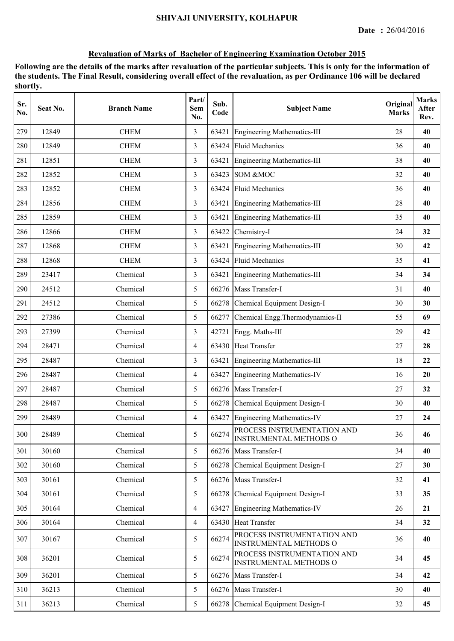| Sr.<br>No. | Seat No. | <b>Branch Name</b> | Part/<br><b>Sem</b><br>No. | Sub.<br>Code | <b>Subject Name</b>                                          | Original<br><b>Marks</b> | <b>Marks</b><br>After<br>Rev. |
|------------|----------|--------------------|----------------------------|--------------|--------------------------------------------------------------|--------------------------|-------------------------------|
| 279        | 12849    | <b>CHEM</b>        | 3                          | 63421        | <b>Engineering Mathematics-III</b>                           | 28                       | 40                            |
| 280        | 12849    | <b>CHEM</b>        | 3                          | 63424        | <b>Fluid Mechanics</b>                                       | 36                       | 40                            |
| 281        | 12851    | <b>CHEM</b>        | 3                          | 63421        | <b>Engineering Mathematics-III</b>                           | 38                       | 40                            |
| 282        | 12852    | <b>CHEM</b>        | 3                          | 63423        | SOM &MOC                                                     | 32                       | 40                            |
| 283        | 12852    | <b>CHEM</b>        | 3                          | 63424        | <b>Fluid Mechanics</b>                                       | 36                       | 40                            |
| 284        | 12856    | <b>CHEM</b>        | 3                          | 63421        | <b>Engineering Mathematics-III</b>                           | 28                       | 40                            |
| 285        | 12859    | <b>CHEM</b>        | 3                          | 63421        | <b>Engineering Mathematics-III</b>                           | 35                       | 40                            |
| 286        | 12866    | <b>CHEM</b>        | 3                          | 63422        | Chemistry-I                                                  | 24                       | 32                            |
| 287        | 12868    | <b>CHEM</b>        | 3                          | 63421        | <b>Engineering Mathematics-III</b>                           | 30                       | 42                            |
| 288        | 12868    | <b>CHEM</b>        | 3                          | 63424        | <b>Fluid Mechanics</b>                                       | 35                       | 41                            |
| 289        | 23417    | Chemical           | 3                          | 63421        | <b>Engineering Mathematics-III</b>                           | 34                       | 34                            |
| 290        | 24512    | Chemical           | 5                          |              | 66276 Mass Transfer-I                                        | 31                       | 40                            |
| 291        | 24512    | Chemical           | 5                          | 66278        | Chemical Equipment Design-I                                  | 30                       | 30                            |
| 292        | 27386    | Chemical           | 5                          | 66277        | Chemical Engg. Thermodynamics-II                             | 55                       | 69                            |
| 293        | 27399    | Chemical           | 3                          | 42721        | Engg. Maths-III                                              | 29                       | 42                            |
| 294        | 28471    | Chemical           | 4                          | 63430        | <b>Heat Transfer</b>                                         | 27                       | 28                            |
| 295        | 28487    | Chemical           | 3                          | 63421        | <b>Engineering Mathematics-III</b>                           | 18                       | 22                            |
| 296        | 28487    | Chemical           | $\overline{4}$             | 63427        | <b>Engineering Mathematics-IV</b>                            | 16                       | 20                            |
| 297        | 28487    | Chemical           | 5                          | 66276        | Mass Transfer-I                                              | 27                       | 32                            |
| 298        | 28487    | Chemical           | 5                          | 66278        | Chemical Equipment Design-I                                  | 30                       | 40                            |
| 299        | 28489    | Chemical           | $\overline{4}$             |              | 63427 Engineering Mathematics-IV                             | 27                       | 24                            |
| 300        | 28489    | Chemical           | 5                          | 66274        | PROCESS INSTRUMENTATION AND<br><b>INSTRUMENTAL METHODS O</b> | 36                       | 46                            |
| 301        | 30160    | Chemical           | 5                          | 66276        | Mass Transfer-I                                              | 34                       | 40                            |
| 302        | 30160    | Chemical           | 5                          | 66278        | Chemical Equipment Design-I                                  | 27                       | 30                            |
| 303        | 30161    | Chemical           | 5                          |              | 66276 Mass Transfer-I                                        | 32                       | 41                            |
| 304        | 30161    | Chemical           | 5                          | 66278        | Chemical Equipment Design-I                                  | 33                       | 35                            |
| 305        | 30164    | Chemical           | $\overline{4}$             | 63427        | <b>Engineering Mathematics-IV</b>                            | 26                       | 21                            |
| 306        | 30164    | Chemical           | $\overline{4}$             |              | 63430 Heat Transfer                                          | 34                       | 32                            |
| 307        | 30167    | Chemical           | 5                          | 66274        | PROCESS INSTRUMENTATION AND<br><b>INSTRUMENTAL METHODS O</b> | 36                       | 40                            |
| 308        | 36201    | Chemical           | 5                          | 66274        | PROCESS INSTRUMENTATION AND<br><b>INSTRUMENTAL METHODS O</b> | 34                       | 45                            |
| 309        | 36201    | Chemical           | 5                          | 66276        | Mass Transfer-I                                              | 34                       | 42                            |
| 310        | 36213    | Chemical           | 5                          | 66276        | Mass Transfer-I                                              | 30                       | 40                            |
| 311        | 36213    | Chemical           | 5                          | 66278        | Chemical Equipment Design-I                                  | 32                       | 45                            |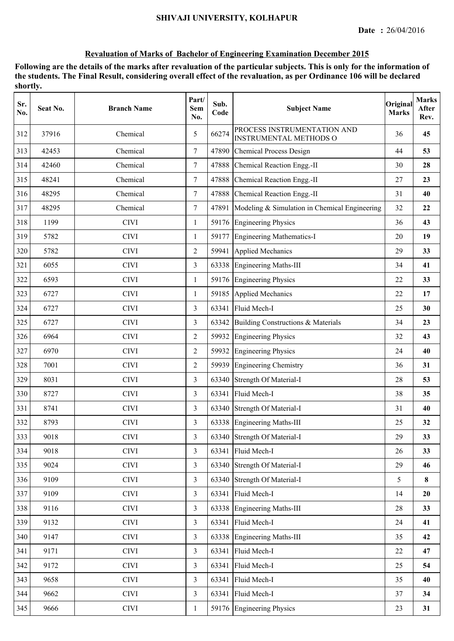| Sr.<br>No. | Seat No. | <b>Branch Name</b> | Part/<br>Sem<br>No. | Sub.<br>Code | <b>Subject Name</b>                                          | Original<br><b>Marks</b> | <b>Marks</b><br>After<br>Rev. |
|------------|----------|--------------------|---------------------|--------------|--------------------------------------------------------------|--------------------------|-------------------------------|
| 312        | 37916    | Chemical           | 5                   | 66274        | PROCESS INSTRUMENTATION AND<br><b>INSTRUMENTAL METHODS O</b> | 36                       | 45                            |
| 313        | 42453    | Chemical           | $\overline{7}$      | 47890        | <b>Chemical Process Design</b>                               | 44                       | 53                            |
| 314        | 42460    | Chemical           | $\overline{7}$      | 47888        | Chemical Reaction Engg.-II                                   | 30                       | 28                            |
| 315        | 48241    | Chemical           | $\tau$              | 47888        | Chemical Reaction Engg.-II                                   | 27                       | 23                            |
| 316        | 48295    | Chemical           | $\tau$              |              | 47888 Chemical Reaction Engg.-II                             | 31                       | 40                            |
| 317        | 48295    | Chemical           | $\tau$              | 47891        | Modeling & Simulation in Chemical Engineering                | 32                       | 22                            |
| 318        | 1199     | <b>CIVI</b>        | $\mathbf{1}$        | 59176        | <b>Engineering Physics</b>                                   | 36                       | 43                            |
| 319        | 5782     | <b>CIVI</b>        | 1                   | 59177        | Engineering Mathematics-I                                    | 20                       | 19                            |
| 320        | 5782     | <b>CIVI</b>        | 2                   | 59941        | <b>Applied Mechanics</b>                                     | 29                       | 33                            |
| 321        | 6055     | <b>CIVI</b>        | 3                   |              | 63338 Engineering Maths-III                                  | 34                       | 41                            |
| 322        | 6593     | <b>CIVI</b>        | $\mathbf{1}$        |              | 59176 Engineering Physics                                    | 22                       | 33                            |
| 323        | 6727     | <b>CIVI</b>        | $\mathbf{1}$        |              | 59185 Applied Mechanics                                      | 22                       | 17                            |
| 324        | 6727     | <b>CIVI</b>        | 3                   | 63341        | Fluid Mech-I                                                 | 25                       | 30                            |
| 325        | 6727     | <b>CIVI</b>        | 3                   | 63342        | Building Constructions & Materials                           | 34                       | 23                            |
| 326        | 6964     | <b>CIVI</b>        | $\overline{2}$      | 59932        | <b>Engineering Physics</b>                                   | 32                       | 43                            |
| 327        | 6970     | <b>CIVI</b>        | 2                   | 59932        | <b>Engineering Physics</b>                                   | 24                       | 40                            |
| 328        | 7001     | <b>CIVI</b>        | $\overline{2}$      | 59939        | <b>Engineering Chemistry</b>                                 | 36                       | 31                            |
| 329        | 8031     | <b>CIVI</b>        | $\overline{3}$      | 63340        | Strength Of Material-I                                       | 28                       | 53                            |
| 330        | 8727     | <b>CIVI</b>        | 3                   | 63341        | Fluid Mech-I                                                 | 38                       | 35                            |
| 331        | 8741     | <b>CIVI</b>        | 3                   |              | 63340 Strength Of Material-I                                 | 31                       | 40                            |
| 332        | 8793     | <b>CIVI</b>        | 3                   |              | 63338 Engineering Maths-III                                  | 25                       | 32                            |
| 333        | 9018     | CIVI               | 3                   |              | 63340 Strength Of Material-I                                 | 29                       | 33                            |
| 334        | 9018     | <b>CIVI</b>        | $\overline{3}$      | 63341        | Fluid Mech-I                                                 | 26                       | 33                            |
| 335        | 9024     | <b>CIVI</b>        | $\overline{3}$      |              | 63340 Strength Of Material-I                                 | 29                       | 46                            |
| 336        | 9109     | <b>CIVI</b>        | $\overline{3}$      | 63340        | Strength Of Material-I                                       | 5                        | 8                             |
| 337        | 9109     | <b>CIVI</b>        | $\mathfrak{Z}$      | 63341        | Fluid Mech-I                                                 | 14                       | 20                            |
| 338        | 9116     | <b>CIVI</b>        | $\overline{3}$      |              | 63338 Engineering Maths-III                                  | $28\,$                   | 33                            |
| 339        | 9132     | <b>CIVI</b>        | $\overline{3}$      |              | 63341 Fluid Mech-I                                           | 24                       | 41                            |
| 340        | 9147     | <b>CIVI</b>        | $\overline{3}$      |              | 63338 Engineering Maths-III                                  | 35                       | 42                            |
| 341        | 9171     | <b>CIVI</b>        | $\overline{3}$      | 63341        | Fluid Mech-I                                                 | 22                       | 47                            |
| 342        | 9172     | <b>CIVI</b>        | $\overline{3}$      | 63341        | Fluid Mech-I                                                 | 25                       | 54                            |
| 343        | 9658     | <b>CIVI</b>        | $\overline{3}$      | 63341        | Fluid Mech-I                                                 | 35                       | 40                            |
| 344        | 9662     | <b>CIVI</b>        | $\overline{3}$      | 63341        | Fluid Mech-I                                                 | 37                       | 34                            |
| 345        | 9666     | <b>CIVI</b>        | $\mathbf{1}$        |              | 59176 Engineering Physics                                    | 23                       | 31                            |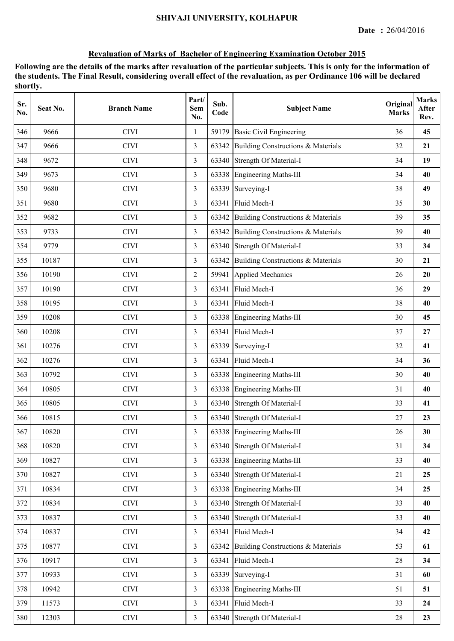| Sr.<br>No. | Seat No. | <b>Branch Name</b> | Part/<br><b>Sem</b><br>No. | Sub.<br>Code | <b>Subject Name</b>                | Original<br><b>Marks</b> | <b>Marks</b><br>After<br>Rev. |
|------------|----------|--------------------|----------------------------|--------------|------------------------------------|--------------------------|-------------------------------|
| 346        | 9666     | <b>CIVI</b>        | 1                          | 59179        | <b>Basic Civil Engineering</b>     | 36                       | 45                            |
| 347        | 9666     | <b>CIVI</b>        | $\overline{3}$             | 63342        | Building Constructions & Materials | 32                       | 21                            |
| 348        | 9672     | <b>CIVI</b>        | 3                          |              | 63340 Strength Of Material-I       | 34                       | 19                            |
| 349        | 9673     | <b>CIVI</b>        | 3                          |              | 63338 Engineering Maths-III        | 34                       | 40                            |
| 350        | 9680     | <b>CIVI</b>        | 3                          | 63339        | Surveying-I                        | 38                       | 49                            |
| 351        | 9680     | <b>CIVI</b>        | $\overline{3}$             | 63341        | Fluid Mech-I                       | 35                       | 30                            |
| 352        | 9682     | <b>CIVI</b>        | 3                          | 63342        | Building Constructions & Materials | 39                       | 35                            |
| 353        | 9733     | <b>CIVI</b>        | 3                          | 63342        | Building Constructions & Materials | 39                       | 40                            |
| 354        | 9779     | <b>CIVI</b>        | 3                          |              | 63340 Strength Of Material-I       | 33                       | 34                            |
| 355        | 10187    | <b>CIVI</b>        | 3                          | 63342        | Building Constructions & Materials | 30                       | 21                            |
| 356        | 10190    | <b>CIVI</b>        | $\overline{2}$             | 59941        | <b>Applied Mechanics</b>           | 26                       | 20                            |
| 357        | 10190    | <b>CIVI</b>        | 3                          | 63341        | Fluid Mech-I                       | 36                       | 29                            |
| 358        | 10195    | <b>CIVI</b>        | 3                          | 63341        | Fluid Mech-I                       | 38                       | 40                            |
| 359        | 10208    | <b>CIVI</b>        | 3                          | 63338        | <b>Engineering Maths-III</b>       | 30                       | 45                            |
| 360        | 10208    | <b>CIVI</b>        | 3                          | 63341        | Fluid Mech-I                       | 37                       | 27                            |
| 361        | 10276    | <b>CIVI</b>        | 3                          | 63339        | Surveying-I                        | 32                       | 41                            |
| 362        | 10276    | <b>CIVI</b>        | 3                          | 63341        | Fluid Mech-I                       | 34                       | 36                            |
| 363        | 10792    | <b>CIVI</b>        | 3                          |              | 63338 Engineering Maths-III        | 30                       | 40                            |
| 364        | 10805    | <b>CIVI</b>        | 3                          |              | 63338 Engineering Maths-III        | 31                       | 40                            |
| 365        | 10805    | <b>CIVI</b>        | 3                          |              | 63340 Strength Of Material-I       | 33                       | 41                            |
| 366        | 10815    | <b>CIVI</b>        | 3                          |              | 63340 Strength Of Material-I       | 27                       | 23                            |
| 367        | 10820    | <b>CIVI</b>        | 3                          |              | 63338 Engineering Maths-III        | 26                       | 30                            |
| 368        | 10820    | <b>CIVI</b>        | $\overline{3}$             | 63340        | Strength Of Material-I             | 31                       | 34                            |
| 369        | 10827    | <b>CIVI</b>        | 3                          |              | 63338 Engineering Maths-III        | 33                       | 40                            |
| 370        | 10827    | <b>CIVI</b>        | $\overline{3}$             |              | 63340 Strength Of Material-I       | 21                       | 25                            |
| 371        | 10834    | <b>CIVI</b>        | $\overline{3}$             |              | 63338 Engineering Maths-III        | 34                       | 25                            |
| 372        | 10834    | <b>CIVI</b>        | $\overline{3}$             |              | 63340 Strength Of Material-I       | 33                       | 40                            |
| 373        | 10837    | <b>CIVI</b>        | $\overline{3}$             |              | 63340 Strength Of Material-I       | 33                       | 40                            |
| 374        | 10837    | <b>CIVI</b>        | $\overline{3}$             | 63341        | Fluid Mech-I                       | 34                       | 42                            |
| 375        | 10877    | <b>CIVI</b>        | $\overline{3}$             | 63342        | Building Constructions & Materials | 53                       | 61                            |
| 376        | 10917    | <b>CIVI</b>        | 3                          | 63341        | Fluid Mech-I                       | 28                       | 34                            |
| 377        | 10933    | <b>CIVI</b>        | $\overline{3}$             | 63339        | Surveying-I                        | 31                       | 60                            |
| 378        | 10942    | <b>CIVI</b>        | $\overline{3}$             |              | 63338 Engineering Maths-III        | 51                       | 51                            |
| 379        | 11573    | <b>CIVI</b>        | $\overline{3}$             | 63341        | Fluid Mech-I                       | 33                       | 24                            |
| 380        | 12303    | $\rm CIVI$         | $\mathfrak{Z}$             |              | 63340 Strength Of Material-I       | 28                       | 23                            |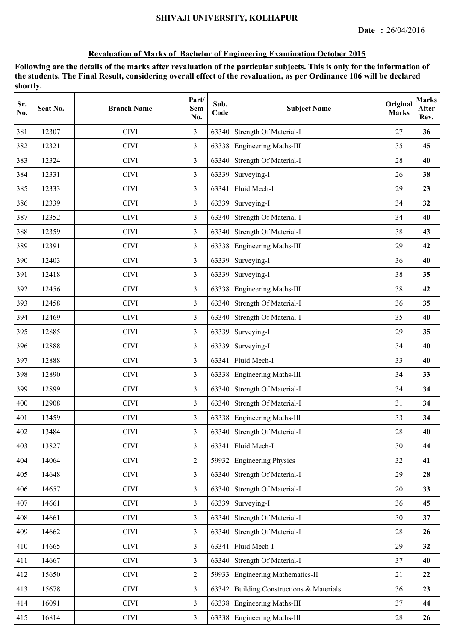| Sr.<br>No. | Seat No. | <b>Branch Name</b> | Part/<br>Sem<br>No. | Sub.<br>Code | <b>Subject Name</b>                | Original<br><b>Marks</b> | <b>Marks</b><br>After<br>Rev. |
|------------|----------|--------------------|---------------------|--------------|------------------------------------|--------------------------|-------------------------------|
| 381        | 12307    | <b>CIVI</b>        | 3                   | 63340        | Strength Of Material-I             | 27                       | 36                            |
| 382        | 12321    | <b>CIVI</b>        | $\overline{3}$      |              | 63338 Engineering Maths-III        | 35                       | 45                            |
| 383        | 12324    | <b>CIVI</b>        | 3                   |              | 63340 Strength Of Material-I       | 28                       | 40                            |
| 384        | 12331    | <b>CIVI</b>        | 3                   |              | 63339 Surveying-I                  | 26                       | 38                            |
| 385        | 12333    | <b>CIVI</b>        | 3                   | 63341        | Fluid Mech-I                       | 29                       | 23                            |
| 386        | 12339    | <b>CIVI</b>        | 3                   | 63339        | Surveying-I                        | 34                       | 32                            |
| 387        | 12352    | <b>CIVI</b>        | 3                   |              | 63340 Strength Of Material-I       | 34                       | 40                            |
| 388        | 12359    | <b>CIVI</b>        | 3                   | 63340        | <b>Strength Of Material-I</b>      | 38                       | 43                            |
| 389        | 12391    | <b>CIVI</b>        | 3                   |              | 63338 Engineering Maths-III        | 29                       | 42                            |
| 390        | 12403    | <b>CIVI</b>        | 3                   | 63339        | Surveying-I                        | 36                       | 40                            |
| 391        | 12418    | <b>CIVI</b>        | 3                   | 63339        | Surveying-I                        | 38                       | 35                            |
| 392        | 12456    | <b>CIVI</b>        | 3                   |              | 63338 Engineering Maths-III        | 38                       | 42                            |
| 393        | 12458    | <b>CIVI</b>        | 3                   |              | 63340 Strength Of Material-I       | 36                       | 35                            |
| 394        | 12469    | <b>CIVI</b>        | 3                   | 63340        | <b>Strength Of Material-I</b>      | 35                       | 40                            |
| 395        | 12885    | <b>CIVI</b>        | 3                   | 63339        | Surveying-I                        | 29                       | 35                            |
| 396        | 12888    | <b>CIVI</b>        | 3                   | 63339        | Surveying-I                        | 34                       | 40                            |
| 397        | 12888    | <b>CIVI</b>        | 3                   | 63341        | Fluid Mech-I                       | 33                       | 40                            |
| 398        | 12890    | <b>CIVI</b>        | $\overline{3}$      |              | 63338 Engineering Maths-III        | 34                       | 33                            |
| 399        | 12899    | <b>CIVI</b>        | 3                   |              | 63340 Strength Of Material-I       | 34                       | 34                            |
| 400        | 12908    | <b>CIVI</b>        | 3                   |              | 63340 Strength Of Material-I       | 31                       | 34                            |
| 401        | 13459    | <b>CIVI</b>        | 3                   |              | 63338 Engineering Maths-III        | 33                       | 34                            |
| 402        | 13484    | <b>CIVI</b>        | $\mathfrak{Z}$      |              | 63340 Strength Of Material-I       | 28                       | 40                            |
| 403        | 13827    | <b>CIVI</b>        | 3                   | 63341        | Fluid Mech-I                       | 30                       | 44                            |
| 404        | 14064    | <b>CIVI</b>        | $\overline{2}$      |              | 59932 Engineering Physics          | 32                       | 41                            |
| 405        | 14648    | <b>CIVI</b>        | $\overline{3}$      |              | 63340 Strength Of Material-I       | 29                       | 28                            |
| 406        | 14657    | <b>CIVI</b>        | $\overline{3}$      |              | 63340 Strength Of Material-I       | $20\,$                   | 33                            |
| 407        | 14661    | <b>CIVI</b>        | $\overline{3}$      |              | 63339 Surveying-I                  | 36                       | 45                            |
| 408        | 14661    | <b>CIVI</b>        | $\overline{3}$      |              | 63340 Strength Of Material-I       | 30                       | 37                            |
| 409        | 14662    | <b>CIVI</b>        | $\overline{3}$      |              | 63340 Strength Of Material-I       | 28                       | 26                            |
| 410        | 14665    | <b>CIVI</b>        | $\overline{3}$      | 63341        | Fluid Mech-I                       | 29                       | 32                            |
| 411        | 14667    | <b>CIVI</b>        | $\overline{3}$      |              | 63340 Strength Of Material-I       | 37                       | 40                            |
| 412        | 15650    | <b>CIVI</b>        | $\overline{2}$      | 59933        | <b>Engineering Mathematics-II</b>  | 21                       | 22                            |
| 413        | 15678    | <b>CIVI</b>        | $\overline{3}$      | 63342        | Building Constructions & Materials | 36                       | 23                            |
| 414        | 16091    | <b>CIVI</b>        | $\overline{3}$      | 63338        | <b>Engineering Maths-III</b>       | 37                       | 44                            |
| 415        | 16814    | <b>CIVI</b>        | $\mathfrak{Z}$      |              | 63338 Engineering Maths-III        | 28                       | 26                            |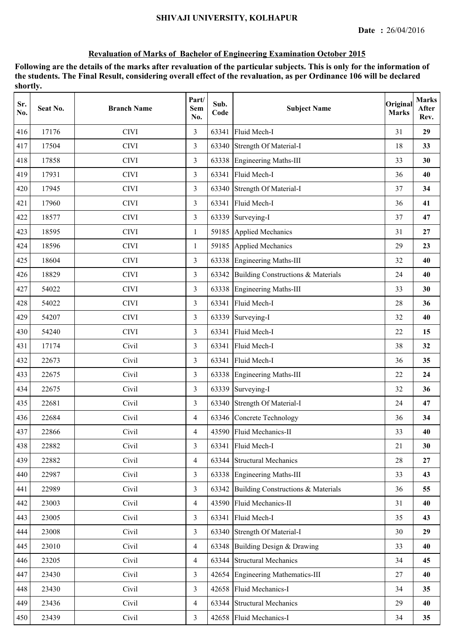| Sr.<br>No. | Seat No. | <b>Branch Name</b> | Part/<br><b>Sem</b><br>No. | Sub.<br>Code | <b>Subject Name</b>                      | Original<br><b>Marks</b> | <b>Marks</b><br>After<br>Rev. |
|------------|----------|--------------------|----------------------------|--------------|------------------------------------------|--------------------------|-------------------------------|
| 416        | 17176    | <b>CIVI</b>        | 3                          | 63341        | Fluid Mech-I                             | 31                       | 29                            |
| 417        | 17504    | <b>CIVI</b>        | 3                          | 63340        | Strength Of Material-I                   | 18                       | 33                            |
| 418        | 17858    | <b>CIVI</b>        | 3                          |              | 63338 Engineering Maths-III              | 33                       | 30                            |
| 419        | 17931    | <b>CIVI</b>        | 3                          |              | 63341 Fluid Mech-I                       | 36                       | 40                            |
| 420        | 17945    | <b>CIVI</b>        | 3                          |              | 63340 Strength Of Material-I             | 37                       | 34                            |
| 421        | 17960    | <b>CIVI</b>        | $\overline{3}$             | 63341        | Fluid Mech-I                             | 36                       | 41                            |
| 422        | 18577    | <b>CIVI</b>        | 3                          | 63339        | Surveying-I                              | 37                       | 47                            |
| 423        | 18595    | <b>CIVI</b>        | 1                          | 59185        | <b>Applied Mechanics</b>                 | 31                       | 27                            |
| 424        | 18596    | <b>CIVI</b>        | 1                          | 59185        | Applied Mechanics                        | 29                       | 23                            |
| 425        | 18604    | <b>CIVI</b>        | 3                          |              | 63338 Engineering Maths-III              | 32                       | 40                            |
| 426        | 18829    | <b>CIVI</b>        | 3                          |              | 63342 Building Constructions & Materials | 24                       | 40                            |
| 427        | 54022    | <b>CIVI</b>        | 3                          |              | 63338 Engineering Maths-III              | 33                       | 30                            |
| 428        | 54022    | <b>CIVI</b>        | 3                          | 63341        | Fluid Mech-I                             | 28                       | 36                            |
| 429        | 54207    | <b>CIVI</b>        | 3                          | 63339        | Surveying-I                              | 32                       | 40                            |
| 430        | 54240    | <b>CIVI</b>        | 3                          | 63341        | Fluid Mech-I                             | 22                       | 15                            |
| 431        | 17174    | Civil              | 3                          | 63341        | Fluid Mech-I                             | 38                       | 32                            |
| 432        | 22673    | Civil              | 3                          | 63341        | Fluid Mech-I                             | 36                       | 35                            |
| 433        | 22675    | Civil              | 3                          |              | 63338 Engineering Maths-III              | 22                       | 24                            |
| 434        | 22675    | Civil              | 3                          | 63339        | Surveying-I                              | 32                       | 36                            |
| 435        | 22681    | Civil              | 3                          |              | 63340 Strength Of Material-I             | 24                       | 47                            |
| 436        | 22684    | Civil              | $\overline{4}$             |              | 63346 Concrete Technology                | 36                       | 34                            |
| 437        | 22866    | Civil              | 4                          |              | 43590 Fluid Mechanics-II                 | 33                       | 40                            |
| 438        | 22882    | Civil              | 3                          | 63341        | Fluid Mech-I                             | 21                       | 30                            |
| 439        | 22882    | Civil              | $\overline{4}$             | 63344        | <b>Structural Mechanics</b>              | 28                       | 27                            |
| 440        | 22987    | Civil              | $\overline{3}$             | 63338        | <b>Engineering Maths-III</b>             | 33                       | 43                            |
| 441        | 22989    | Civil              | $\overline{3}$             | 63342        | Building Constructions & Materials       | 36                       | 55                            |
| 442        | 23003    | Civil              | $\overline{4}$             |              | 43590 Fluid Mechanics-II                 | 31                       | 40                            |
| 443        | 23005    | Civil              | 3                          |              | 63341 Fluid Mech-I                       | 35                       | 43                            |
| 444        | 23008    | Civil              | $\overline{3}$             |              | 63340 Strength Of Material-I             | 30                       | 29                            |
| 445        | 23010    | Civil              | $\overline{4}$             |              | 63348 Building Design & Drawing          | 33                       | 40                            |
| 446        | 23205    | Civil              | $\overline{4}$             |              | 63344 Structural Mechanics               | 34                       | 45                            |
| 447        | 23430    | Civil              | $\overline{3}$             | 42654        | <b>Engineering Mathematics-III</b>       | 27                       | 40                            |
| 448        | 23430    | Civil              | $\overline{3}$             | 42658        | Fluid Mechanics-I                        | 34                       | 35                            |
| 449        | 23436    | Civil              | $\overline{4}$             | 63344        | <b>Structural Mechanics</b>              | 29                       | 40                            |
| 450        | 23439    | Civil              | $\overline{3}$             |              | 42658 Fluid Mechanics-I                  | 34                       | 35                            |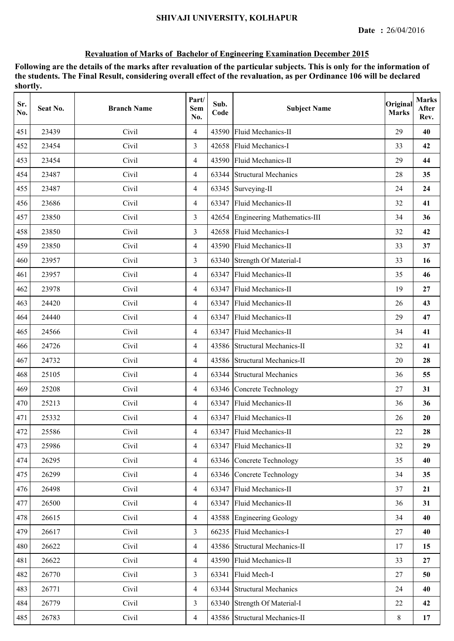| Sr.<br>No. | Seat No. | <b>Branch Name</b> | Part/<br>Sem<br>No. | Sub.<br>Code | <b>Subject Name</b>               | Original<br><b>Marks</b> | <b>Marks</b><br>After<br>Rev. |
|------------|----------|--------------------|---------------------|--------------|-----------------------------------|--------------------------|-------------------------------|
| 451        | 23439    | Civil              | $\overline{4}$      | 43590        | Fluid Mechanics-II                | 29                       | 40                            |
| 452        | 23454    | Civil              | 3                   |              | 42658 Fluid Mechanics-I           | 33                       | 42                            |
| 453        | 23454    | Civil              | $\overline{4}$      |              | 43590 Fluid Mechanics-II          | 29                       | 44                            |
| 454        | 23487    | Civil              | $\overline{4}$      |              | 63344 Structural Mechanics        | 28                       | 35                            |
| 455        | 23487    | Civil              | $\overline{4}$      |              | 63345 Surveying-II                | 24                       | 24                            |
| 456        | 23686    | Civil              | $\overline{4}$      |              | 63347 Fluid Mechanics-II          | 32                       | 41                            |
| 457        | 23850    | Civil              | 3                   |              | 42654 Engineering Mathematics-III | 34                       | 36                            |
| 458        | 23850    | Civil              | 3                   |              | 42658 Fluid Mechanics-I           | 32                       | 42                            |
| 459        | 23850    | Civil              | $\overline{4}$      |              | 43590 Fluid Mechanics-II          | 33                       | 37                            |
| 460        | 23957    | Civil              | 3                   |              | 63340 Strength Of Material-I      | 33                       | 16                            |
| 461        | 23957    | Civil              | $\overline{4}$      |              | 63347 Fluid Mechanics-II          | 35                       | 46                            |
| 462        | 23978    | Civil              | $\overline{4}$      |              | 63347 Fluid Mechanics-II          | 19                       | 27                            |
| 463        | 24420    | Civil              | $\overline{4}$      |              | 63347 Fluid Mechanics-II          | 26                       | 43                            |
| 464        | 24440    | Civil              | $\overline{4}$      | 63347        | <b>Fluid Mechanics-II</b>         | 29                       | 47                            |
| 465        | 24566    | Civil              | $\overline{4}$      | 63347        | Fluid Mechanics-II                | 34                       | 41                            |
| 466        | 24726    | Civil              | $\overline{4}$      |              | 43586 Structural Mechanics-II     | 32                       | 41                            |
| 467        | 24732    | Civil              | $\overline{4}$      |              | 43586 Structural Mechanics-II     | 20                       | 28                            |
| 468        | 25105    | Civil              | $\overline{4}$      | 63344        | <b>Structural Mechanics</b>       | 36                       | 55                            |
| 469        | 25208    | Civil              | $\overline{4}$      |              | 63346 Concrete Technology         | 27                       | 31                            |
| 470        | 25213    | Civil              | $\overline{4}$      |              | 63347 Fluid Mechanics-II          | 36                       | 36                            |
| 471        | 25332    | Civil              | $\overline{4}$      |              | 63347 Fluid Mechanics-II          | 26                       | 20                            |
| 472        | 25586    | Civil              | 4                   |              | 63347 Fluid Mechanics-II          | 22                       | 28                            |
| 473        | 25986    | Civil              | $\overline{4}$      | 63347        | Fluid Mechanics-II                | 32                       | 29                            |
| 474        | 26295    | Civil              | $\overline{4}$      |              | 63346 Concrete Technology         | 35                       | 40                            |
| 475        | 26299    | Civil              | $\overline{4}$      |              | 63346 Concrete Technology         | 34                       | 35                            |
| 476        | 26498    | Civil              | $\overline{4}$      |              | 63347 Fluid Mechanics-II          | 37                       | 21                            |
| 477        | 26500    | Civil              | $\overline{4}$      |              | 63347 Fluid Mechanics-II          | 36                       | 31                            |
| 478        | 26615    | Civil              | $\overline{4}$      |              | 43588 Engineering Geology         | 34                       | 40                            |
| 479        | 26617    | Civil              | $\overline{3}$      |              | 66235 Fluid Mechanics-I           | 27                       | 40                            |
| 480        | 26622    | Civil              | $\overline{4}$      |              | 43586 Structural Mechanics-II     | 17                       | 15                            |
| 481        | 26622    | Civil              | $\overline{4}$      |              | 43590 Fluid Mechanics-II          | 33                       | 27                            |
| 482        | 26770    | Civil              | $\overline{3}$      | 63341        | Fluid Mech-I                      | 27                       | 50                            |
| 483        | 26771    | Civil              | $\overline{4}$      |              | 63344 Structural Mechanics        | 24                       | 40                            |
| 484        | 26779    | Civil              | $\overline{3}$      | 63340        | Strength Of Material-I            | 22                       | 42                            |
| 485        | 26783    | Civil              | $\overline{4}$      |              | 43586 Structural Mechanics-II     | 8                        | 17                            |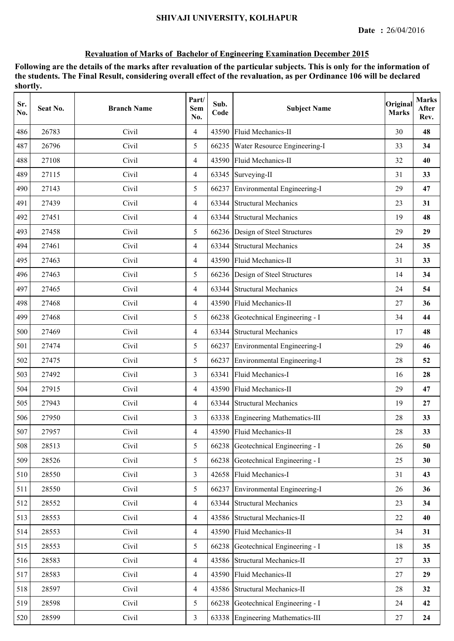| Sr.<br>No. | Seat No. | <b>Branch Name</b> | Part/<br><b>Sem</b><br>No. | Sub.<br>Code | <b>Subject Name</b>                | Original<br><b>Marks</b> | <b>Marks</b><br>After<br>Rev. |
|------------|----------|--------------------|----------------------------|--------------|------------------------------------|--------------------------|-------------------------------|
| 486        | 26783    | Civil              | $\overline{4}$             | 43590        | Fluid Mechanics-II                 | 30                       | 48                            |
| 487        | 26796    | Civil              | 5                          |              | 66235 Water Resource Engineering-I | 33                       | 34                            |
| 488        | 27108    | Civil              | $\overline{4}$             |              | 43590 Fluid Mechanics-II           | 32                       | 40                            |
| 489        | 27115    | Civil              | $\overline{4}$             |              | 63345 Surveying-II                 | 31                       | 33                            |
| 490        | 27143    | Civil              | 5                          | 66237        | Environmental Engineering-I        | 29                       | 47                            |
| 491        | 27439    | Civil              | $\overline{4}$             | 63344        | <b>Structural Mechanics</b>        | 23                       | 31                            |
| 492        | 27451    | Civil              | $\overline{4}$             | 63344        | <b>Structural Mechanics</b>        | 19                       | 48                            |
| 493        | 27458    | Civil              | 5                          |              | 66236 Design of Steel Structures   | 29                       | 29                            |
| 494        | 27461    | Civil              | $\overline{4}$             | 63344        | <b>Structural Mechanics</b>        | 24                       | 35                            |
| 495        | 27463    | Civil              | $\overline{4}$             |              | 43590 Fluid Mechanics-II           | 31                       | 33                            |
| 496        | 27463    | Civil              | 5                          |              | 66236 Design of Steel Structures   | 14                       | 34                            |
| 497        | 27465    | Civil              | $\overline{4}$             | 63344        | <b>Structural Mechanics</b>        | 24                       | 54                            |
| 498        | 27468    | Civil              | $\overline{4}$             |              | 43590 Fluid Mechanics-II           | 27                       | 36                            |
| 499        | 27468    | Civil              | 5                          |              | 66238 Geotechnical Engineering - I | 34                       | 44                            |
| 500        | 27469    | Civil              | $\overline{4}$             | 63344        | <b>Structural Mechanics</b>        | 17                       | 48                            |
| 501        | 27474    | Civil              | 5                          |              | 66237 Environmental Engineering-I  | 29                       | 46                            |
| 502        | 27475    | Civil              | 5                          | 66237        | Environmental Engineering-I        | 28                       | 52                            |
| 503        | 27492    | Civil              | $\overline{3}$             | 63341        | Fluid Mechanics-I                  | 16                       | 28                            |
| 504        | 27915    | Civil              | $\overline{4}$             |              | 43590 Fluid Mechanics-II           | 29                       | 47                            |
| 505        | 27943    | Civil              | $\overline{4}$             |              | 63344 Structural Mechanics         | 19                       | 27                            |
| 506        | 27950    | Civil              | 3                          |              | 63338 Engineering Mathematics-III  | 28                       | 33                            |
| 507        | 27957    | Civil              | $\overline{4}$             |              | 43590 Fluid Mechanics-II           | 28                       | 33                            |
| 508        | 28513    | Civil              | 5                          |              | 66238 Geotechnical Engineering - I | 26                       | 50                            |
| 509        | 28526    | Civil              | 5                          |              | 66238 Geotechnical Engineering - I | 25                       | 30                            |
| 510        | 28550    | Civil              | $\overline{3}$             | 42658        | Fluid Mechanics-I                  | 31                       | 43                            |
| 511        | 28550    | Civil              | 5                          | 66237        | Environmental Engineering-I        | 26                       | 36                            |
| 512        | 28552    | Civil              | $\overline{4}$             |              | 63344 Structural Mechanics         | 23                       | 34                            |
| 513        | 28553    | Civil              | $\overline{4}$             |              | 43586 Structural Mechanics-II      | 22                       | 40                            |
| 514        | 28553    | Civil              | $\overline{4}$             |              | 43590 Fluid Mechanics-II           | 34                       | 31                            |
| 515        | 28553    | Civil              | 5                          |              | 66238 Geotechnical Engineering - I | 18                       | 35                            |
| 516        | 28583    | Civil              | $\overline{4}$             |              | 43586 Structural Mechanics-II      | 27                       | 33                            |
| 517        | 28583    | Civil              | $\overline{4}$             | 43590        | Fluid Mechanics-II                 | 27                       | 29                            |
| 518        | 28597    | Civil              | $\overline{4}$             |              | 43586 Structural Mechanics-II      | 28                       | 32                            |
| 519        | 28598    | Civil              | 5                          |              | 66238 Geotechnical Engineering - I | 24                       | 42                            |
| 520        | 28599    | Civil              | $\overline{3}$             |              | 63338 Engineering Mathematics-III  | 27                       | 24                            |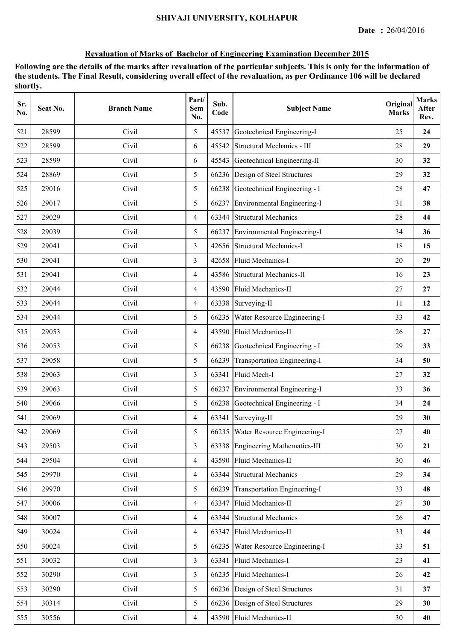| Sr.<br>No. | Seat No. | <b>Branch Name</b> | Part/<br>Sem<br>No. | Sub.<br>Code | <b>Subject Name</b>                  | Original<br><b>Marks</b> | <b>Marks</b><br>After<br>Rev. |
|------------|----------|--------------------|---------------------|--------------|--------------------------------------|--------------------------|-------------------------------|
| 521        | 28599    | Civil              | 5                   | 45537        | Geotechnical Engineering-I           | 25                       | 24                            |
| 522        | 28599    | Civil              | 6                   | 45542        | Structural Mechanics - III           | 28                       | 29                            |
| 523        | 28599    | Civil              | 6                   | 45543        | Geotechnical Engineering-II          | 30                       | 32                            |
| 524        | 28869    | Civil              | 5                   |              | 66236 Design of Steel Structures     | 29                       | 32                            |
| 525        | 29016    | Civil              | 5                   |              | 66238 Geotechnical Engineering - I   | 28                       | 47                            |
| 526        | 29017    | Civil              | 5                   |              | 66237 Environmental Engineering-I    | 31                       | 38                            |
| 527        | 29029    | Civil              | $\overline{4}$      | 63344        | <b>Structural Mechanics</b>          | 28                       | 44                            |
| 528        | 29039    | Civil              | 5                   | 66237        | Environmental Engineering-I          | 34                       | 36                            |
| 529        | 29041    | Civil              | 3                   |              | 42656 Structural Mechanics-I         | 18                       | 15                            |
| 530        | 29041    | Civil              | 3                   | 42658        | Fluid Mechanics-I                    | 20                       | 29                            |
| 531        | 29041    | Civil              | $\overline{4}$      |              | 43586 Structural Mechanics-II        | 16                       | 23                            |
| 532        | 29044    | Civil              | $\overline{4}$      |              | 43590 Fluid Mechanics-II             | 27                       | 27                            |
| 533        | 29044    | Civil              | $\overline{4}$      |              | 63338 Surveying-II                   | 11                       | 12                            |
| 534        | 29044    | Civil              | 5                   | 66235        | Water Resource Engineering-I         | 33                       | 42                            |
| 535        | 29053    | Civil              | $\overline{4}$      | 43590        | Fluid Mechanics-II                   | 26                       | 27                            |
| 536        | 29053    | Civil              | 5                   |              | 66238 Geotechnical Engineering - I   | 29                       | 33                            |
| 537        | 29058    | Civil              | 5                   | 66239        | Transportation Engineering-I         | 34                       | 50                            |
| 538        | 29063    | Civil              | $\overline{3}$      | 63341        | Fluid Mech-I                         | 27                       | 32                            |
| 539        | 29063    | Civil              | 5                   | 66237        | Environmental Engineering-I          | 33                       | 36                            |
| 540        | 29066    | Civil              | 5                   |              | 66238 Geotechnical Engineering - I   | 34                       | 24                            |
| 541        | 29069    | Civil              | $\overline{4}$      |              | 63341 Surveying-II                   | 29                       | 30                            |
| 542        | 29069    | Civil              | 5                   |              | 66235   Water Resource Engineering-I | 27                       | 40                            |
| 543        | 29503    | Civil              | $\overline{3}$      |              | 63338 Engineering Mathematics-III    | 30                       | 21                            |
| 544        | 29504    | Civil              | $\overline{4}$      |              | 43590 Fluid Mechanics-II             | 30                       | 46                            |
| 545        | 29970    | Civil              | $\overline{4}$      | 63344        | <b>Structural Mechanics</b>          | 29                       | 34                            |
| 546        | 29970    | Civil              | 5                   |              | 66239 Transportation Engineering-I   | 33                       | 48                            |
| 547        | 30006    | Civil              | $\overline{4}$      | 63347        | Fluid Mechanics-II                   | 27                       | 30                            |
| 548        | 30007    | Civil              | $\overline{4}$      |              | 63344 Structural Mechanics           | 26                       | 47                            |
| 549        | 30024    | Civil              | $\overline{4}$      |              | 63347 Fluid Mechanics-II             | 33                       | 44                            |
| 550        | 30024    | Civil              | 5                   | 66235        | Water Resource Engineering-I         | 33                       | 51                            |
| 551        | 30032    | Civil              | $\overline{3}$      | 63341        | Fluid Mechanics-I                    | 23                       | 41                            |
| 552        | 30290    | Civil              | $\overline{3}$      | 66235        | Fluid Mechanics-I                    | 26                       | 42                            |
| 553        | 30290    | Civil              | 5                   |              | 66236 Design of Steel Structures     | 31                       | 37                            |
| 554        | 30314    | Civil              | 5                   |              | 66236 Design of Steel Structures     | 29                       | 30                            |
| 555        | 30556    | Civil              | $\overline{4}$      |              | 43590 Fluid Mechanics-II             | 30                       | 40                            |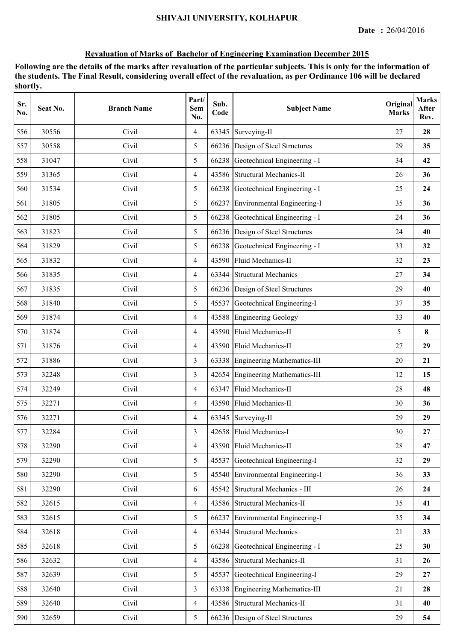| Sr.<br>No. | Seat No. | <b>Branch Name</b> | Part/<br>Sem<br>No. | Sub.<br>Code | <b>Subject Name</b>                | Original<br><b>Marks</b> | <b>Marks</b><br>After<br>Rev. |
|------------|----------|--------------------|---------------------|--------------|------------------------------------|--------------------------|-------------------------------|
| 556        | 30556    | Civil              | $\overline{4}$      | 63345        | Surveying-II                       | 27                       | 28                            |
| 557        | 30558    | Civil              | 5                   |              | 66236 Design of Steel Structures   | 29                       | 35                            |
| 558        | 31047    | Civil              | 5                   |              | 66238 Geotechnical Engineering - I | 34                       | 42                            |
| 559        | 31365    | Civil              | $\overline{4}$      |              | 43586 Structural Mechanics-II      | 26                       | 36                            |
| 560        | 31534    | Civil              | 5                   |              | 66238 Geotechnical Engineering - I | 25                       | 24                            |
| 561        | 31805    | Civil              | 5                   |              | 66237 Environmental Engineering-I  | 35                       | 36                            |
| 562        | 31805    | Civil              | 5                   |              | 66238 Geotechnical Engineering - I | 24                       | 36                            |
| 563        | 31823    | Civil              | 5                   |              | 66236 Design of Steel Structures   | 24                       | 40                            |
| 564        | 31829    | Civil              | 5                   |              | 66238 Geotechnical Engineering - I | 33                       | 32                            |
| 565        | 31832    | Civil              | $\overline{4}$      | 43590        | Fluid Mechanics-II                 | 32                       | 23                            |
| 566        | 31835    | Civil              | $\overline{4}$      | 63344        | <b>Structural Mechanics</b>        | 27                       | 34                            |
| 567        | 31835    | Civil              | 5                   |              | 66236 Design of Steel Structures   | 29                       | 40                            |
| 568        | 31840    | Civil              | 5                   |              | 45537 Geotechnical Engineering-I   | 37                       | 35                            |
| 569        | 31874    | Civil              | $\overline{4}$      |              | 43588 Engineering Geology          | 33                       | 40                            |
| 570        | 31874    | Civil              | $\overline{4}$      |              | 43590 Fluid Mechanics-II           | 5                        | 8                             |
| 571        | 31876    | Civil              | $\overline{4}$      |              | 43590 Fluid Mechanics-II           | 27                       | 29                            |
| 572        | 31886    | Civil              | 3                   | 63338        | <b>Engineering Mathematics-III</b> | 20                       | 21                            |
| 573        | 32248    | Civil              | $\overline{3}$      | 42654        | Engineering Mathematics-III        | 12                       | 15                            |
| 574        | 32249    | Civil              | $\overline{4}$      | 63347        | Fluid Mechanics-II                 | 28                       | 48                            |
| 575        | 32271    | Civil              | $\overline{4}$      |              | 43590 Fluid Mechanics-II           | 30                       | 36                            |
| 576        | 32271    | Civil              | $\overline{4}$      |              | 63345 Surveying-II                 | 29                       | 29                            |
| 577        | 32284    | Civil              | 3                   |              | 42658 Fluid Mechanics-I            | 30                       | 27                            |
| 578        | 32290    | Civil              | $\overline{4}$      |              | 43590 Fluid Mechanics-II           | 28                       | 47                            |
| 579        | 32290    | Civil              | 5                   | 45537        | Geotechnical Engineering-I         | 32                       | 29                            |
| 580        | 32290    | Civil              | 5                   | 45540        | Environmental Engineering-I        | 36                       | 33                            |
| 581        | 32290    | Civil              | 6                   | 45542        | Structural Mechanics - III         | 26                       | 24                            |
| 582        | 32615    | Civil              | $\overline{4}$      |              | 43586 Structural Mechanics-II      | 35                       | 41                            |
| 583        | 32615    | Civil              | 5                   |              | 66237 Environmental Engineering-I  | 35                       | 34                            |
| 584        | 32618    | Civil              | $\overline{4}$      | 63344        | <b>Structural Mechanics</b>        | 21                       | 33                            |
| 585        | 32618    | Civil              | 5                   |              | 66238 Geotechnical Engineering - I | 25                       | 30                            |
| 586        | 32632    | Civil              | $\overline{4}$      |              | 43586 Structural Mechanics-II      | 31                       | 26                            |
| 587        | 32639    | Civil              | 5                   | 45537        | Geotechnical Engineering-I         | 29                       | 27                            |
| 588        | 32640    | Civil              | $\overline{3}$      | 63338        | Engineering Mathematics-III        | 21                       | 28                            |
| 589        | 32640    | Civil              | $\overline{4}$      |              | 43586 Structural Mechanics-II      | 31                       | 40                            |
| 590        | 32659    | Civil              | 5                   |              | 66236 Design of Steel Structures   | 29                       | 54                            |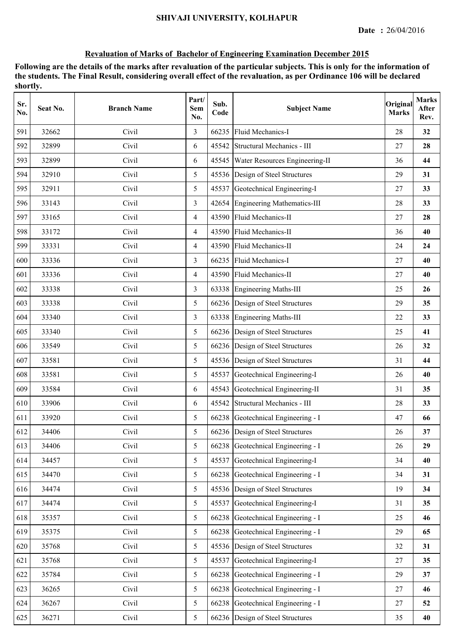| Sr.<br>No. | Seat No. | <b>Branch Name</b> | Part/<br>Sem<br>No. | Sub.<br>Code | <b>Subject Name</b>                | Original<br><b>Marks</b> | <b>Marks</b><br>After<br>Rev. |
|------------|----------|--------------------|---------------------|--------------|------------------------------------|--------------------------|-------------------------------|
| 591        | 32662    | Civil              | 3                   | 66235        | Fluid Mechanics-I                  | 28                       | 32                            |
| 592        | 32899    | Civil              | 6                   | 45542        | Structural Mechanics - III         | 27                       | 28                            |
| 593        | 32899    | Civil              | 6                   | 45545        | Water Resources Engineering-II     | 36                       | 44                            |
| 594        | 32910    | Civil              | 5                   |              | 45536 Design of Steel Structures   | 29                       | 31                            |
| 595        | 32911    | Civil              | 5                   |              | 45537 Geotechnical Engineering-I   | 27                       | 33                            |
| 596        | 33143    | Civil              | $\overline{3}$      |              | 42654 Engineering Mathematics-III  | 28                       | 33                            |
| 597        | 33165    | Civil              | $\overline{4}$      |              | 43590 Fluid Mechanics-II           | 27                       | 28                            |
| 598        | 33172    | Civil              | $\overline{4}$      |              | 43590 Fluid Mechanics-II           | 36                       | 40                            |
| 599        | 33331    | Civil              | $\overline{4}$      |              | 43590 Fluid Mechanics-II           | 24                       | 24                            |
| 600        | 33336    | Civil              | 3                   | 66235        | Fluid Mechanics-I                  | 27                       | 40                            |
| 601        | 33336    | Civil              | $\overline{4}$      |              | 43590 Fluid Mechanics-II           | 27                       | 40                            |
| 602        | 33338    | Civil              | 3                   |              | 63338 Engineering Maths-III        | 25                       | 26                            |
| 603        | 33338    | Civil              | 5                   |              | 66236 Design of Steel Structures   | 29                       | 35                            |
| 604        | 33340    | Civil              | 3                   |              | 63338 Engineering Maths-III        | 22                       | 33                            |
| 605        | 33340    | Civil              | 5                   |              | 66236 Design of Steel Structures   | 25                       | 41                            |
| 606        | 33549    | Civil              | 5                   |              | 66236 Design of Steel Structures   | 26                       | 32                            |
| 607        | 33581    | Civil              | 5                   |              | 45536 Design of Steel Structures   | 31                       | 44                            |
| 608        | 33581    | Civil              | 5                   | 45537        | Geotechnical Engineering-I         | 26                       | 40                            |
| 609        | 33584    | Civil              | 6                   | 45543        | Geotechnical Engineering-II        | 31                       | 35                            |
| 610        | 33906    | Civil              | 6                   |              | 45542 Structural Mechanics - III   | 28                       | 33                            |
| 611        | 33920    | Civil              | 5                   |              | 66238 Geotechnical Engineering - I | 47                       | 66                            |
| 612        | 34406    | Civil              | 5                   |              | 66236 Design of Steel Structures   | 26                       | 37                            |
| 613        | 34406    | Civil              | 5                   | 66238        | Geotechnical Engineering - I       | 26                       | 29                            |
| 614        | 34457    | Civil              | 5                   |              | 45537 Geotechnical Engineering-I   | 34                       | 40                            |
| 615        | 34470    | Civil              | 5                   | 66238        | Geotechnical Engineering - I       | 34                       | 31                            |
| 616        | 34474    | Civil              | 5                   |              | 45536 Design of Steel Structures   | 19                       | 34                            |
| 617        | 34474    | Civil              | 5                   | 45537        | Geotechnical Engineering-I         | 31                       | 35                            |
| 618        | 35357    | Civil              | 5                   |              | 66238 Geotechnical Engineering - I | 25                       | 46                            |
| 619        | 35375    | Civil              | 5                   |              | 66238 Geotechnical Engineering - I | 29                       | 65                            |
| 620        | 35768    | Civil              | 5                   |              | 45536 Design of Steel Structures   | 32                       | 31                            |
| 621        | 35768    | Civil              | 5                   | 45537        | Geotechnical Engineering-I         | 27                       | 35                            |
| 622        | 35784    | Civil              | 5                   | 66238        | Geotechnical Engineering - I       | 29                       | 37                            |
| 623        | 36265    | Civil              | 5                   | 66238        | Geotechnical Engineering - I       | 27                       | 46                            |
| 624        | 36267    | Civil              | 5                   |              | 66238 Geotechnical Engineering - I | 27                       | 52                            |
| 625        | 36271    | Civil              | 5                   |              | 66236 Design of Steel Structures   | 35                       | 40                            |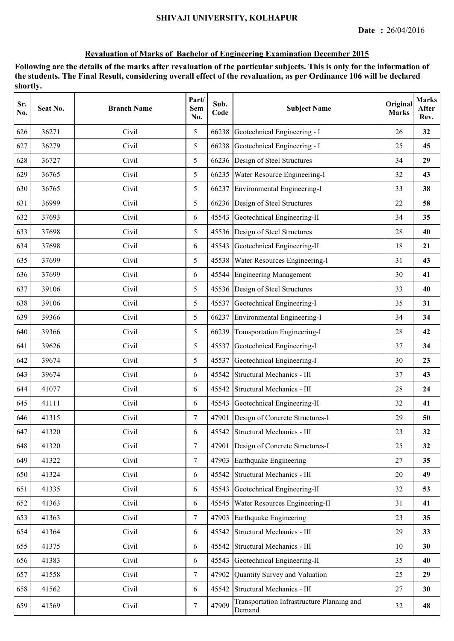| Sr.<br>No. | Seat No. | <b>Branch Name</b> | Part/<br><b>Sem</b><br>No. | Sub.<br>Code | <b>Subject Name</b>                                  | Original<br><b>Marks</b> | <b>Marks</b><br>After<br>Rev. |
|------------|----------|--------------------|----------------------------|--------------|------------------------------------------------------|--------------------------|-------------------------------|
| 626        | 36271    | Civil              | 5                          | 66238        | Geotechnical Engineering - I                         | 26                       | 32                            |
| 627        | 36279    | Civil              | 5                          | 66238        | Geotechnical Engineering - I                         | 25                       | 45                            |
| 628        | 36727    | Civil              | 5                          | 66236        | Design of Steel Structures                           | 34                       | 29                            |
| 629        | 36765    | Civil              | 5                          |              | 66235 Water Resource Engineering-I                   | 32                       | 43                            |
| 630        | 36765    | Civil              | 5                          |              | 66237 Environmental Engineering-I                    | 33                       | 38                            |
| 631        | 36999    | Civil              | 5                          |              | 66236 Design of Steel Structures                     | 22                       | 58                            |
| 632        | 37693    | Civil              | 6                          | 45543        | Geotechnical Engineering-II                          | 34                       | 35                            |
| 633        | 37698    | Civil              | 5                          | 45536        | Design of Steel Structures                           | 28                       | 40                            |
| 634        | 37698    | Civil              | 6                          | 45543        | Geotechnical Engineering-II                          | 18                       | 21                            |
| 635        | 37699    | Civil              | 5                          | 45538        | Water Resources Engineering-I                        | 31                       | 43                            |
| 636        | 37699    | Civil              | 6                          | 45544        | <b>Engineering Management</b>                        | 30                       | 41                            |
| 637        | 39106    | Civil              | 5                          |              | 45536 Design of Steel Structures                     | 33                       | 40                            |
| 638        | 39106    | Civil              | 5                          | 45537        | Geotechnical Engineering-I                           | 35                       | 31                            |
| 639        | 39366    | Civil              | 5                          |              | 66237 Environmental Engineering-I                    | 34                       | 34                            |
| 640        | 39366    | Civil              | 5                          | 66239        | Transportation Engineering-I                         | 28                       | 42                            |
| 641        | 39626    | Civil              | 5                          | 45537        | Geotechnical Engineering-I                           | 37                       | 34                            |
| 642        | 39674    | Civil              | 5                          | 45537        | Geotechnical Engineering-I                           | 30                       | 23                            |
| 643        | 39674    | Civil              | 6                          | 45542        | Structural Mechanics - III                           | 37                       | 43                            |
| 644        | 41077    | Civil              | 6                          | 45542        | Structural Mechanics - III                           | 28                       | 24                            |
| 645        | 41111    | Civil              | 6                          | 45543        | Geotechnical Engineering-II                          | 32                       | 41                            |
| 646        | 41315    | Civil              | $\tau$                     | 47901        | Design of Concrete Structures-I                      | 29                       | 50                            |
| 647        | 41320    | Civil              | 6                          |              | 45542 Structural Mechanics - III                     | 23                       | 32                            |
| 648        | 41320    | Civil              | $\overline{7}$             | 47901        | Design of Concrete Structures-I                      | 25                       | 32                            |
| 649        | 41322    | Civil              | $\overline{7}$             | 47903        | Earthquake Engineering                               | 27                       | 35                            |
| 650        | 41324    | Civil              | 6                          | 45542        | Structural Mechanics - III                           | 20                       | 49                            |
| 651        | 41335    | Civil              | 6                          | 45543        | Geotechnical Engineering-II                          | 32                       | 53                            |
| 652        | 41363    | Civil              | 6                          | 45545        | Water Resources Engineering-II                       | 31                       | 41                            |
| 653        | 41363    | Civil              | $\tau$                     |              | 47903 Earthquake Engineering                         | 23                       | 35                            |
| 654        | 41364    | Civil              | 6                          | 45542        | Structural Mechanics - III                           | 29                       | 33                            |
| 655        | 41375    | Civil              | 6                          | 45542        | Structural Mechanics - III                           | 10                       | 30                            |
| 656        | 41383    | Civil              | 6                          | 45543        | Geotechnical Engineering-II                          | 35                       | 40                            |
| 657        | 41558    | Civil              | $\tau$                     | 47902        | Quantity Survey and Valuation                        | 25                       | 29                            |
| 658        | 41562    | Civil              | 6                          | 45542        | Structural Mechanics - III                           | 27                       | 30                            |
| 659        | 41569    | Civil              | 7                          | 47909        | Transportation Infrastructure Planning and<br>Demand | 32                       | 48                            |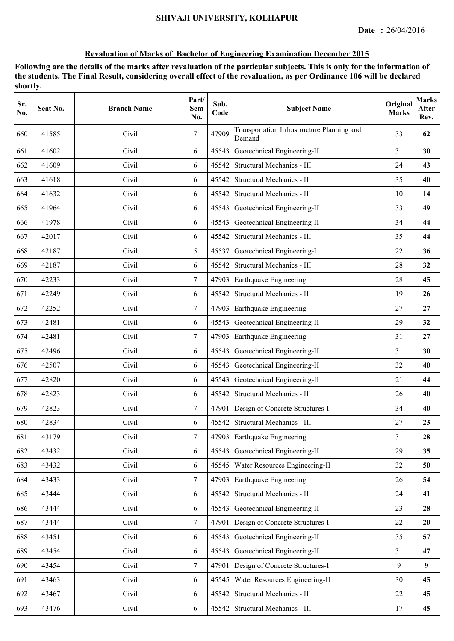| Sr.<br>No. | Seat No. | <b>Branch Name</b> | Part/<br><b>Sem</b><br>No. | Sub.<br>Code | <b>Subject Name</b>                                  | Original<br><b>Marks</b> | <b>Marks</b><br>After<br>Rev. |
|------------|----------|--------------------|----------------------------|--------------|------------------------------------------------------|--------------------------|-------------------------------|
| 660        | 41585    | Civil              | 7                          | 47909        | Transportation Infrastructure Planning and<br>Demand | 33                       | 62                            |
| 661        | 41602    | Civil              | 6                          | 45543        | Geotechnical Engineering-II                          | 31                       | 30                            |
| 662        | 41609    | Civil              | 6                          | 45542        | Structural Mechanics - III                           | 24                       | 43                            |
| 663        | 41618    | Civil              | 6                          | 45542        | Structural Mechanics - III                           | 35                       | 40                            |
| 664        | 41632    | Civil              | 6                          |              | 45542 Structural Mechanics - III                     | 10                       | 14                            |
| 665        | 41964    | Civil              | 6                          | 45543        | Geotechnical Engineering-II                          | 33                       | 49                            |
| 666        | 41978    | Civil              | 6                          | 45543        | Geotechnical Engineering-II                          | 34                       | 44                            |
| 667        | 42017    | Civil              | 6                          | 45542        | Structural Mechanics - III                           | 35                       | 44                            |
| 668        | 42187    | Civil              | 5                          | 45537        | Geotechnical Engineering-I                           | 22                       | 36                            |
| 669        | 42187    | Civil              | 6                          |              | 45542 Structural Mechanics - III                     | 28                       | 32                            |
| 670        | 42233    | Civil              | $\tau$                     | 47903        | Earthquake Engineering                               | 28                       | 45                            |
| 671        | 42249    | Civil              | 6                          |              | 45542 Structural Mechanics - III                     | 19                       | 26                            |
| 672        | 42252    | Civil              | $\tau$                     |              | 47903 Earthquake Engineering                         | 27                       | 27                            |
| 673        | 42481    | Civil              | 6                          | 45543        | Geotechnical Engineering-II                          | 29                       | 32                            |
| 674        | 42481    | Civil              | $\tau$                     | 47903        | Earthquake Engineering                               | 31                       | 27                            |
| 675        | 42496    | Civil              | 6                          | 45543        | Geotechnical Engineering-II                          | 31                       | 30                            |
| 676        | 42507    | Civil              | 6                          | 45543        | Geotechnical Engineering-II                          | 32                       | 40                            |
| 677        | 42820    | Civil              | 6                          | 45543        | Geotechnical Engineering-II                          | 21                       | 44                            |
| 678        | 42823    | Civil              | 6                          | 45542        | Structural Mechanics - III                           | 26                       | 40                            |
| 679        | 42823    | Civil              | $\tau$                     | 47901        | Design of Concrete Structures-I                      | 34                       | 40                            |
| 680        | 42834    | Civil              | 6                          |              | 45542 Structural Mechanics - III                     | 27                       | 23                            |
| 681        | 43179    | Civil              | $\overline{7}$             |              | 47903 Earthquake Engineering                         | 31                       | 28                            |
| 682        | 43432    | Civil              | 6                          | 45543        | Geotechnical Engineering-II                          | 29                       | 35                            |
| 683        | 43432    | Civil              | 6                          | 45545        | Water Resources Engineering-II                       | 32                       | 50                            |
| 684        | 43433    | Civil              | $\overline{7}$             | 47903        | Earthquake Engineering                               | 26                       | 54                            |
| 685        | 43444    | Civil              | 6                          | 45542        | Structural Mechanics - III                           | 24                       | 41                            |
| 686        | 43444    | Civil              | 6                          | 45543        | Geotechnical Engineering-II                          | 23                       | 28                            |
| 687        | 43444    | Civil              | $\overline{7}$             | 47901        | Design of Concrete Structures-I                      | 22                       | 20                            |
| 688        | 43451    | Civil              | 6                          | 45543        | Geotechnical Engineering-II                          | 35                       | 57                            |
| 689        | 43454    | Civil              | 6                          | 45543        | Geotechnical Engineering-II                          | 31                       | 47                            |
| 690        | 43454    | Civil              | $7\overline{ }$            | 47901        | Design of Concrete Structures-I                      | 9                        | $\boldsymbol{9}$              |
| 691        | 43463    | Civil              | 6                          | 45545        | Water Resources Engineering-II                       | 30                       | 45                            |
| 692        | 43467    | Civil              | 6                          | 45542        | Structural Mechanics - III                           | 22                       | 45                            |
| 693        | 43476    | Civil              | 6                          | 45542        | Structural Mechanics - III                           | 17                       | 45                            |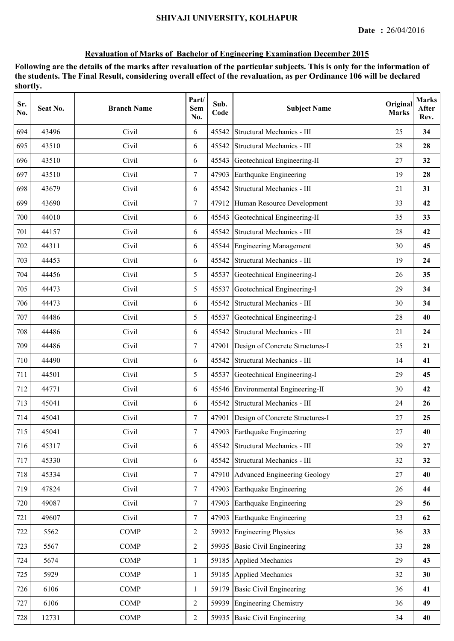| Sr.<br>No. | Seat No. | <b>Branch Name</b> | Part/<br><b>Sem</b><br>No. | Sub.<br>Code | <b>Subject Name</b>                   | Original<br><b>Marks</b> | <b>Marks</b><br>After<br>Rev. |
|------------|----------|--------------------|----------------------------|--------------|---------------------------------------|--------------------------|-------------------------------|
| 694        | 43496    | Civil              | 6                          | 45542        | Structural Mechanics - III            | 25                       | 34                            |
| 695        | 43510    | Civil              | 6                          | 45542        | Structural Mechanics - III            | 28                       | 28                            |
| 696        | 43510    | Civil              | 6                          | 45543        | Geotechnical Engineering-II           | 27                       | 32                            |
| 697        | 43510    | Civil              | $\tau$                     | 47903        | Earthquake Engineering                | 19                       | 28                            |
| 698        | 43679    | Civil              | 6                          | 45542        | Structural Mechanics - III            | 21                       | 31                            |
| 699        | 43690    | Civil              | $\tau$                     | 47912        | Human Resource Development            | 33                       | 42                            |
| 700        | 44010    | Civil              | 6                          | 45543        | Geotechnical Engineering-II           | 35                       | 33                            |
| 701        | 44157    | Civil              | 6                          | 45542        | Structural Mechanics - III            | 28                       | 42                            |
| 702        | 44311    | Civil              | 6                          | 45544        | <b>Engineering Management</b>         | 30                       | 45                            |
| 703        | 44453    | Civil              | 6                          | 45542        | Structural Mechanics - III            | 19                       | 24                            |
| 704        | 44456    | Civil              | 5                          | 45537        | Geotechnical Engineering-I            | 26                       | 35                            |
| 705        | 44473    | Civil              | 5                          | 45537        | Geotechnical Engineering-I            | 29                       | 34                            |
| 706        | 44473    | Civil              | 6                          |              | 45542 Structural Mechanics - III      | 30                       | 34                            |
| 707        | 44486    | Civil              | 5                          | 45537        | Geotechnical Engineering-I            | 28                       | 40                            |
| 708        | 44486    | Civil              | 6                          | 45542        | Structural Mechanics - III            | 21                       | 24                            |
| 709        | 44486    | Civil              | $\tau$                     | 47901        | Design of Concrete Structures-I       | 25                       | 21                            |
| 710        | 44490    | Civil              | 6                          | 45542        | Structural Mechanics - III            | 14                       | 41                            |
| 711        | 44501    | Civil              | 5                          | 45537        | Geotechnical Engineering-I            | 29                       | 45                            |
| 712        | 44771    | Civil              | 6                          | 45546        | Environmental Engineering-II          | 30                       | 42                            |
| 713        | 45041    | Civil              | 6                          |              | 45542 Structural Mechanics - III      | 24                       | 26                            |
| 714        | 45041    | Civil              | $\tau$                     |              | 47901 Design of Concrete Structures-I | 27                       | 25                            |
| 715        | 45041    | Civil              | 7                          |              | 47903 Earthquake Engineering          | 27                       | 40                            |
| 716        | 45317    | Civil              | 6                          | 45542        | Structural Mechanics - III            | 29                       | 27                            |
| 717        | 45330    | Civil              | 6                          |              | 45542 Structural Mechanics - III      | 32                       | 32                            |
| 718        | 45334    | Civil              | $\tau$                     | 47910        | <b>Advanced Engineering Geology</b>   | 27                       | 40                            |
| 719        | 47824    | Civil              | $\overline{7}$             | 47903        | Earthquake Engineering                | 26                       | 44                            |
| 720        | 49087    | Civil              | $\overline{7}$             | 47903        | Earthquake Engineering                | 29                       | 56                            |
| 721        | 49607    | Civil              | $\tau$                     | 47903        | Earthquake Engineering                | 23                       | 62                            |
| 722        | 5562     | <b>COMP</b>        | $\overline{2}$             | 59932        | <b>Engineering Physics</b>            | 36                       | 33                            |
| 723        | 5567     | <b>COMP</b>        | $\overline{2}$             | 59935        | <b>Basic Civil Engineering</b>        | 33                       | 28                            |
| 724        | 5674     | <b>COMP</b>        | $\mathbf{1}$               | 59185        | <b>Applied Mechanics</b>              | 29                       | 43                            |
| 725        | 5929     | <b>COMP</b>        | 1                          | 59185        | <b>Applied Mechanics</b>              | 32                       | 30                            |
| 726        | 6106     | <b>COMP</b>        | 1                          | 59179        | <b>Basic Civil Engineering</b>        | 36                       | 41                            |
| 727        | 6106     | <b>COMP</b>        | $\overline{2}$             | 59939        | <b>Engineering Chemistry</b>          | 36                       | 49                            |
| 728        | 12731    | <b>COMP</b>        | $\overline{2}$             |              | 59935 Basic Civil Engineering         | 34                       | 40                            |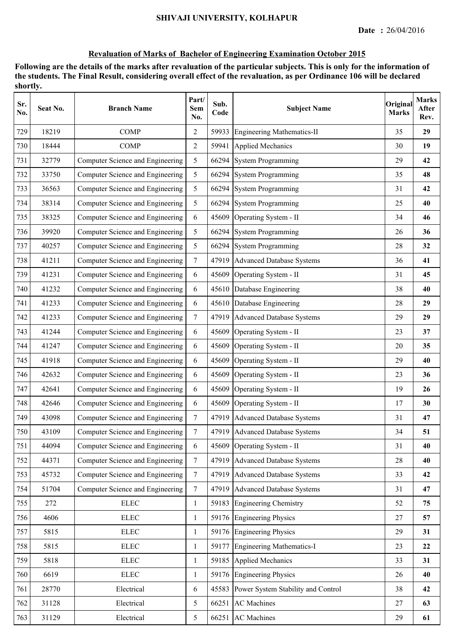| Sr.<br>No. | Seat No. | <b>Branch Name</b>               | Part/<br>Sem<br>No. | Sub.<br>Code | <b>Subject Name</b>                | Original<br><b>Marks</b> | <b>Marks</b><br>After<br>Rev. |
|------------|----------|----------------------------------|---------------------|--------------|------------------------------------|--------------------------|-------------------------------|
| 729        | 18219    | <b>COMP</b>                      | $\overline{2}$      | 59933        | <b>Engineering Mathematics-II</b>  | 35                       | 29                            |
| 730        | 18444    | <b>COMP</b>                      | $\overline{2}$      | 59941        | <b>Applied Mechanics</b>           | 30                       | 19                            |
| 731        | 32779    | Computer Science and Engineering | 5                   | 66294        | <b>System Programming</b>          | 29                       | 42                            |
| 732        | 33750    | Computer Science and Engineering | 5                   |              | 66294 System Programming           | 35                       | 48                            |
| 733        | 36563    | Computer Science and Engineering | 5                   | 66294        | <b>System Programming</b>          | 31                       | 42                            |
| 734        | 38314    | Computer Science and Engineering | 5                   | 66294        | <b>System Programming</b>          | 25                       | 40                            |
| 735        | 38325    | Computer Science and Engineering | 6                   | 45609        | Operating System - II              | 34                       | 46                            |
| 736        | 39920    | Computer Science and Engineering | 5                   | 66294        | <b>System Programming</b>          | 26                       | 36                            |
| 737        | 40257    | Computer Science and Engineering | 5                   | 66294        | <b>System Programming</b>          | 28                       | 32                            |
| 738        | 41211    | Computer Science and Engineering | $\overline{7}$      | 47919        | <b>Advanced Database Systems</b>   | 36                       | 41                            |
| 739        | 41231    | Computer Science and Engineering | 6                   | 45609        | Operating System - II              | 31                       | 45                            |
| 740        | 41232    | Computer Science and Engineering | 6                   | 45610        | Database Engineering               | 38                       | 40                            |
| 741        | 41233    | Computer Science and Engineering | 6                   |              | 45610 Database Engineering         | 28                       | 29                            |
| 742        | 41233    | Computer Science and Engineering | $\overline{7}$      | 47919        | <b>Advanced Database Systems</b>   | 29                       | 29                            |
| 743        | 41244    | Computer Science and Engineering | 6                   | 45609        | Operating System - II              | 23                       | 37                            |
| 744        | 41247    | Computer Science and Engineering | 6                   | 45609        | Operating System - II              | 20                       | 35                            |
| 745        | 41918    | Computer Science and Engineering | 6                   | 45609        | Operating System - II              | 29                       | 40                            |
| 746        | 42632    | Computer Science and Engineering | 6                   | 45609        | Operating System - II              | 23                       | 36                            |
| 747        | 42641    | Computer Science and Engineering | 6                   | 45609        | Operating System - II              | 19                       | 26                            |
| 748        | 42646    | Computer Science and Engineering | 6                   | 45609        | Operating System - II              | 17                       | 30                            |
| 749        | 43098    | Computer Science and Engineering | $\overline{7}$      |              | 47919 Advanced Database Systems    | 31                       | 47                            |
| 750        | 43109    | Computer Science and Engineering | $\overline{7}$      |              | 47919 Advanced Database Systems    | 34                       | 51                            |
| 751        | 44094    | Computer Science and Engineering | 6                   |              | 45609 Operating System - II        | 31                       | 40                            |
| 752        | 44371    | Computer Science and Engineering | $\overline{7}$      |              | 47919 Advanced Database Systems    | 28                       | 40                            |
| 753        | 45732    | Computer Science and Engineering | $\overline{7}$      |              | 47919 Advanced Database Systems    | 33                       | 42                            |
| 754        | 51704    | Computer Science and Engineering | $7\overline{ }$     |              | 47919 Advanced Database Systems    | 31                       | 47                            |
| 755        | 272      | ${\rm E LEC}$                    | $\mathbf{1}$        |              | 59183 Engineering Chemistry        | 52                       | 75                            |
| 756        | 4606     | ${\rm E LEC}$                    | $\mathbf{1}$        |              | 59176 Engineering Physics          | 27                       | 57                            |
| 757        | 5815     | ${\rm ELLC}$                     | 1                   |              | 59176 Engineering Physics          | 29                       | 31                            |
| 758        | 5815     | <b>ELEC</b>                      | $\mathbf{1}$        | 59177        | Engineering Mathematics-I          | 23                       | 22                            |
| 759        | 5818     | ${\rm ELLC}$                     | $\mathbf{1}$        |              | 59185 Applied Mechanics            | 33                       | 31                            |
| 760        | 6619     | ${\rm ELLC}$                     | 1                   | 59176        | <b>Engineering Physics</b>         | 26                       | 40                            |
| 761        | 28770    | Electrical                       | 6                   | 45583        | Power System Stability and Control | 38                       | 42                            |
| 762        | 31128    | Electrical                       | 5                   | 66251        | <b>AC</b> Machines                 | 27                       | 63                            |
| 763        | 31129    | Electrical                       | 5                   |              | 66251 AC Machines                  | 29                       | 61                            |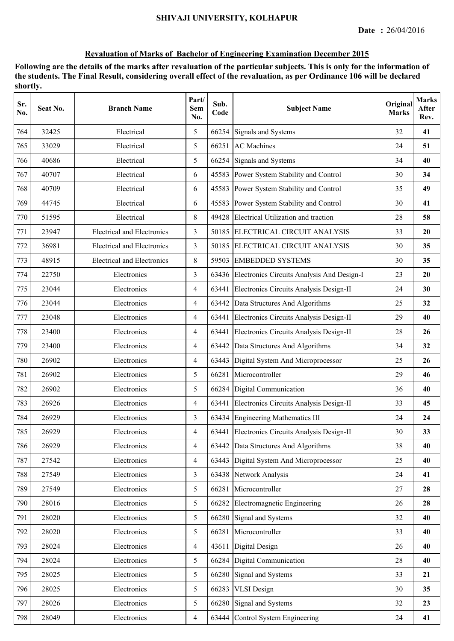| Sr.<br>No. | Seat No. | <b>Branch Name</b>                | Part/<br>Sem<br>No. | Sub.<br>Code | <b>Subject Name</b>                              | Original<br><b>Marks</b> | <b>Marks</b><br>After<br>Rev. |
|------------|----------|-----------------------------------|---------------------|--------------|--------------------------------------------------|--------------------------|-------------------------------|
| 764        | 32425    | Electrical                        | 5                   | 66254        | Signals and Systems                              | 32                       | 41                            |
| 765        | 33029    | Electrical                        | 5                   | 66251        | <b>AC</b> Machines                               | 24                       | 51                            |
| 766        | 40686    | Electrical                        | 5                   |              | 66254 Signals and Systems                        | 34                       | 40                            |
| 767        | 40707    | Electrical                        | 6                   |              | 45583 Power System Stability and Control         | 30                       | 34                            |
| 768        | 40709    | Electrical                        | 6                   |              | 45583 Power System Stability and Control         | 35                       | 49                            |
| 769        | 44745    | Electrical                        | 6                   |              | 45583 Power System Stability and Control         | 30                       | 41                            |
| 770        | 51595    | Electrical                        | 8                   |              | 49428 Electrical Utilization and traction        | 28                       | 58                            |
| 771        | 23947    | <b>Electrical and Electronics</b> | 3                   |              | 50185 ELECTRICAL CIRCUIT ANALYSIS                | 33                       | 20                            |
| 772        | 36981    | <b>Electrical and Electronics</b> | 3                   | 50185        | ELECTRICAL CIRCUIT ANALYSIS                      | 30                       | 35                            |
| 773        | 48915    | <b>Electrical and Electronics</b> | 8                   | 59503        | <b>EMBEDDED SYSTEMS</b>                          | 30                       | 35                            |
| 774        | 22750    | Electronics                       | $\overline{3}$      |              | 63436 Electronics Circuits Analysis And Design-I | 23                       | 20                            |
| 775        | 23044    | Electronics                       | $\overline{4}$      |              | 63441 Electronics Circuits Analysis Design-II    | 24                       | 30                            |
| 776        | 23044    | Electronics                       | $\overline{4}$      |              | 63442 Data Structures And Algorithms             | 25                       | 32                            |
| 777        | 23048    | Electronics                       | $\overline{4}$      |              | 63441 Electronics Circuits Analysis Design-II    | 29                       | 40                            |
| 778        | 23400    | Electronics                       | $\overline{4}$      | 63441        | Electronics Circuits Analysis Design-II          | 28                       | 26                            |
| 779        | 23400    | Electronics                       | $\overline{4}$      | 63442        | Data Structures And Algorithms                   | 34                       | 32                            |
| 780        | 26902    | Electronics                       | $\overline{4}$      | 63443        | Digital System And Microprocessor                | 25                       | 26                            |
| 781        | 26902    | Electronics                       | 5                   | 66281        | Microcontroller                                  | 29                       | 46                            |
| 782        | 26902    | Electronics                       | 5                   | 66284        | Digital Communication                            | 36                       | 40                            |
| 783        | 26926    | Electronics                       | $\overline{4}$      |              | 63441 Electronics Circuits Analysis Design-II    | 33                       | 45                            |
| 784        | 26929    | Electronics                       | 3                   |              | 63434 Engineering Mathematics III                | 24                       | 24                            |
| 785        | 26929    | Electronics                       | 4                   |              | 63441 Electronics Circuits Analysis Design-II    | 30                       | 33                            |
| 786        | 26929    | Electronics                       | $\overline{4}$      |              | 63442 Data Structures And Algorithms             | 38                       | 40                            |
| 787        | 27542    | Electronics                       | $\overline{4}$      | 63443        | Digital System And Microprocessor                | 25                       | 40                            |
| 788        | 27549    | Electronics                       | $\overline{3}$      | 63438        | Network Analysis                                 | 24                       | 41                            |
| 789        | 27549    | Electronics                       | 5                   | 66281        | Microcontroller                                  | 27                       | 28                            |
| 790        | 28016    | Electronics                       | 5                   | 66282        | Electromagnetic Engineering                      | 26                       | 28                            |
| 791        | 28020    | Electronics                       | 5                   |              | 66280 Signal and Systems                         | 32                       | 40                            |
| 792        | 28020    | Electronics                       | 5                   | 66281        | Microcontroller                                  | 33                       | 40                            |
| 793        | 28024    | Electronics                       | $\overline{4}$      | 43611        | Digital Design                                   | 26                       | 40                            |
| 794        | 28024    | Electronics                       | 5                   | 66284        | Digital Communication                            | 28                       | 40                            |
| 795        | 28025    | Electronics                       | 5                   | 66280        | Signal and Systems                               | 33                       | 21                            |
| 796        | 28025    | Electronics                       | 5                   | 66283        | <b>VLSI</b> Design                               | 30                       | 35                            |
| 797        | 28026    | Electronics                       | 5                   | 66280        | Signal and Systems                               | 32                       | 23                            |
| 798        | 28049    | Electronics                       | $\overline{4}$      |              | 63444 Control System Engineering                 | 24                       | 41                            |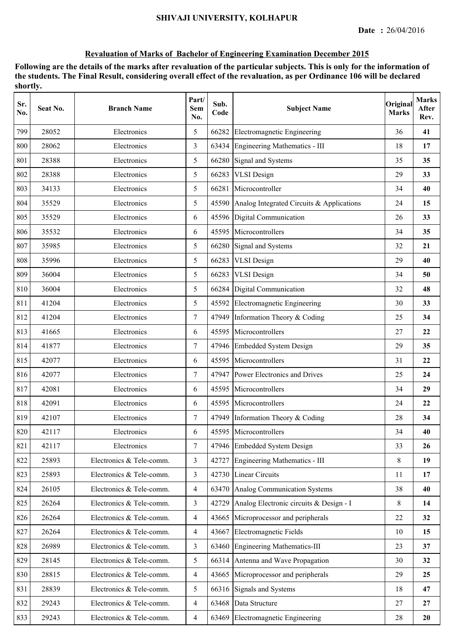| Sr.<br>No. | Seat No. | <b>Branch Name</b>       | Part/<br>Sem<br>No. | Sub.<br>Code | <b>Subject Name</b>                       | Original<br><b>Marks</b> | <b>Marks</b><br>After<br>Rev. |
|------------|----------|--------------------------|---------------------|--------------|-------------------------------------------|--------------------------|-------------------------------|
| 799        | 28052    | Electronics              | 5                   | 66282        | Electromagnetic Engineering               | 36                       | 41                            |
| 800        | 28062    | Electronics              | 3                   | 63434        | Engineering Mathematics - III             | 18                       | 17                            |
| 801        | 28388    | Electronics              | 5                   | 66280        | Signal and Systems                        | 35                       | 35                            |
| 802        | 28388    | Electronics              | 5                   | 66283        | <b>VLSI</b> Design                        | 29                       | 33                            |
| 803        | 34133    | Electronics              | 5                   | 66281        | Microcontroller                           | 34                       | 40                            |
| 804        | 35529    | Electronics              | 5                   | 45590        | Analog Integrated Circuits & Applications | 24                       | 15                            |
| 805        | 35529    | Electronics              | 6                   |              | 45596 Digital Communication               | 26                       | 33                            |
| 806        | 35532    | Electronics              | 6                   | 45595        | Microcontrollers                          | 34                       | 35                            |
| 807        | 35985    | Electronics              | 5                   | 66280        | Signal and Systems                        | 32                       | 21                            |
| 808        | 35996    | Electronics              | 5                   | 66283        | <b>VLSI</b> Design                        | 29                       | 40                            |
| 809        | 36004    | Electronics              | 5                   | 66283        | <b>VLSI</b> Design                        | 34                       | 50                            |
| 810        | 36004    | Electronics              | 5                   |              | 66284 Digital Communication               | 32                       | 48                            |
| 811        | 41204    | Electronics              | 5                   | 45592        | Electromagnetic Engineering               | 30                       | 33                            |
| 812        | 41204    | Electronics              | 7                   | 47949        | Information Theory & Coding               | 25                       | 34                            |
| 813        | 41665    | Electronics              | 6                   | 45595        | Microcontrollers                          | 27                       | 22                            |
| 814        | 41877    | Electronics              | $\tau$              |              | 47946 Embedded System Design              | 29                       | 35                            |
| 815        | 42077    | Electronics              | 6                   |              | 45595 Microcontrollers                    | 31                       | 22                            |
| 816        | 42077    | Electronics              | $\tau$              | 47947        | Power Electronics and Drives              | 25                       | 24                            |
| 817        | 42081    | Electronics              | 6                   | 45595        | Microcontrollers                          | 34                       | 29                            |
| 818        | 42091    | Electronics              | 6                   |              | 45595 Microcontrollers                    | 24                       | 22                            |
| 819        | 42107    | Electronics              | $\tau$              |              | 47949 Information Theory & Coding         | 28                       | 34                            |
| 820        | 42117    | Electronics              | 6                   |              | 45595 Microcontrollers                    | 34                       | 40                            |
| 821        | 42117    | Electronics              | $\tau$              |              | 47946 Embedded System Design              | 33                       | 26                            |
| 822        | 25893    | Electronics & Tele-comm. | $\overline{3}$      | 42727        | Engineering Mathematics - III             | 8                        | 19                            |
| 823        | 25893    | Electronics & Tele-comm. | 3                   |              | 42730 Linear Circuits                     | 11                       | 17                            |
| 824        | 26105    | Electronics & Tele-comm. | $\overline{4}$      |              | 63470 Analog Communication Systems        | 38                       | 40                            |
| 825        | 26264    | Electronics & Tele-comm. | $\overline{3}$      | 42729        | Analog Electronic circuits & Design - I   | 8                        | 14                            |
| 826        | 26264    | Electronics & Tele-comm. | $\overline{4}$      |              | 43665 Microprocessor and peripherals      | 22                       | 32                            |
| 827        | 26264    | Electronics & Tele-comm. | $\overline{4}$      |              | 43667 Electromagnetic Fields              | 10                       | 15                            |
| 828        | 26989    | Electronics & Tele-comm. | $\overline{3}$      |              | 63460 Engineering Mathematics-III         | 23                       | 37                            |
| 829        | 28145    | Electronics & Tele-comm. | 5                   | 66314        | Antenna and Wave Propagation              | 30                       | 32                            |
| 830        | 28815    | Electronics & Tele-comm. | $\overline{4}$      | 43665        | Microprocessor and peripherals            | 29                       | 25                            |
| 831        | 28839    | Electronics & Tele-comm. | 5                   |              | 66316 Signals and Systems                 | 18                       | 47                            |
| 832        | 29243    | Electronics & Tele-comm. | $\overline{4}$      | 63468        | Data Structure                            | 27                       | 27                            |
| 833        | 29243    | Electronics & Tele-comm. | $\overline{4}$      | 63469        | Electromagnetic Engineering               | 28                       | 20                            |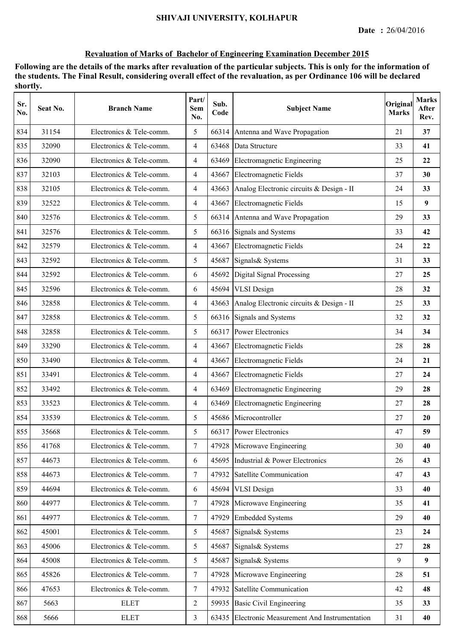| Sr.<br>No. | Seat No. | <b>Branch Name</b>       | Part/<br>Sem<br>No. | Sub.<br>Code | <b>Subject Name</b>                              | Original<br><b>Marks</b> | <b>Marks</b><br>After<br>Rev. |
|------------|----------|--------------------------|---------------------|--------------|--------------------------------------------------|--------------------------|-------------------------------|
| 834        | 31154    | Electronics & Tele-comm. | 5                   |              | 66314 Antenna and Wave Propagation               | 21                       | 37                            |
| 835        | 32090    | Electronics & Tele-comm. | $\overline{4}$      | 63468        | Data Structure                                   | 33                       | 41                            |
| 836        | 32090    | Electronics & Tele-comm. | $\overline{4}$      | 63469        | Electromagnetic Engineering                      | 25                       | 22                            |
| 837        | 32103    | Electronics & Tele-comm. | $\overline{4}$      |              | 43667 Electromagnetic Fields                     | 37                       | 30                            |
| 838        | 32105    | Electronics & Tele-comm. | $\overline{4}$      |              | 43663 Analog Electronic circuits & Design - II   | 24                       | 33                            |
| 839        | 32522    | Electronics & Tele-comm. | $\overline{4}$      |              | 43667 Electromagnetic Fields                     | 15                       | 9                             |
| 840        | 32576    | Electronics & Tele-comm. | 5                   |              | 66314 Antenna and Wave Propagation               | 29                       | 33                            |
| 841        | 32576    | Electronics & Tele-comm. | 5                   |              | 66316 Signals and Systems                        | 33                       | 42                            |
| 842        | 32579    | Electronics & Tele-comm. | $\overline{4}$      | 43667        | <b>Electromagnetic Fields</b>                    | 24                       | 22                            |
| 843        | 32592    | Electronics & Tele-comm. | 5                   | 45687        | Signals & Systems                                | 31                       | 33                            |
| 844        | 32592    | Electronics & Tele-comm. | 6                   | 45692        | Digital Signal Processing                        | 27                       | 25                            |
| 845        | 32596    | Electronics & Tele-comm. | 6                   | 45694        | <b>VLSI</b> Design                               | 28                       | 32                            |
| 846        | 32858    | Electronics & Tele-comm. | $\overline{4}$      |              | 43663 Analog Electronic circuits & Design - II   | 25                       | 33                            |
| 847        | 32858    | Electronics & Tele-comm. | 5                   |              | 66316 Signals and Systems                        | 32                       | 32                            |
| 848        | 32858    | Electronics & Tele-comm. | 5                   |              | 66317 Power Electronics                          | 34                       | 34                            |
| 849        | 33290    | Electronics & Tele-comm. | $\overline{4}$      | 43667        | Electromagnetic Fields                           | 28                       | 28                            |
| 850        | 33490    | Electronics & Tele-comm. | $\overline{4}$      | 43667        | Electromagnetic Fields                           | 24                       | 21                            |
| 851        | 33491    | Electronics & Tele-comm. | $\overline{4}$      | 43667        | Electromagnetic Fields                           | 27                       | 24                            |
| 852        | 33492    | Electronics & Tele-comm. | $\overline{4}$      | 63469        | Electromagnetic Engineering                      | 29                       | 28                            |
| 853        | 33523    | Electronics & Tele-comm. | $\overline{4}$      | 63469        | Electromagnetic Engineering                      | 27                       | 28                            |
| 854        | 33539    | Electronics & Tele-comm. | 5                   |              | 45686 Microcontroller                            | 27                       | 20                            |
| 855        | 35668    | Electronics & Tele-comm. | 5                   |              | 66317 Power Electronics                          | 47                       | 59                            |
| 856        | 41768    | Electronics & Tele-comm. | $7\overline{ }$     |              | 47928 Microwave Engineering                      | 30                       | 40                            |
| 857        | 44673    | Electronics & Tele-comm. | 6                   | 45695        | Industrial & Power Electronics                   | 26                       | 43                            |
| 858        | 44673    | Electronics & Tele-comm. | $7\overline{ }$     | 47932        | Satellite Communication                          | 47                       | 43                            |
| 859        | 44694    | Electronics & Tele-comm. | 6                   | 45694        | <b>VLSI</b> Design                               | 33                       | 40                            |
| 860        | 44977    | Electronics & Tele-comm. | $\overline{7}$      | 47928        | Microwave Engineering                            | 35                       | 41                            |
| 861        | 44977    | Electronics & Tele-comm. | $\overline{7}$      | 47929        | <b>Embedded Systems</b>                          | 29                       | 40                            |
| 862        | 45001    | Electronics & Tele-comm. | 5                   | 45687        | Signals& Systems                                 | 23                       | 24                            |
| 863        | 45006    | Electronics & Tele-comm. | 5                   | 45687        | Signals & Systems                                | 27                       | 28                            |
| 864        | 45008    | Electronics & Tele-comm. | 5                   | 45687        | Signals& Systems                                 | 9                        | 9                             |
| 865        | 45826    | Electronics & Tele-comm. | $\tau$              | 47928        | Microwave Engineering                            | 28                       | 51                            |
| 866        | 47653    | Electronics & Tele-comm. | $\tau$              | 47932        | Satellite Communication                          | 42                       | 48                            |
| 867        | 5663     | <b>ELET</b>              | 2                   | 59935        | <b>Basic Civil Engineering</b>                   | 35                       | 33                            |
| 868        | 5666     | <b>ELET</b>              | $\overline{3}$      |              | 63435 Electronic Measurement And Instrumentation | 31                       | 40                            |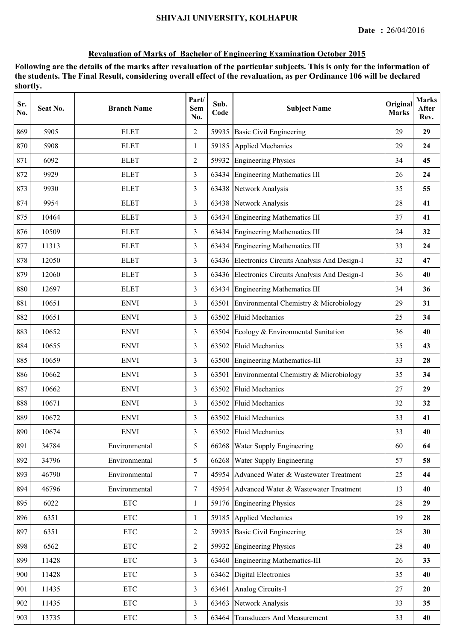| Sr.<br>No. | Seat No. | <b>Branch Name</b>        | Part/<br><b>Sem</b><br>No. | Sub.<br>Code | <b>Subject Name</b>                        | Original<br><b>Marks</b> | <b>Marks</b><br>After<br>Rev. |
|------------|----------|---------------------------|----------------------------|--------------|--------------------------------------------|--------------------------|-------------------------------|
| 869        | 5905     | <b>ELET</b>               | $\overline{2}$             | 59935        | <b>Basic Civil Engineering</b>             | 29                       | 29                            |
| 870        | 5908     | <b>ELET</b>               | 1                          | 59185        | <b>Applied Mechanics</b>                   | 29                       | 24                            |
| 871        | 6092     | <b>ELET</b>               | $\overline{2}$             | 59932        | <b>Engineering Physics</b>                 | 34                       | 45                            |
| 872        | 9929     | <b>ELET</b>               | 3                          |              | 63434 Engineering Mathematics III          | 26                       | 24                            |
| 873        | 9930     | <b>ELET</b>               | 3                          |              | 63438 Network Analysis                     | 35                       | 55                            |
| 874        | 9954     | <b>ELET</b>               | 3                          | 63438        | Network Analysis                           | 28                       | 41                            |
| 875        | 10464    | <b>ELET</b>               | 3                          | 63434        | <b>Engineering Mathematics III</b>         | 37                       | 41                            |
| 876        | 10509    | <b>ELET</b>               | 3                          | 63434        | <b>Engineering Mathematics III</b>         | 24                       | 32                            |
| 877        | 11313    | <b>ELET</b>               | 3                          | 63434        | <b>Engineering Mathematics III</b>         | 33                       | 24                            |
| 878        | 12050    | <b>ELET</b>               | 3                          | 63436        | Electronics Circuits Analysis And Design-I | 32                       | 47                            |
| 879        | 12060    | <b>ELET</b>               | 3                          | 63436        | Electronics Circuits Analysis And Design-I | 36                       | 40                            |
| 880        | 12697    | <b>ELET</b>               | 3                          |              | 63434 Engineering Mathematics III          | 34                       | 36                            |
| 881        | 10651    | <b>ENVI</b>               | 3                          | 63501        | Environmental Chemistry & Microbiology     | 29                       | 31                            |
| 882        | 10651    | <b>ENVI</b>               | 3                          | 63502        | <b>Fluid Mechanics</b>                     | 25                       | 34                            |
| 883        | 10652    | <b>ENVI</b>               | 3                          | 63504        | Ecology & Environmental Sanitation         | 36                       | 40                            |
| 884        | 10655    | <b>ENVI</b>               | 3                          | 63502        | <b>Fluid Mechanics</b>                     | 35                       | 43                            |
| 885        | 10659    | <b>ENVI</b>               | 3                          | 63500        | <b>Engineering Mathematics-III</b>         | 33                       | 28                            |
| 886        | 10662    | <b>ENVI</b>               | 3                          | 63501        | Environmental Chemistry & Microbiology     | 35                       | 34                            |
| 887        | 10662    | <b>ENVI</b>               | 3                          | 63502        | <b>Fluid Mechanics</b>                     | 27                       | 29                            |
| 888        | 10671    | <b>ENVI</b>               | 3                          | 63502        | <b>Fluid Mechanics</b>                     | 32                       | 32                            |
| 889        | 10672    | <b>ENVI</b>               | 3                          | 63502        | <b>Fluid Mechanics</b>                     | 33                       | 41                            |
| 890        | 10674    | <b>ENVI</b>               | 3                          |              | 63502 Fluid Mechanics                      | 33                       | 40                            |
| 891        | 34784    | Environmental             | 5                          | 66268        | Water Supply Engineering                   | 60                       | 64                            |
| 892        | 34796    | Environmental             | 5                          | 66268        | Water Supply Engineering                   | 57                       | 58                            |
| 893        | 46790    | Environmental             | $\overline{7}$             | 45954        | Advanced Water & Wastewater Treatment      | 25                       | 44                            |
| 894        | 46796    | Environmental             | $\tau$                     | 45954        | Advanced Water & Wastewater Treatment      | 13                       | 40                            |
| 895        | 6022     | $\ensuremath{\text{ETC}}$ | 1                          |              | 59176 Engineering Physics                  | 28                       | 29                            |
| 896        | 6351     | $\ensuremath{\text{ETC}}$ | $\mathbf{1}$               | 59185        | Applied Mechanics                          | 19                       | 28                            |
| 897        | 6351     | <b>ETC</b>                | $\overline{2}$             |              | 59935 Basic Civil Engineering              | 28                       | 30                            |
| 898        | 6562     | <b>ETC</b>                | $\overline{2}$             | 59932        | <b>Engineering Physics</b>                 | 28                       | 40                            |
| 899        | 11428    | $\ensuremath{\text{ETC}}$ | $\overline{3}$             | 63460        | <b>Engineering Mathematics-III</b>         | 26                       | 33                            |
| 900        | 11428    | $\ensuremath{\text{ETC}}$ | $\overline{3}$             | 63462        | <b>Digital Electronics</b>                 | 35                       | 40                            |
| 901        | 11435    | $\ensuremath{\text{ETC}}$ | 3                          | 63461        | Analog Circuits-I                          | 27                       | 20                            |
| 902        | 11435    | $\ensuremath{\text{ETC}}$ | $\overline{3}$             | 63463        | Network Analysis                           | 33                       | 35                            |
| 903        | 13735    | $\ensuremath{\text{ETC}}$ | $\overline{3}$             | 63464        | <b>Transducers And Measurement</b>         | 33                       | 40                            |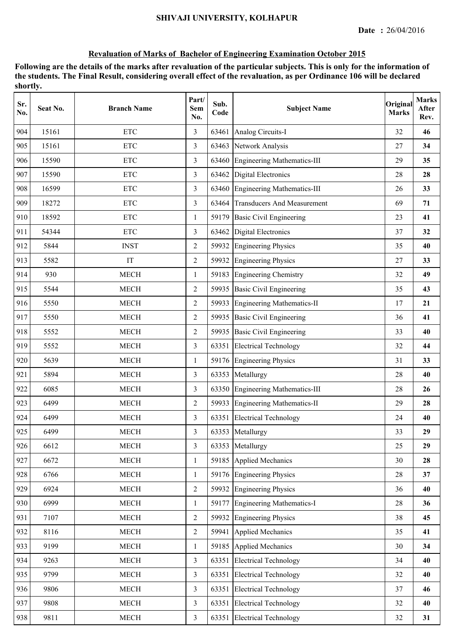| Sr.<br>No. | Seat No. | <b>Branch Name</b> | Part/<br><b>Sem</b><br>No. | Sub.<br>Code | <b>Subject Name</b>                | Original<br><b>Marks</b> | <b>Marks</b><br>After<br>Rev. |
|------------|----------|--------------------|----------------------------|--------------|------------------------------------|--------------------------|-------------------------------|
| 904        | 15161    | <b>ETC</b>         | 3                          | 63461        | Analog Circuits-I                  | 32                       | 46                            |
| 905        | 15161    | <b>ETC</b>         | $\overline{3}$             | 63463        | Network Analysis                   | 27                       | 34                            |
| 906        | 15590    | <b>ETC</b>         | 3                          |              | 63460 Engineering Mathematics-III  | 29                       | 35                            |
| 907        | 15590    | <b>ETC</b>         | 3                          | 63462        | <b>Digital Electronics</b>         | 28                       | 28                            |
| 908        | 16599    | <b>ETC</b>         | $\overline{3}$             | 63460        | <b>Engineering Mathematics-III</b> | 26                       | 33                            |
| 909        | 18272    | <b>ETC</b>         | $\overline{3}$             | 63464        | <b>Transducers And Measurement</b> | 69                       | 71                            |
| 910        | 18592    | <b>ETC</b>         | 1                          | 59179        | <b>Basic Civil Engineering</b>     | 23                       | 41                            |
| 911        | 54344    | <b>ETC</b>         | 3                          | 63462        | <b>Digital Electronics</b>         | 37                       | 32                            |
| 912        | 5844     | <b>INST</b>        | $\overline{2}$             | 59932        | <b>Engineering Physics</b>         | 35                       | 40                            |
| 913        | 5582     | IT                 | $\overline{2}$             | 59932        | <b>Engineering Physics</b>         | 27                       | 33                            |
| 914        | 930      | <b>MECH</b>        | $\mathbf{1}$               | 59183        | <b>Engineering Chemistry</b>       | 32                       | 49                            |
| 915        | 5544     | <b>MECH</b>        | $\overline{2}$             |              | 59935 Basic Civil Engineering      | 35                       | 43                            |
| 916        | 5550     | <b>MECH</b>        | $\overline{2}$             | 59933        | <b>Engineering Mathematics-II</b>  | 17                       | 21                            |
| 917        | 5550     | <b>MECH</b>        | $\overline{2}$             | 59935        | <b>Basic Civil Engineering</b>     | 36                       | 41                            |
| 918        | 5552     | <b>MECH</b>        | $\overline{2}$             | 59935        | <b>Basic Civil Engineering</b>     | 33                       | 40                            |
| 919        | 5552     | <b>MECH</b>        | 3                          | 63351        | <b>Electrical Technology</b>       | 32                       | 44                            |
| 920        | 5639     | <b>MECH</b>        | 1                          | 59176        | <b>Engineering Physics</b>         | 31                       | 33                            |
| 921        | 5894     | <b>MECH</b>        | $\overline{3}$             | 63353        | Metallurgy                         | 28                       | 40                            |
| 922        | 6085     | <b>MECH</b>        | 3                          |              | 63350 Engineering Mathematics-III  | 28                       | 26                            |
| 923        | 6499     | <b>MECH</b>        | $\overline{2}$             |              | 59933 Engineering Mathematics-II   | 29                       | 28                            |
| 924        | 6499     | <b>MECH</b>        | $\overline{3}$             | 63351        | <b>Electrical Technology</b>       | 24                       | 40                            |
| 925        | 6499     | <b>MECH</b>        | 3                          |              | 63353 Metallurgy                   | 33                       | 29                            |
| 926        | 6612     | <b>MECH</b>        | 3                          | 63353        | Metallurgy                         | 25                       | 29                            |
| 927        | 6672     | <b>MECH</b>        | 1                          |              | 59185 Applied Mechanics            | 30                       | 28                            |
| 928        | 6766     | <b>MECH</b>        | $\mathbf{1}$               |              | 59176 Engineering Physics          | 28                       | 37                            |
| 929        | 6924     | <b>MECH</b>        | $\overline{2}$             |              | 59932 Engineering Physics          | 36                       | 40                            |
| 930        | 6999     | <b>MECH</b>        | $\mathbf{1}$               |              | 59177 Engineering Mathematics-I    | 28                       | 36                            |
| 931        | 7107     | <b>MECH</b>        | $\overline{2}$             | 59932        | <b>Engineering Physics</b>         | 38                       | 45                            |
| 932        | 8116     | <b>MECH</b>        | $\overline{2}$             | 59941        | <b>Applied Mechanics</b>           | 35                       | 41                            |
| 933        | 9199     | <b>MECH</b>        | 1                          | 59185        | Applied Mechanics                  | 30                       | 34                            |
| 934        | 9263     | <b>MECH</b>        | 3                          | 63351        | <b>Electrical Technology</b>       | 34                       | 40                            |
| 935        | 9799     | <b>MECH</b>        | $\overline{3}$             | 63351        | <b>Electrical Technology</b>       | 32                       | 40                            |
| 936        | 9806     | <b>MECH</b>        | $\overline{3}$             | 63351        | <b>Electrical Technology</b>       | 37                       | 46                            |
| 937        | 9808     | <b>MECH</b>        | $\overline{3}$             | 63351        | <b>Electrical Technology</b>       | 32                       | 40                            |
| 938        | 9811     | <b>MECH</b>        | $\overline{3}$             |              | 63351 Electrical Technology        | 32                       | 31                            |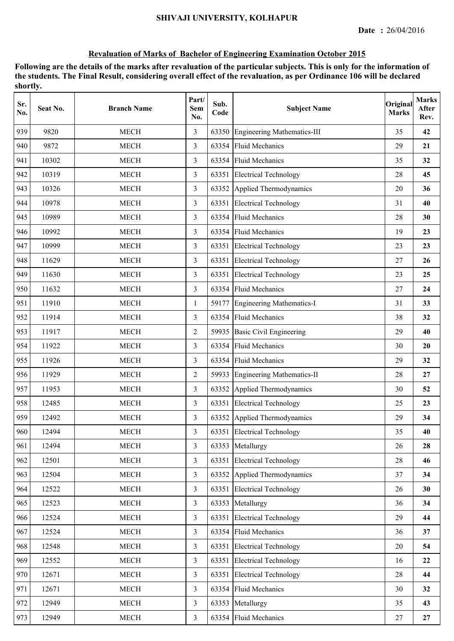| Sr.<br>No. | Seat No. | <b>Branch Name</b> | Part/<br><b>Sem</b><br>No. | Sub.<br>Code | <b>Subject Name</b>                | Original<br><b>Marks</b> | <b>Marks</b><br>After<br>Rev. |
|------------|----------|--------------------|----------------------------|--------------|------------------------------------|--------------------------|-------------------------------|
| 939        | 9820     | <b>MECH</b>        | 3                          | 63350        | <b>Engineering Mathematics-III</b> | 35                       | 42                            |
| 940        | 9872     | <b>MECH</b>        | 3                          | 63354        | <b>Fluid Mechanics</b>             | 29                       | 21                            |
| 941        | 10302    | <b>MECH</b>        | 3                          | 63354        | <b>Fluid Mechanics</b>             | 35                       | 32                            |
| 942        | 10319    | <b>MECH</b>        | $\overline{3}$             | 63351        | <b>Electrical Technology</b>       | 28                       | 45                            |
| 943        | 10326    | <b>MECH</b>        | 3                          |              | 63352 Applied Thermodynamics       | 20                       | 36                            |
| 944        | 10978    | <b>MECH</b>        | 3                          | 63351        | <b>Electrical Technology</b>       | 31                       | 40                            |
| 945        | 10989    | <b>MECH</b>        | 3                          | 63354        | <b>Fluid Mechanics</b>             | 28                       | 30                            |
| 946        | 10992    | <b>MECH</b>        | 3                          | 63354        | <b>Fluid Mechanics</b>             | 19                       | 23                            |
| 947        | 10999    | <b>MECH</b>        | 3                          | 63351        | <b>Electrical Technology</b>       | 23                       | 23                            |
| 948        | 11629    | <b>MECH</b>        | 3                          | 63351        | <b>Electrical Technology</b>       | 27                       | 26                            |
| 949        | 11630    | <b>MECH</b>        | 3                          | 63351        | <b>Electrical Technology</b>       | 23                       | 25                            |
| 950        | 11632    | <b>MECH</b>        | 3                          |              | 63354 Fluid Mechanics              | 27                       | 24                            |
| 951        | 11910    | <b>MECH</b>        | 1                          | 59177        | Engineering Mathematics-I          | 31                       | 33                            |
| 952        | 11914    | <b>MECH</b>        | 3                          | 63354        | <b>Fluid Mechanics</b>             | 38                       | 32                            |
| 953        | 11917    | <b>MECH</b>        | $\overline{2}$             | 59935        | <b>Basic Civil Engineering</b>     | 29                       | 40                            |
| 954        | 11922    | <b>MECH</b>        | 3                          | 63354        | <b>Fluid Mechanics</b>             | 30                       | 20                            |
| 955        | 11926    | <b>MECH</b>        | 3                          | 63354        | <b>Fluid Mechanics</b>             | 29                       | 32                            |
| 956        | 11929    | <b>MECH</b>        | $\overline{2}$             | 59933        | <b>Engineering Mathematics-II</b>  | 28                       | 27                            |
| 957        | 11953    | <b>MECH</b>        | 3                          | 63352        | Applied Thermodynamics             | 30                       | 52                            |
| 958        | 12485    | <b>MECH</b>        | 3                          | 63351        | <b>Electrical Technology</b>       | 25                       | 23                            |
| 959        | 12492    | <b>MECH</b>        | 3                          |              | 63352 Applied Thermodynamics       | 29                       | 34                            |
| 960        | 12494    | <b>MECH</b>        | 3                          |              | 63351 Electrical Technology        | 35                       | 40                            |
| 961        | 12494    | <b>MECH</b>        | $\overline{3}$             | 63353        | Metallurgy                         | 26                       | 28                            |
| 962        | 12501    | <b>MECH</b>        | 3                          | 63351        | <b>Electrical Technology</b>       | 28                       | 46                            |
| 963        | 12504    | <b>MECH</b>        | 3                          | 63352        | Applied Thermodynamics             | 37                       | 34                            |
| 964        | 12522    | <b>MECH</b>        | $\overline{3}$             | 63351        | <b>Electrical Technology</b>       | 26                       | 30                            |
| 965        | 12523    | <b>MECH</b>        | $\overline{3}$             | 63353        | Metallurgy                         | 36                       | 34                            |
| 966        | 12524    | <b>MECH</b>        | $\overline{3}$             | 63351        | <b>Electrical Technology</b>       | 29                       | 44                            |
| 967        | 12524    | <b>MECH</b>        | 3                          | 63354        | <b>Fluid Mechanics</b>             | 36                       | 37                            |
| 968        | 12548    | <b>MECH</b>        | $\overline{3}$             | 63351        | <b>Electrical Technology</b>       | 20                       | 54                            |
| 969        | 12552    | <b>MECH</b>        | $\overline{3}$             | 63351        | <b>Electrical Technology</b>       | 16                       | 22                            |
| 970        | 12671    | <b>MECH</b>        | $\overline{3}$             | 63351        | <b>Electrical Technology</b>       | 28                       | 44                            |
| 971        | 12671    | <b>MECH</b>        | 3                          | 63354        | <b>Fluid Mechanics</b>             | 30                       | 32                            |
| 972        | 12949    | <b>MECH</b>        | $\overline{3}$             | 63353        | Metallurgy                         | 35                       | 43                            |
| 973        | 12949    | <b>MECH</b>        | $\mathfrak{Z}$             |              | 63354 Fluid Mechanics              | 27                       | 27                            |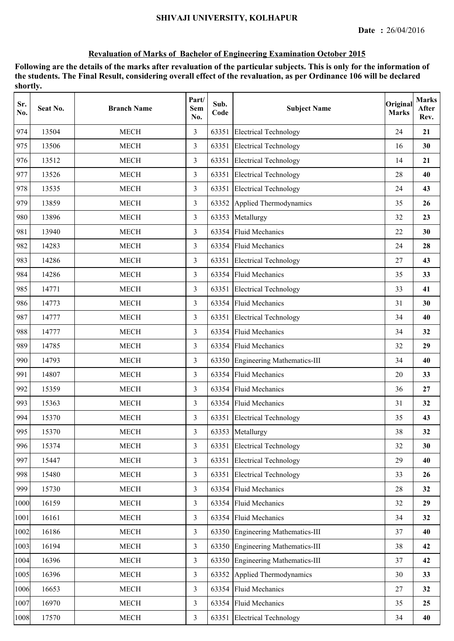| Sr.<br>No. | Seat No. | <b>Branch Name</b> | Part/<br><b>Sem</b><br>No. | Sub.<br>Code | <b>Subject Name</b>                | Original<br><b>Marks</b> | <b>Marks</b><br>After<br>Rev. |
|------------|----------|--------------------|----------------------------|--------------|------------------------------------|--------------------------|-------------------------------|
| 974        | 13504    | <b>MECH</b>        | 3                          | 63351        | <b>Electrical Technology</b>       | 24                       | 21                            |
| 975        | 13506    | <b>MECH</b>        | 3                          | 63351        | <b>Electrical Technology</b>       | 16                       | 30                            |
| 976        | 13512    | <b>MECH</b>        | 3                          | 63351        | <b>Electrical Technology</b>       | 14                       | 21                            |
| 977        | 13526    | <b>MECH</b>        | 3                          |              | 63351 Electrical Technology        | 28                       | 40                            |
| 978        | 13535    | <b>MECH</b>        | 3                          |              | 63351 Electrical Technology        | 24                       | 43                            |
| 979        | 13859    | <b>MECH</b>        | $\overline{3}$             | 63352        | Applied Thermodynamics             | 35                       | 26                            |
| 980        | 13896    | <b>MECH</b>        | $\overline{3}$             | 63353        | Metallurgy                         | 32                       | 23                            |
| 981        | 13940    | <b>MECH</b>        | 3                          | 63354        | <b>Fluid Mechanics</b>             | 22                       | 30                            |
| 982        | 14283    | <b>MECH</b>        | 3                          | 63354        | <b>Fluid Mechanics</b>             | 24                       | 28                            |
| 983        | 14286    | <b>MECH</b>        | 3                          | 63351        | <b>Electrical Technology</b>       | 27                       | 43                            |
| 984        | 14286    | <b>MECH</b>        | $\overline{3}$             |              | 63354 Fluid Mechanics              | 35                       | 33                            |
| 985        | 14771    | <b>MECH</b>        | 3                          |              | 63351 Electrical Technology        | 33                       | 41                            |
| 986        | 14773    | <b>MECH</b>        | 3                          |              | 63354 Fluid Mechanics              | 31                       | 30                            |
| 987        | 14777    | <b>MECH</b>        | $\overline{3}$             | 63351        | <b>Electrical Technology</b>       | 34                       | 40                            |
| 988        | 14777    | <b>MECH</b>        | $\overline{3}$             | 63354        | <b>Fluid Mechanics</b>             | 34                       | 32                            |
| 989        | 14785    | <b>MECH</b>        | 3                          | 63354        | <b>Fluid Mechanics</b>             | 32                       | 29                            |
| 990        | 14793    | <b>MECH</b>        | 3                          | 63350        | <b>Engineering Mathematics-III</b> | 34                       | 40                            |
| 991        | 14807    | <b>MECH</b>        | 3                          | 63354        | <b>Fluid Mechanics</b>             | 20                       | 33                            |
| 992        | 15359    | <b>MECH</b>        | 3                          | 63354        | <b>Fluid Mechanics</b>             | 36                       | 27                            |
| 993        | 15363    | <b>MECH</b>        | 3                          |              | 63354 Fluid Mechanics              | 31                       | 32                            |
| 994        | 15370    | <b>MECH</b>        | 3                          | 63351        | <b>Electrical Technology</b>       | 35                       | 43                            |
| 995        | 15370    | <b>MECH</b>        | 3                          |              | 63353 Metallurgy                   | 38                       | 32                            |
| 996        | 15374    | <b>MECH</b>        | $\overline{3}$             | 63351        | <b>Electrical Technology</b>       | 32                       | 30                            |
| 997        | 15447    | <b>MECH</b>        | 3                          | 63351        | <b>Electrical Technology</b>       | 29                       | 40                            |
| 998        | 15480    | <b>MECH</b>        | $\overline{3}$             | 63351        | <b>Electrical Technology</b>       | 33                       | 26                            |
| 999        | 15730    | MECH               | $\overline{3}$             |              | 63354 Fluid Mechanics              | 28                       | 32                            |
| 1000       | 16159    | <b>MECH</b>        | $\overline{3}$             | 63354        | <b>Fluid Mechanics</b>             | 32                       | 29                            |
| 1001       | 16161    | <b>MECH</b>        | $\overline{3}$             |              | 63354 Fluid Mechanics              | 34                       | 32                            |
| 1002       | 16186    | <b>MECH</b>        | $\overline{3}$             |              | 63350 Engineering Mathematics-III  | 37                       | 40                            |
| 1003       | 16194    | <b>MECH</b>        | $\overline{3}$             |              | 63350 Engineering Mathematics-III  | 38                       | 42                            |
| 1004       | 16396    | <b>MECH</b>        | $\overline{3}$             | 63350        | <b>Engineering Mathematics-III</b> | 37                       | 42                            |
| 1005       | 16396    | <b>MECH</b>        | $\overline{3}$             | 63352        | Applied Thermodynamics             | 30                       | 33                            |
| 1006       | 16653    | <b>MECH</b>        | $\overline{3}$             | 63354        | <b>Fluid Mechanics</b>             | 27                       | 32                            |
| 1007       | 16970    | <b>MECH</b>        | $\overline{3}$             | 63354        | <b>Fluid Mechanics</b>             | 35                       | 25                            |
| 1008       | 17570    | <b>MECH</b>        | $\overline{3}$             |              | 63351 Electrical Technology        | 34                       | 40                            |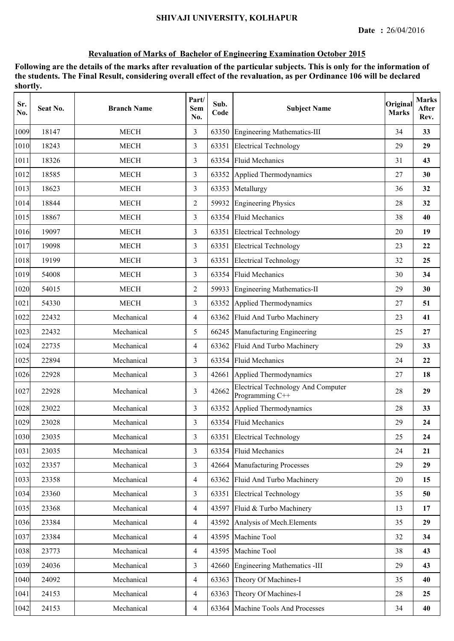| Sr.<br>No. | Seat No. | <b>Branch Name</b> | Part/<br><b>Sem</b><br>No. | Sub.<br>Code | <b>Subject Name</b>                                          | Original<br><b>Marks</b> | <b>Marks</b><br>After<br>Rev. |
|------------|----------|--------------------|----------------------------|--------------|--------------------------------------------------------------|--------------------------|-------------------------------|
| 1009       | 18147    | <b>MECH</b>        | 3                          | 63350        | <b>Engineering Mathematics-III</b>                           | 34                       | 33                            |
| 1010       | 18243    | <b>MECH</b>        | 3                          | 63351        | <b>Electrical Technology</b>                                 | 29                       | 29                            |
| 1011       | 18326    | <b>MECH</b>        | 3                          | 63354        | <b>Fluid Mechanics</b>                                       | 31                       | 43                            |
| 1012       | 18585    | <b>MECH</b>        | 3                          |              | 63352 Applied Thermodynamics                                 | 27                       | 30                            |
| 1013       | 18623    | <b>MECH</b>        | 3                          |              | 63353 Metallurgy                                             | 36                       | 32                            |
| 1014       | 18844    | <b>MECH</b>        | $\overline{2}$             | 59932        | <b>Engineering Physics</b>                                   | 28                       | 32                            |
| 1015       | 18867    | <b>MECH</b>        | 3                          | 63354        | <b>Fluid Mechanics</b>                                       | 38                       | 40                            |
| 1016       | 19097    | <b>MECH</b>        | 3                          | 63351        | <b>Electrical Technology</b>                                 | 20                       | 19                            |
| 1017       | 19098    | <b>MECH</b>        | 3                          | 63351        | <b>Electrical Technology</b>                                 | 23                       | 22                            |
| 1018       | 19199    | <b>MECH</b>        | 3                          | 63351        | <b>Electrical Technology</b>                                 | 32                       | 25                            |
| 1019       | 54008    | <b>MECH</b>        | $\overline{3}$             | 63354        | <b>Fluid Mechanics</b>                                       | 30                       | 34                            |
| 1020       | 54015    | <b>MECH</b>        | $\overline{2}$             |              | 59933 Engineering Mathematics-II                             | 29                       | 30                            |
| 1021       | 54330    | <b>MECH</b>        | 3                          | 63352        | Applied Thermodynamics                                       | 27                       | 51                            |
| 1022       | 22432    | Mechanical         | $\overline{4}$             | 63362        | Fluid And Turbo Machinery                                    | 23                       | 41                            |
| 1023       | 22432    | Mechanical         | 5                          | 66245        | Manufacturing Engineering                                    | 25                       | 27                            |
| 1024       | 22735    | Mechanical         | $\overline{4}$             | 63362        | Fluid And Turbo Machinery                                    | 29                       | 33                            |
| 1025       | 22894    | Mechanical         | 3                          | 63354        | <b>Fluid Mechanics</b>                                       | 24                       | 22                            |
| 1026       | 22928    | Mechanical         | 3                          | 42661        | Applied Thermodynamics                                       | 27                       | 18                            |
| 1027       | 22928    | Mechanical         | 3                          | 42662        | <b>Electrical Technology And Computer</b><br>Programming C++ | 28                       | 29                            |
| 1028       | 23022    | Mechanical         | 3                          | 63352        | Applied Thermodynamics                                       | 28                       | 33                            |
| 1029       | 23028    | Mechanical         | $\overline{3}$             | 63354        | <b>Fluid Mechanics</b>                                       | 29                       | 24                            |
| 1030       | 23035    | Mechanical         | 3                          | 63351        | <b>Electrical Technology</b>                                 | 25                       | 24                            |
| 1031       | 23035    | Mechanical         | $\overline{3}$             | 63354        | <b>Fluid Mechanics</b>                                       | 24                       | 21                            |
| 1032       | 23357    | Mechanical         | $\overline{3}$             | 42664        | Manufacturing Processes                                      | 29                       | 29                            |
| 1033       | 23358    | Mechanical         | $\overline{4}$             | 63362        | Fluid And Turbo Machinery                                    | 20                       | 15                            |
| 1034       | 23360    | Mechanical         | $\overline{3}$             | 63351        | <b>Electrical Technology</b>                                 | 35                       | 50                            |
| 1035       | 23368    | Mechanical         | $\overline{4}$             | 43597        | Fluid & Turbo Machinery                                      | 13                       | 17                            |
| 1036       | 23384    | Mechanical         | $\overline{4}$             | 43592        | Analysis of Mech. Elements                                   | 35                       | 29                            |
| 1037       | 23384    | Mechanical         | $\overline{4}$             | 43595        | Machine Tool                                                 | 32                       | 34                            |
| 1038       | 23773    | Mechanical         | $\overline{4}$             | 43595        | Machine Tool                                                 | 38                       | 43                            |
| 1039       | 24036    | Mechanical         | $\overline{3}$             | 42660        | <b>Engineering Mathematics -III</b>                          | 29                       | 43                            |
| 1040       | 24092    | Mechanical         | $\overline{4}$             | 63363        | Theory Of Machines-I                                         | 35                       | 40                            |
| 1041       | 24153    | Mechanical         | 4                          | 63363        | Theory Of Machines-I                                         | 28                       | 25                            |
| 1042       | 24153    | Mechanical         | $\overline{4}$             | 63364        | Machine Tools And Processes                                  | 34                       | 40                            |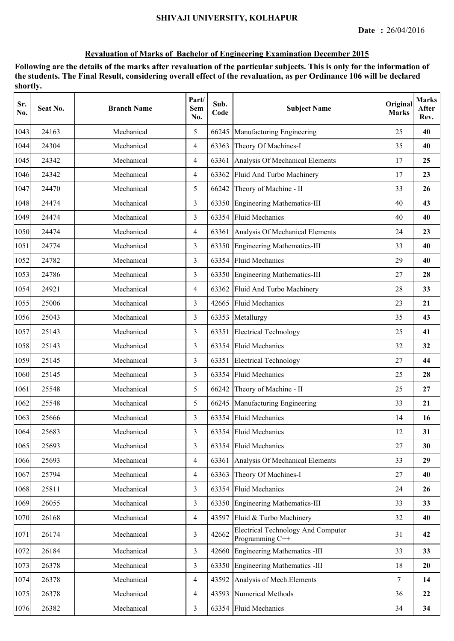| Sr.<br>No. | Seat No. | <b>Branch Name</b> | Part/<br>Sem<br>No. | Sub.<br>Code | <b>Subject Name</b>                                          | Original<br><b>Marks</b> | <b>Marks</b><br>After<br>Rev. |
|------------|----------|--------------------|---------------------|--------------|--------------------------------------------------------------|--------------------------|-------------------------------|
| 1043       | 24163    | Mechanical         | 5                   | 66245        | Manufacturing Engineering                                    | 25                       | 40                            |
| 1044       | 24304    | Mechanical         | 4                   | 63363        | Theory Of Machines-I                                         | 35                       | 40                            |
| 1045       | 24342    | Mechanical         | $\overline{4}$      | 63361        | Analysis Of Mechanical Elements                              | 17                       | 25                            |
| 1046       | 24342    | Mechanical         | $\overline{4}$      | 63362        | Fluid And Turbo Machinery                                    | 17                       | 23                            |
| 1047       | 24470    | Mechanical         | 5                   | 66242        | Theory of Machine - II                                       | 33                       | 26                            |
| 1048       | 24474    | Mechanical         | 3                   |              | 63350 Engineering Mathematics-III                            | 40                       | 43                            |
| 1049       | 24474    | Mechanical         | 3                   |              | 63354 Fluid Mechanics                                        | 40                       | 40                            |
| 1050       | 24474    | Mechanical         | $\overline{4}$      | 63361        | Analysis Of Mechanical Elements                              | 24                       | 23                            |
| 1051       | 24774    | Mechanical         | 3                   | 63350        | Engineering Mathematics-III                                  | 33                       | 40                            |
| 1052       | 24782    | Mechanical         | 3                   | 63354        | <b>Fluid Mechanics</b>                                       | 29                       | 40                            |
| 1053       | 24786    | Mechanical         | 3                   |              | 63350 Engineering Mathematics-III                            | 27                       | 28                            |
| 1054       | 24921    | Mechanical         | $\overline{4}$      | 63362        | Fluid And Turbo Machinery                                    | 28                       | 33                            |
| 1055       | 25006    | Mechanical         | 3                   | 42665        | <b>Fluid Mechanics</b>                                       | 23                       | 21                            |
| 1056       | 25043    | Mechanical         | 3                   | 63353        | Metallurgy                                                   | 35                       | 43                            |
| 1057       | 25143    | Mechanical         | 3                   | 63351        | <b>Electrical Technology</b>                                 | 25                       | 41                            |
| 1058       | 25143    | Mechanical         | 3                   | 63354        | <b>Fluid Mechanics</b>                                       | 32                       | 32                            |
| 1059       | 25145    | Mechanical         | 3                   | 63351        | <b>Electrical Technology</b>                                 | 27                       | 44                            |
| 1060       | 25145    | Mechanical         | 3                   | 63354        | <b>Fluid Mechanics</b>                                       | 25                       | 28                            |
| 1061       | 25548    | Mechanical         | 5                   | 66242        | Theory of Machine - II                                       | 25                       | 27                            |
| 1062       | 25548    | Mechanical         | 5                   | 66245        | Manufacturing Engineering                                    | 33                       | 21                            |
| 1063       | 25666    | Mechanical         | 3                   | 63354        | <b>Fluid Mechanics</b>                                       | 14                       | 16                            |
| 1064       | 25683    | Mechanical         | 3                   |              | 63354 Fluid Mechanics                                        | 12                       | 31                            |
| 1065       | 25693    | Mechanical         | 3                   |              | 63354 Fluid Mechanics                                        | 27                       | 30                            |
| 1066       | 25693    | Mechanical         | $\overline{4}$      | 63361        | Analysis Of Mechanical Elements                              | 33                       | 29                            |
| 1067       | 25794    | Mechanical         | $\overline{4}$      | 63363        | Theory Of Machines-I                                         | 27                       | 40                            |
| 1068       | 25811    | Mechanical         | 3                   | 63354        | <b>Fluid Mechanics</b>                                       | 24                       | 26                            |
| 1069       | 26055    | Mechanical         | $\overline{3}$      | 63350        | Engineering Mathematics-III                                  | 33                       | 33                            |
| 1070       | 26168    | Mechanical         | $\overline{4}$      | 43597        | Fluid & Turbo Machinery                                      | 32                       | 40                            |
| 1071       | 26174    | Mechanical         | 3                   | 42662        | <b>Electrical Technology And Computer</b><br>Programming C++ | 31                       | 42                            |
| 1072       | 26184    | Mechanical         | $\overline{3}$      | 42660        | Engineering Mathematics -III                                 | 33                       | 33                            |
| 1073       | 26378    | Mechanical         | $\overline{3}$      | 63350        | Engineering Mathematics -III                                 | 18                       | 20                            |
| 1074       | 26378    | Mechanical         | $\overline{4}$      | 43592        | Analysis of Mech. Elements                                   | 7                        | 14                            |
| 1075       | 26378    | Mechanical         | $\overline{4}$      | 43593        | <b>Numerical Methods</b>                                     | 36                       | 22                            |
| 1076       | 26382    | Mechanical         | $\overline{3}$      | 63354        | <b>Fluid Mechanics</b>                                       | 34                       | 34                            |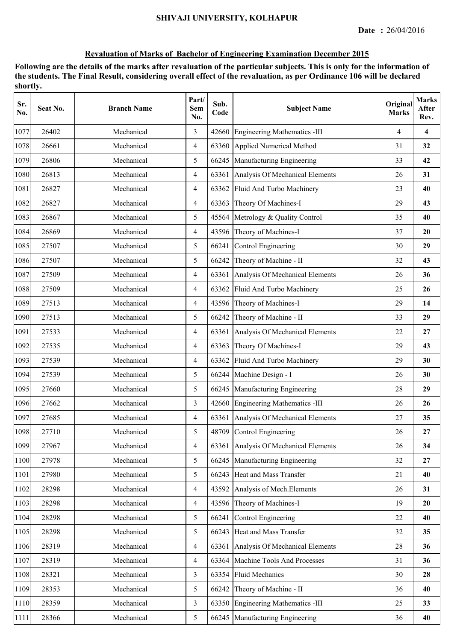| Sr.<br>No. | Seat No. | <b>Branch Name</b> | Part/<br>Sem<br>No. | Sub.<br>Code | <b>Subject Name</b>                   | Original<br><b>Marks</b> | <b>Marks</b><br>After<br>Rev. |
|------------|----------|--------------------|---------------------|--------------|---------------------------------------|--------------------------|-------------------------------|
| 1077       | 26402    | Mechanical         | 3                   | 42660        | Engineering Mathematics -III          | 4                        | $\overline{\mathbf{4}}$       |
| 1078       | 26661    | Mechanical         | $\overline{4}$      | 63360        | Applied Numerical Method              | 31                       | 32                            |
| 1079       | 26806    | Mechanical         | 5                   | 66245        | Manufacturing Engineering             | 33                       | 42                            |
| 1080       | 26813    | Mechanical         | $\overline{4}$      |              | 63361 Analysis Of Mechanical Elements | 26                       | 31                            |
| 1081       | 26827    | Mechanical         | $\overline{4}$      |              | 63362 Fluid And Turbo Machinery       | 23                       | 40                            |
| 1082       | 26827    | Mechanical         | $\overline{4}$      |              | 63363 Theory Of Machines-I            | 29                       | 43                            |
| 1083       | 26867    | Mechanical         | 5                   | 45564        | Metrology & Quality Control           | 35                       | 40                            |
| 1084       | 26869    | Mechanical         | $\overline{4}$      |              | 43596 Theory of Machines-I            | 37                       | 20                            |
| 1085       | 27507    | Mechanical         | 5                   | 66241        | Control Engineering                   | 30                       | 29                            |
| 1086       | 27507    | Mechanical         | 5                   | 66242        | Theory of Machine - II                | 32                       | 43                            |
| 1087       | 27509    | Mechanical         | $\overline{4}$      | 63361        | Analysis Of Mechanical Elements       | 26                       | 36                            |
| 1088       | 27509    | Mechanical         | $\overline{4}$      | 63362        | Fluid And Turbo Machinery             | 25                       | 26                            |
| 1089       | 27513    | Mechanical         | $\overline{4}$      |              | 43596 Theory of Machines-I            | 29                       | 14                            |
| 1090       | 27513    | Mechanical         | 5                   | 66242        | Theory of Machine - II                | 33                       | 29                            |
| 1091       | 27533    | Mechanical         | $\overline{4}$      | 63361        | Analysis Of Mechanical Elements       | 22                       | 27                            |
| 1092       | 27535    | Mechanical         | $\overline{4}$      | 63363        | Theory Of Machines-I                  | 29                       | 43                            |
| 1093       | 27539    | Mechanical         | $\overline{4}$      | 63362        | Fluid And Turbo Machinery             | 29                       | 30                            |
| 1094       | 27539    | Mechanical         | 5                   | 66244        | Machine Design - I                    | 26                       | 30                            |
| 1095       | 27660    | Mechanical         | 5                   | 66245        | Manufacturing Engineering             | 28                       | 29                            |
| 1096       | 27662    | Mechanical         | $\overline{3}$      |              | 42660 Engineering Mathematics -III    | 26                       | 26                            |
| 1097       | 27685    | Mechanical         | $\overline{4}$      |              | 63361 Analysis Of Mechanical Elements | 27                       | 35                            |
| 1098       | 27710    | Mechanical         | 5                   |              | 48709 Control Engineering             | 26                       | 27                            |
| 1099       | 27967    | Mechanical         | $\overline{4}$      |              | 63361 Analysis Of Mechanical Elements | 26                       | 34                            |
| 1100       | 27978    | Mechanical         | 5                   |              | 66245 Manufacturing Engineering       | 32                       | 27                            |
| 1101       | 27980    | Mechanical         | 5                   |              | 66243 Heat and Mass Transfer          | 21                       | 40                            |
| 1102       | 28298    | Mechanical         | $\overline{4}$      |              | 43592 Analysis of Mech. Elements      | 26                       | 31                            |
| 1103       | 28298    | Mechanical         | $\overline{4}$      |              | 43596 Theory of Machines-I            | 19                       | 20                            |
| 1104       | 28298    | Mechanical         | 5                   | 66241        | Control Engineering                   | 22                       | 40                            |
| 1105       | 28298    | Mechanical         | 5                   |              | 66243 Heat and Mass Transfer          | 32                       | 35                            |
| 1106       | 28319    | Mechanical         | $\overline{4}$      | 63361        | Analysis Of Mechanical Elements       | 28                       | 36                            |
| 1107       | 28319    | Mechanical         | $\overline{4}$      | 63364        | Machine Tools And Processes           | 31                       | 36                            |
| 1108       | 28321    | Mechanical         | 3                   | 63354        | <b>Fluid Mechanics</b>                | 30                       | 28                            |
| 1109       | 28353    | Mechanical         | 5                   | 66242        | Theory of Machine - II                | 36                       | 40                            |
| 1110       | 28359    | Mechanical         | $\overline{3}$      | 63350        | Engineering Mathematics -III          | 25                       | 33                            |
| 1111       | 28366    | Mechanical         | 5                   | 66245        | Manufacturing Engineering             | 36                       | 40                            |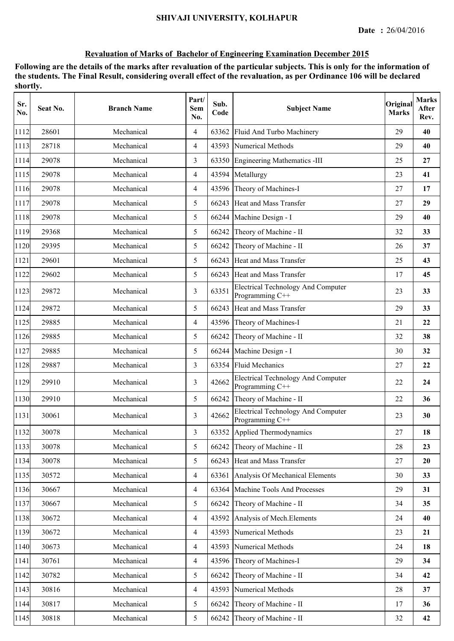| Sr.<br>No. | Seat No. | <b>Branch Name</b> | Part/<br>Sem<br>No. | Sub.<br>Code | <b>Subject Name</b>                                          | Original<br><b>Marks</b> | <b>Marks</b><br>After<br>Rev. |
|------------|----------|--------------------|---------------------|--------------|--------------------------------------------------------------|--------------------------|-------------------------------|
| 1112       | 28601    | Mechanical         | $\overline{4}$      | 63362        | Fluid And Turbo Machinery                                    | 29                       | 40                            |
| 1113       | 28718    | Mechanical         | $\overline{4}$      | 43593        | Numerical Methods                                            | 29                       | 40                            |
| 1114       | 29078    | Mechanical         | 3                   |              | 63350 Engineering Mathematics -III                           | 25                       | 27                            |
| 1115       | 29078    | Mechanical         | $\overline{4}$      |              | 43594 Metallurgy                                             | 23                       | 41                            |
| 1116       | 29078    | Mechanical         | $\overline{4}$      |              | 43596 Theory of Machines-I                                   | 27                       | 17                            |
| 1117       | 29078    | Mechanical         | 5                   |              | 66243 Heat and Mass Transfer                                 | 27                       | 29                            |
| 1118       | 29078    | Mechanical         | 5                   | 66244        | Machine Design - I                                           | 29                       | 40                            |
| 1119       | 29368    | Mechanical         | 5                   | 66242        | Theory of Machine - II                                       | 32                       | 33                            |
| 1120       | 29395    | Mechanical         | 5                   | 66242        | Theory of Machine - II                                       | 26                       | 37                            |
| 1121       | 29601    | Mechanical         | 5                   | 66243        | Heat and Mass Transfer                                       | 25                       | 43                            |
| 1122       | 29602    | Mechanical         | 5                   | 66243        | Heat and Mass Transfer                                       | 17                       | 45                            |
| 1123       | 29872    | Mechanical         | 3                   | 63351        | <b>Electrical Technology And Computer</b><br>Programming C++ | 23                       | 33                            |
| 1124       | 29872    | Mechanical         | 5                   |              | 66243 Heat and Mass Transfer                                 | 29                       | 33                            |
| 1125       | 29885    | Mechanical         | $\overline{4}$      |              | 43596 Theory of Machines-I                                   | 21                       | 22                            |
| 1126       | 29885    | Mechanical         | 5                   | 66242        | Theory of Machine - II                                       | 32                       | 38                            |
| 1127       | 29885    | Mechanical         | 5                   | 66244        | Machine Design - I                                           | 30                       | 32                            |
| 1128       | 29887    | Mechanical         | 3                   | 63354        | <b>Fluid Mechanics</b>                                       | 27                       | 22                            |
| 1129       | 29910    | Mechanical         | 3                   | 42662        | <b>Electrical Technology And Computer</b><br>Programming C++ | 22                       | 24                            |
| 1130       | 29910    | Mechanical         | 5                   | 66242        | Theory of Machine - II                                       | 22                       | 36                            |
| 1131       | 30061    | Mechanical         | 3                   | 42662        | <b>Electrical Technology And Computer</b><br>Programming C++ | 23                       | 30                            |
| 1132       | 30078    | Mechanical         | 3                   |              | 63352 Applied Thermodynamics                                 | 27                       | 18                            |
| 1133       | 30078    | Mechanical         | 5                   | 66242        | Theory of Machine - II                                       | 28                       | 23                            |
| 1134       | 30078    | Mechanical         | 5                   |              | 66243 Heat and Mass Transfer                                 | 27                       | 20                            |
| 1135       | 30572    | Mechanical         | $\overline{4}$      | 63361        | Analysis Of Mechanical Elements                              | 30                       | 33                            |
| 1136       | 30667    | Mechanical         | $\overline{4}$      | 63364        | Machine Tools And Processes                                  | 29                       | 31                            |
| 1137       | 30667    | Mechanical         | 5                   | 66242        | Theory of Machine - II                                       | 34                       | 35                            |
| 1138       | 30672    | Mechanical         | $\overline{4}$      | 43592        | Analysis of Mech. Elements                                   | 24                       | 40                            |
| 1139       | 30672    | Mechanical         | $\overline{4}$      | 43593        | Numerical Methods                                            | 23                       | 21                            |
| 1140       | 30673    | Mechanical         | $\overline{4}$      | 43593        | Numerical Methods                                            | 24                       | 18                            |
| 1141       | 30761    | Mechanical         | $\overline{4}$      | 43596        | Theory of Machines-I                                         | 29                       | 34                            |
| 1142       | 30782    | Mechanical         | 5                   | 66242        | Theory of Machine - II                                       | 34                       | 42                            |
| 1143       | 30816    | Mechanical         | $\overline{4}$      | 43593        | Numerical Methods                                            | 28                       | 37                            |
| 1144       | 30817    | Mechanical         | 5                   | 66242        | Theory of Machine - II                                       | 17                       | 36                            |
| 1145       | 30818    | Mechanical         | 5                   | 66242        | Theory of Machine - II                                       | 32                       | 42                            |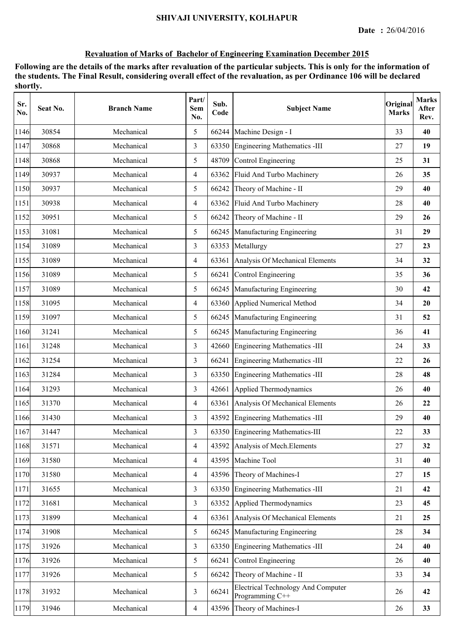| Sr.<br>No. | Seat No. | <b>Branch Name</b> | Part/<br>Sem<br>No. | Sub.<br>Code | <b>Subject Name</b>                                          | Original<br><b>Marks</b> | <b>Marks</b><br>After<br>Rev. |
|------------|----------|--------------------|---------------------|--------------|--------------------------------------------------------------|--------------------------|-------------------------------|
| 1146       | 30854    | Mechanical         | 5                   | 66244        | Machine Design - I                                           | 33                       | 40                            |
| 1147       | 30868    | Mechanical         | 3                   | 63350        | <b>Engineering Mathematics -III</b>                          | 27                       | 19                            |
| 1148       | 30868    | Mechanical         | 5                   | 48709        | Control Engineering                                          | 25                       | 31                            |
| 1149       | 30937    | Mechanical         | $\overline{4}$      | 63362        | Fluid And Turbo Machinery                                    | 26                       | 35                            |
| 1150       | 30937    | Mechanical         | 5                   | 66242        | Theory of Machine - II                                       | 29                       | 40                            |
| 1151       | 30938    | Mechanical         | $\overline{4}$      |              | 63362 Fluid And Turbo Machinery                              | 28                       | 40                            |
| 1152       | 30951    | Mechanical         | 5                   | 66242        | Theory of Machine - II                                       | 29                       | 26                            |
| 1153       | 31081    | Mechanical         | 5                   | 66245        | Manufacturing Engineering                                    | 31                       | 29                            |
| 1154       | 31089    | Mechanical         | 3                   | 63353        | Metallurgy                                                   | 27                       | 23                            |
| 1155       | 31089    | Mechanical         | $\overline{4}$      | 63361        | Analysis Of Mechanical Elements                              | 34                       | 32                            |
| 1156       | 31089    | Mechanical         | 5                   | 66241        | Control Engineering                                          | 35                       | 36                            |
| 1157       | 31089    | Mechanical         | 5                   | 66245        | Manufacturing Engineering                                    | 30                       | 42                            |
| 1158       | 31095    | Mechanical         | $\overline{4}$      |              | 63360 Applied Numerical Method                               | 34                       | 20                            |
| 1159       | 31097    | Mechanical         | 5                   |              | 66245 Manufacturing Engineering                              | 31                       | 52                            |
| 1160       | 31241    | Mechanical         | 5                   |              | 66245 Manufacturing Engineering                              | 36                       | 41                            |
| 1161       | 31248    | Mechanical         | 3                   | 42660        | <b>Engineering Mathematics -III</b>                          | 24                       | 33                            |
| 1162       | 31254    | Mechanical         | 3                   | 66241        | <b>Engineering Mathematics -III</b>                          | 22                       | 26                            |
| 1163       | 31284    | Mechanical         | 3                   | 63350        | <b>Engineering Mathematics -III</b>                          | 28                       | 48                            |
| 1164       | 31293    | Mechanical         | 3                   | 42661        | Applied Thermodynamics                                       | 26                       | 40                            |
| 1165       | 31370    | Mechanical         | $\overline{4}$      | 63361        | Analysis Of Mechanical Elements                              | 26                       | 22                            |
| 1166       | 31430    | Mechanical         | 3                   |              | 43592 Engineering Mathematics -III                           | 29                       | 40                            |
| 1167       | 31447    | Mechanical         | 3                   |              | 63350 Engineering Mathematics-III                            | 22                       | 33                            |
| 1168       | 31571    | Mechanical         | $\overline{4}$      | 43592        | Analysis of Mech. Elements                                   | 27                       | 32                            |
| 1169       | 31580    | Mechanical         | $\overline{4}$      | 43595        | Machine Tool                                                 | 31                       | 40                            |
| 1170       | 31580    | Mechanical         | $\overline{4}$      | 43596        | Theory of Machines-I                                         | 27                       | 15                            |
| 1171       | 31655    | Mechanical         | 3                   | 63350        | <b>Engineering Mathematics - III</b>                         | 21                       | 42                            |
| 1172       | 31681    | Mechanical         | $\overline{3}$      | 63352        | Applied Thermodynamics                                       | 23                       | 45                            |
| 1173       | 31899    | Mechanical         | $\overline{4}$      | 63361        | Analysis Of Mechanical Elements                              | 21                       | 25                            |
| 1174       | 31908    | Mechanical         | 5                   | 66245        | Manufacturing Engineering                                    | 28                       | 34                            |
| 1175       | 31926    | Mechanical         | 3                   |              | 63350 Engineering Mathematics -III                           | 24                       | 40                            |
| 1176       | 31926    | Mechanical         | 5                   | 66241        | Control Engineering                                          | 26                       | 40                            |
| 1177       | 31926    | Mechanical         | 5                   | 66242        | Theory of Machine - II                                       | 33                       | 34                            |
| 1178       | 31932    | Mechanical         | 3                   | 66241        | <b>Electrical Technology And Computer</b><br>Programming C++ | 26                       | 42                            |
| 1179       | 31946    | Mechanical         | $\overline{4}$      | 43596        | Theory of Machines-I                                         | 26                       | 33                            |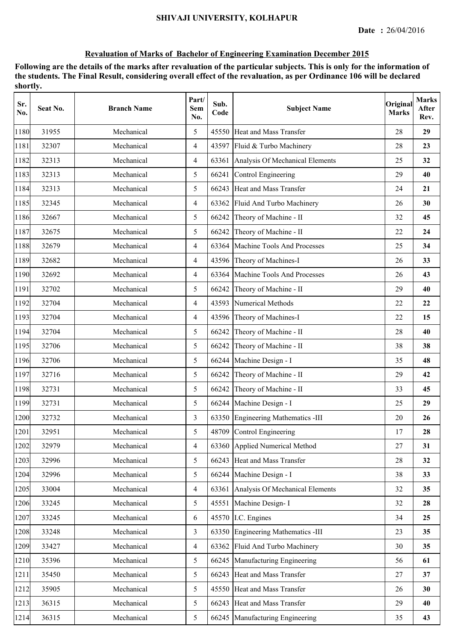| Sr.<br>No. | Seat No. | <b>Branch Name</b> | Part/<br>Sem<br>No. | Sub.<br>Code | <b>Subject Name</b>                   | Original<br><b>Marks</b> | <b>Marks</b><br>After<br>Rev. |
|------------|----------|--------------------|---------------------|--------------|---------------------------------------|--------------------------|-------------------------------|
| 1180       | 31955    | Mechanical         | 5                   |              | 45550 Heat and Mass Transfer          | 28                       | 29                            |
| 1181       | 32307    | Mechanical         | $\overline{4}$      |              | 43597 Fluid & Turbo Machinery         | 28                       | 23                            |
| 1182       | 32313    | Mechanical         | $\overline{4}$      |              | 63361 Analysis Of Mechanical Elements | 25                       | 32                            |
| 1183       | 32313    | Mechanical         | 5                   | 66241        | Control Engineering                   | 29                       | 40                            |
| 1184       | 32313    | Mechanical         | 5                   |              | 66243 Heat and Mass Transfer          | 24                       | 21                            |
| 1185       | 32345    | Mechanical         | $\overline{4}$      | 63362        | Fluid And Turbo Machinery             | 26                       | 30                            |
| 1186       | 32667    | Mechanical         | 5                   | 66242        | Theory of Machine - II                | 32                       | 45                            |
| 1187       | 32675    | Mechanical         | 5                   | 66242        | Theory of Machine - II                | 22                       | 24                            |
| 1188       | 32679    | Mechanical         | 4                   | 63364        | Machine Tools And Processes           | 25                       | 34                            |
| 1189       | 32682    | Mechanical         | $\overline{4}$      | 43596        | Theory of Machines-I                  | 26                       | 33                            |
| 1190       | 32692    | Mechanical         | $\overline{4}$      | 63364        | Machine Tools And Processes           | 26                       | 43                            |
| 1191       | 32702    | Mechanical         | 5                   | 66242        | Theory of Machine - II                | 29                       | 40                            |
| 1192       | 32704    | Mechanical         | $\overline{4}$      |              | 43593 Numerical Methods               | 22                       | 22                            |
| 1193       | 32704    | Mechanical         | 4                   |              | 43596 Theory of Machines-I            | 22                       | 15                            |
| 1194       | 32704    | Mechanical         | 5                   | 66242        | Theory of Machine - II                | 28                       | 40                            |
| 1195       | 32706    | Mechanical         | 5                   | 66242        | Theory of Machine - II                | 38                       | 38                            |
| 1196       | 32706    | Mechanical         | 5                   | 66244        | Machine Design - I                    | 35                       | 48                            |
| 1197       | 32716    | Mechanical         | 5                   | 66242        | Theory of Machine - II                | 29                       | 42                            |
| 1198       | 32731    | Mechanical         | 5                   | 66242        | Theory of Machine - II                | 33                       | 45                            |
| 1199       | 32731    | Mechanical         | 5                   |              | 66244 Machine Design - I              | 25                       | 29                            |
| 1200       | 32732    | Mechanical         | 3                   |              | 63350 Engineering Mathematics -III    | 20                       | 26                            |
| 1201       | 32951    | Mechanical         | 5                   |              | 48709 Control Engineering             | 17                       | 28                            |
| 1202       | 32979    | Mechanical         | $\overline{4}$      |              | 63360 Applied Numerical Method        | 27                       | 31                            |
| 1203       | 32996    | Mechanical         | 5                   | 66243        | Heat and Mass Transfer                | 28                       | 32                            |
| 1204       | 32996    | Mechanical         | 5                   | 66244        | Machine Design - I                    | 38                       | 33                            |
| 1205       | 33004    | Mechanical         | 4                   | 63361        | Analysis Of Mechanical Elements       | 32                       | 35                            |
| 1206       | 33245    | Mechanical         | 5                   | 45551        | Machine Design-I                      | 32                       | 28                            |
| 1207       | 33245    | Mechanical         | 6                   |              | 45570 I.C. Engines                    | 34                       | 25                            |
| 1208       | 33248    | Mechanical         | 3                   |              | 63350 Engineering Mathematics -III    | 23                       | 35                            |
| 1209       | 33427    | Mechanical         | $\overline{4}$      | 63362        | Fluid And Turbo Machinery             | 30                       | 35                            |
| 1210       | 35396    | Mechanical         | 5                   | 66245        | Manufacturing Engineering             | 56                       | 61                            |
| 1211       | 35450    | Mechanical         | 5                   | 66243        | Heat and Mass Transfer                | 27                       | 37                            |
| 1212       | 35905    | Mechanical         | 5                   |              | 45550 Heat and Mass Transfer          | 26                       | 30                            |
| 1213       | 36315    | Mechanical         | 5                   | 66243        | Heat and Mass Transfer                | 29                       | 40                            |
| 1214       | 36315    | Mechanical         | 5                   |              | 66245 Manufacturing Engineering       | 35                       | 43                            |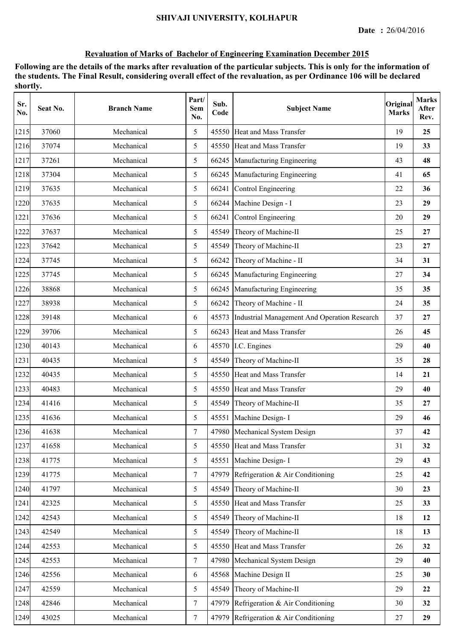| Sr.<br>No. | Seat No. | <b>Branch Name</b> | Part/<br>Sem<br>No. | Sub.<br>Code | <b>Subject Name</b>                          | Original<br><b>Marks</b> | <b>Marks</b><br>After<br>Rev. |
|------------|----------|--------------------|---------------------|--------------|----------------------------------------------|--------------------------|-------------------------------|
| 1215       | 37060    | Mechanical         | 5                   |              | 45550 Heat and Mass Transfer                 | 19                       | 25                            |
| 1216       | 37074    | Mechanical         | 5                   |              | 45550 Heat and Mass Transfer                 | 19                       | 33                            |
| 1217       | 37261    | Mechanical         | 5                   | 66245        | Manufacturing Engineering                    | 43                       | 48                            |
| 1218       | 37304    | Mechanical         | 5                   |              | 66245 Manufacturing Engineering              | 41                       | 65                            |
| 1219       | 37635    | Mechanical         | 5                   |              | 66241 Control Engineering                    | 22                       | 36                            |
| 1220       | 37635    | Mechanical         | 5                   |              | 66244 Machine Design - I                     | 23                       | 29                            |
| 1221       | 37636    | Mechanical         | 5                   | 66241        | Control Engineering                          | 20                       | 29                            |
| 1222       | 37637    | Mechanical         | 5                   | 45549        | Theory of Machine-II                         | 25                       | 27                            |
| 1223       | 37642    | Mechanical         | 5                   | 45549        | Theory of Machine-II                         | 23                       | 27                            |
| 1224       | 37745    | Mechanical         | 5                   | 66242        | Theory of Machine - II                       | 34                       | 31                            |
| 1225       | 37745    | Mechanical         | 5                   | 66245        | Manufacturing Engineering                    | 27                       | 34                            |
| 1226       | 38868    | Mechanical         | 5                   | 66245        | Manufacturing Engineering                    | 35                       | 35                            |
| 1227       | 38938    | Mechanical         | 5                   |              | 66242 Theory of Machine - II                 | 24                       | 35                            |
| 1228       | 39148    | Mechanical         | 6                   | 45573        | Industrial Management And Operation Research | 37                       | 27                            |
| 1229       | 39706    | Mechanical         | 5                   |              | 66243 Heat and Mass Transfer                 | 26                       | 45                            |
| 1230       | 40143    | Mechanical         | 6                   |              | 45570 I.C. Engines                           | 29                       | 40                            |
| 1231       | 40435    | Mechanical         | 5                   | 45549        | Theory of Machine-II                         | 35                       | 28                            |
| 1232       | 40435    | Mechanical         | 5                   |              | 45550 Heat and Mass Transfer                 | 14                       | 21                            |
| 1233       | 40483    | Mechanical         | 5                   |              | 45550 Heat and Mass Transfer                 | 29                       | 40                            |
| 1234       | 41416    | Mechanical         | 5                   | 45549        | Theory of Machine-II                         | 35                       | 27                            |
| 1235       | 41636    | Mechanical         | 5                   |              | 45551 Machine Design- I                      | 29                       | 46                            |
| 1236       | 41638    | Mechanical         | 7                   |              | 47980 Mechanical System Design               | 37                       | 42                            |
| 1237       | 41658    | Mechanical         | 5                   |              | 45550 Heat and Mass Transfer                 | 31                       | 32                            |
| 1238       | 41775    | Mechanical         | 5                   | 45551        | Machine Design-I                             | 29                       | 43                            |
| 1239       | 41775    | Mechanical         | $\tau$              | 47979        | Refrigeration & Air Conditioning             | 25                       | 42                            |
| 1240       | 41797    | Mechanical         | 5                   | 45549        | Theory of Machine-II                         | 30                       | 23                            |
| 1241       | 42325    | Mechanical         | 5                   |              | 45550 Heat and Mass Transfer                 | 25                       | 33                            |
| 1242       | 42543    | Mechanical         | 5                   | 45549        | Theory of Machine-II                         | 18                       | 12                            |
| 1243       | 42549    | Mechanical         | 5                   | 45549        | Theory of Machine-II                         | 18                       | 13                            |
| 1244       | 42553    | Mechanical         | 5                   |              | 45550 Heat and Mass Transfer                 | 26                       | 32                            |
| 1245       | 42553    | Mechanical         | $\tau$              | 47980        | Mechanical System Design                     | 29                       | 40                            |
| 1246       | 42556    | Mechanical         | 6                   | 45568        | Machine Design II                            | 25                       | 30                            |
| 1247       | 42559    | Mechanical         | 5                   | 45549        | Theory of Machine-II                         | 29                       | 22                            |
| 1248       | 42846    | Mechanical         | $\tau$              | 47979        | Refrigeration & Air Conditioning             | 30                       | 32                            |
| 1249       | 43025    | Mechanical         | $7\phantom{.}$      | 47979        | Refrigeration & Air Conditioning             | 27                       | 29                            |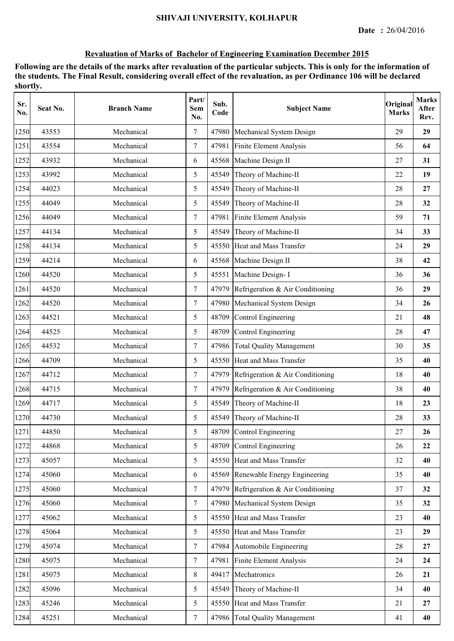| Sr.<br>No. | Seat No. | <b>Branch Name</b> | Part/<br>Sem<br>No. | Sub.<br>Code | <b>Subject Name</b>                    | Original<br><b>Marks</b> | <b>Marks</b><br>After<br>Rev. |
|------------|----------|--------------------|---------------------|--------------|----------------------------------------|--------------------------|-------------------------------|
| 1250       | 43553    | Mechanical         | $\tau$              | 47980        | Mechanical System Design               | 29                       | 29                            |
| 1251       | 43554    | Mechanical         | $\tau$              | 47981        | Finite Element Analysis                | 56                       | 64                            |
| 1252       | 43932    | Mechanical         | 6                   | 45568        | Machine Design II                      | 27                       | 31                            |
| 1253       | 43992    | Mechanical         | 5                   | 45549        | Theory of Machine-II                   | 22                       | 19                            |
| 1254       | 44023    | Mechanical         | 5                   | 45549        | Theory of Machine-II                   | 28                       | 27                            |
| 1255       | 44049    | Mechanical         | 5                   | 45549        | Theory of Machine-II                   | 28                       | 32                            |
| 1256       | 44049    | Mechanical         | $\tau$              | 47981        | <b>Finite Element Analysis</b>         | 59                       | 71                            |
| 1257       | 44134    | Mechanical         | 5                   | 45549        | Theory of Machine-II                   | 34                       | 33                            |
| 1258       | 44134    | Mechanical         | 5                   | 45550        | Heat and Mass Transfer                 | 24                       | 29                            |
| 1259       | 44214    | Mechanical         | 6                   | 45568        | Machine Design II                      | 38                       | 42                            |
| 1260       | 44520    | Mechanical         | 5                   | 45551        | Machine Design-I                       | 36                       | 36                            |
| 1261       | 44520    | Mechanical         | $\tau$              | 47979        | Refrigeration & Air Conditioning       | 36                       | 29                            |
| 1262       | 44520    | Mechanical         | $\tau$              |              | 47980 Mechanical System Design         | 34                       | 26                            |
| 1263       | 44521    | Mechanical         | 5                   |              | 48709 Control Engineering              | 21                       | 48                            |
| 1264       | 44525    | Mechanical         | 5                   | 48709        | Control Engineering                    | 28                       | 47                            |
| 1265       | 44532    | Mechanical         | $\tau$              | 47986        | <b>Total Quality Management</b>        | 30                       | 35                            |
| 1266       | 44709    | Mechanical         | 5                   |              | 45550 Heat and Mass Transfer           | 35                       | 40                            |
| 1267       | 44712    | Mechanical         | $\tau$              |              | 47979 Refrigeration & Air Conditioning | 18                       | 40                            |
| 1268       | 44715    | Mechanical         | $\overline{7}$      | 47979        | Refrigeration & Air Conditioning       | 38                       | 40                            |
| 1269       | 44717    | Mechanical         | 5                   | 45549        | Theory of Machine-II                   | 18                       | 23                            |
| 1270       | 44730    | Mechanical         | 5                   | 45549        | Theory of Machine-II                   | 28                       | 33                            |
| 1271       | 44850    | Mechanical         | 5                   |              | 48709 Control Engineering              | 27                       | 26                            |
| 1272       | 44868    | Mechanical         | 5                   | 48709        | Control Engineering                    | 26                       | 22                            |
| 1273       | 45057    | Mechanical         | 5                   |              | 45550 Heat and Mass Transfer           | 32                       | 40                            |
| 1274       | 45060    | Mechanical         | 6                   | 45569        | Renewable Energy Engineering           | 35                       | 40                            |
| 1275       | 45060    | Mechanical         | $\tau$              |              | 47979 Refrigeration & Air Conditioning | 37                       | 32                            |
| 1276       | 45060    | Mechanical         | $\overline{7}$      | 47980        | Mechanical System Design               | 35                       | 32                            |
| 1277       | 45062    | Mechanical         | 5                   |              | 45550 Heat and Mass Transfer           | 23                       | 40                            |
| 1278       | 45064    | Mechanical         | 5                   |              | 45550 Heat and Mass Transfer           | 23                       | 29                            |
| 1279       | 45074    | Mechanical         | $\tau$              |              | 47984 Automobile Engineering           | 28                       | 27                            |
| 1280       | 45075    | Mechanical         | $\tau$              | 47981        | Finite Element Analysis                | 24                       | 24                            |
| 1281       | 45075    | Mechanical         | $8\,$               | 49417        | Mechatronics                           | 26                       | 21                            |
| 1282       | 45096    | Mechanical         | 5                   | 45549        | Theory of Machine-II                   | 34                       | 40                            |
| 1283       | 45246    | Mechanical         | 5                   | 45550        | Heat and Mass Transfer                 | 21                       | 27                            |
| 1284       | 45251    | Mechanical         | $\overline{7}$      |              | 47986 Total Quality Management         | 41                       | 40                            |